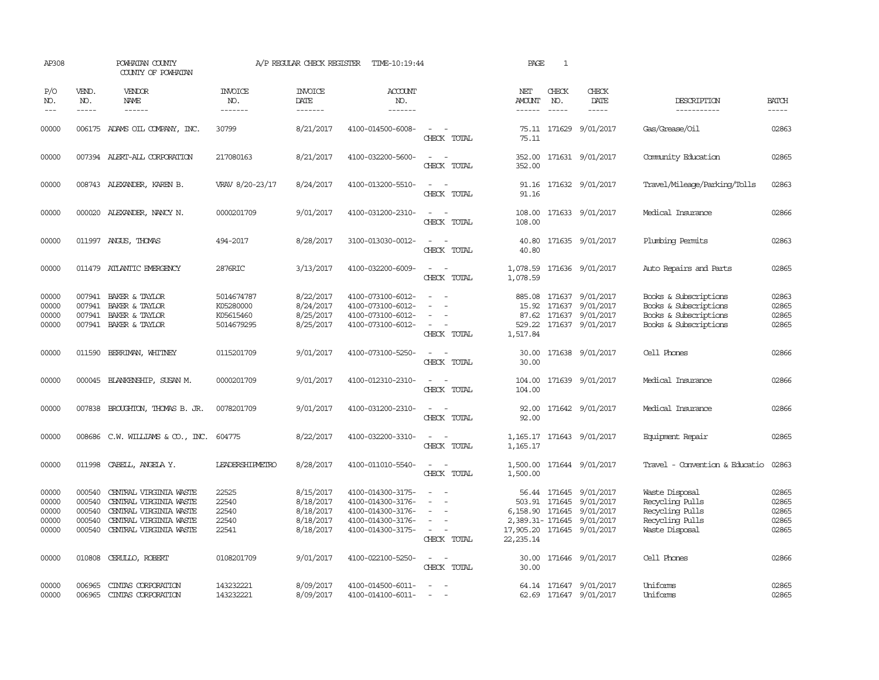| AP308                                     |                                                                                                                                                                                                                                                                                                                                                                                                                                                                         | POWHATAN COUNTY<br>COUNTY OF POWHATAN                                                                                                 |                                                    | A/P REGULAR CHECK REGISTER                                    | TIME-10:19:44                                                                                         |                                                                                                                             | PAGE                                     | $\mathbf{1}$  |                                                                                               |                                                                                                  |                                           |
|-------------------------------------------|-------------------------------------------------------------------------------------------------------------------------------------------------------------------------------------------------------------------------------------------------------------------------------------------------------------------------------------------------------------------------------------------------------------------------------------------------------------------------|---------------------------------------------------------------------------------------------------------------------------------------|----------------------------------------------------|---------------------------------------------------------------|-------------------------------------------------------------------------------------------------------|-----------------------------------------------------------------------------------------------------------------------------|------------------------------------------|---------------|-----------------------------------------------------------------------------------------------|--------------------------------------------------------------------------------------------------|-------------------------------------------|
| P/O<br>NO.<br>$---$                       | VEND.<br>NO.<br>$\begin{tabular}{ccccc} \multicolumn{2}{c }{\multicolumn{2}{c }{\multicolumn{2}{c }{\multicolumn{2}{c}}{\hspace{-2.2cm}}}} \multicolumn{2}{c }{\multicolumn{2}{c }{\hspace{-2.2cm}}\hline} \multicolumn{2}{c }{\hspace{-2.2cm}}\hline \multicolumn{2}{c }{\hspace{-2.2cm}}\hline \multicolumn{2}{c }{\hspace{-2.2cm}}\hline \multicolumn{2}{c }{\hspace{-2.2cm}}\hline \multicolumn{2}{c }{\hspace{-2.2cm}}\hline \multicolumn{2}{c }{\hspace{-2.2cm}}$ | VENDOR<br>NAME                                                                                                                        | <b>INVOICE</b><br>NO.<br>-------                   | <b>INVOICE</b><br>DATE<br>-------                             | <b>ACCOUNT</b><br>NO.<br>-------                                                                      |                                                                                                                             | NET<br>AMOUNT<br>------                  | CHECK<br>NO.  | CHECK<br>DATE<br>$- - - - -$                                                                  | DESCRIPTION<br>-----------                                                                       | <b>BATCH</b><br>$- - - - -$               |
| 00000                                     |                                                                                                                                                                                                                                                                                                                                                                                                                                                                         | 006175 ADAMS OIL COMPANY, INC.                                                                                                        | 30799                                              | 8/21/2017                                                     | 4100-014500-6008-                                                                                     | $\sim$<br>CHECK TOTAL                                                                                                       | 75.11                                    |               | 75.11 171629 9/01/2017                                                                        | Gas/Grease/0il                                                                                   | 02863                                     |
| 00000                                     |                                                                                                                                                                                                                                                                                                                                                                                                                                                                         | 007394 ALERT-ALL CORPORATION                                                                                                          | 217080163                                          | 8/21/2017                                                     | 4100-032200-5600-                                                                                     | $\sim$<br>$\sim$<br>CHECK TOTAL                                                                                             | 352.00<br>352.00                         |               | 171631 9/01/2017                                                                              | Community Education                                                                              | 02865                                     |
| 00000                                     |                                                                                                                                                                                                                                                                                                                                                                                                                                                                         | 008743 ALEXANDER, KAREN B.                                                                                                            | VRAV 8/20-23/17                                    | 8/24/2017                                                     | 4100-013200-5510-                                                                                     | $\sim$<br>CHECK TOTAL                                                                                                       | 91.16<br>91.16                           |               | 171632 9/01/2017                                                                              | Travel/Mileage/Parking/Tolls                                                                     | 02863                                     |
| 00000                                     |                                                                                                                                                                                                                                                                                                                                                                                                                                                                         | 000020 ALEXANDER, NANCY N.                                                                                                            | 0000201709                                         | 9/01/2017                                                     | 4100-031200-2310-                                                                                     | $\frac{1}{2} \left( \frac{1}{2} \right) \left( \frac{1}{2} \right) = \frac{1}{2} \left( \frac{1}{2} \right)$<br>CHECK TOTAL | 108.00<br>108.00                         |               | 171633 9/01/2017                                                                              | Medical Insurance                                                                                | 02866                                     |
| 00000                                     |                                                                                                                                                                                                                                                                                                                                                                                                                                                                         | 011997 ANGUS, THOMAS                                                                                                                  | 494-2017                                           | 8/28/2017                                                     | 3100-013030-0012-                                                                                     | $\sim$ $\sim$<br>CHECK TOTAL                                                                                                | 40.80<br>40.80                           |               | 171635 9/01/2017                                                                              | Plumbing Permits                                                                                 | 02863                                     |
| 00000                                     |                                                                                                                                                                                                                                                                                                                                                                                                                                                                         | 011479 ATLANTIC EMERGENCY                                                                                                             | 2876RIC                                            | 3/13/2017                                                     | 4100-032200-6009-                                                                                     | $\sim$ $\sim$<br>CHECK TOTAL                                                                                                | 1,078.59                                 |               | 1,078.59 171636 9/01/2017                                                                     | Auto Repairs and Parts                                                                           | 02865                                     |
| 00000<br>00000<br>00000<br>00000          | 007941<br>007941                                                                                                                                                                                                                                                                                                                                                                                                                                                        | 007941 BAKER & TAYLOR<br>BAKER & TAYLOR<br>BAKER & TAYLOR<br>007941 BAKER & TAYLOR                                                    | 5014674787<br>K05280000<br>K05615460<br>5014679295 | 8/22/2017<br>8/24/2017<br>8/25/2017<br>8/25/2017              | 4100-073100-6012-<br>4100-073100-6012-<br>4100-073100-6012-<br>4100-073100-6012-                      | $\sim$<br>$\sim$<br>CHECK TOTAL                                                                                             | 15.92<br>529.22<br>1,517.84              |               | 885.08 171637 9/01/2017<br>171637 9/01/2017<br>87.62 171637 9/01/2017<br>171637 9/01/2017     | Books & Subscriptions<br>Books & Subscriptions<br>Books & Subscriptions<br>Books & Subscriptions | 02863<br>02865<br>02865<br>02865          |
| 00000                                     |                                                                                                                                                                                                                                                                                                                                                                                                                                                                         | 011590 BERRIMAN, WHITNEY                                                                                                              | 0115201709                                         | 9/01/2017                                                     | 4100-073100-5250-                                                                                     | $\sim$<br>CHECK TOTAL                                                                                                       | 30.00<br>30.00                           |               | 171638 9/01/2017                                                                              | Cell Phones                                                                                      | 02866                                     |
| 00000                                     |                                                                                                                                                                                                                                                                                                                                                                                                                                                                         | 000045 BLANKENSHIP, SUSAN M.                                                                                                          | 0000201709                                         | 9/01/2017                                                     | 4100-012310-2310-                                                                                     | $\sim$<br>$\sim$<br>CHECK TOTAL                                                                                             | 104.00<br>104.00                         |               | 171639 9/01/2017                                                                              | Medical Insurance                                                                                | 02866                                     |
| 00000                                     |                                                                                                                                                                                                                                                                                                                                                                                                                                                                         | 007838 BROUGHTON, THOMAS B. JR.                                                                                                       | 0078201709                                         | 9/01/2017                                                     | 4100-031200-2310-                                                                                     | $ -$<br>CHECK TOTAL                                                                                                         | 92.00                                    |               | 92.00 171642 9/01/2017                                                                        | Medical Insurance                                                                                | 02866                                     |
| 00000                                     |                                                                                                                                                                                                                                                                                                                                                                                                                                                                         | 008686 C.W. WILLIAMS & CO., INC.                                                                                                      | 604775                                             | 8/22/2017                                                     | 4100-032200-3310-                                                                                     | $\frac{1}{2} \left( \frac{1}{2} \right) \left( \frac{1}{2} \right) = \frac{1}{2} \left( \frac{1}{2} \right)$<br>CHECK TOTAL | 1,165.17                                 |               | 1, 165.17 171643 9/01/2017                                                                    | Equipment Repair                                                                                 | 02865                                     |
| 00000                                     | 011998                                                                                                                                                                                                                                                                                                                                                                                                                                                                  | CABELL, ANGELA Y.                                                                                                                     | <b>LEADERSHIPMETRO</b>                             | 8/28/2017                                                     | 4100-011010-5540-                                                                                     | $\sim$ 10 $\sim$ 10 $\sim$<br>CHECK TOTAL                                                                                   | 1,500.00                                 |               | 1,500.00 171644 9/01/2017                                                                     | Travel - Convention & Educatio                                                                   | 02863                                     |
| 00000<br>00000<br>00000<br>00000<br>00000 | 000540<br>000540<br>000540<br>000540                                                                                                                                                                                                                                                                                                                                                                                                                                    | CENTRAL VIRGINIA WASTE<br>CENTRAL VIRGINIA WASTE<br>CENTRAL VIRGINIA WASTE<br>CENTRAL VIRGINIA WASTE<br>000540 CENTRAL VIRGINIA WASTE | 22525<br>22540<br>22540<br>22540<br>22541          | 8/15/2017<br>8/18/2017<br>8/18/2017<br>8/18/2017<br>8/18/2017 | 4100-014300-3175-<br>4100-014300-3176-<br>4100-014300-3176-<br>4100-014300-3176-<br>4100-014300-3175- | $\equiv$<br>$\overline{\phantom{a}}$<br>$\sim$<br>$\sim$<br>$\sim$ 10 $\sim$<br>CHECK TOTAL                                 | 17,905.20 171645 9/01/2017<br>22, 235.14 | 503.91 171645 | 56.44 171645 9/01/2017<br>9/01/2017<br>6,158.90 171645 9/01/2017<br>2,389.31-171645 9/01/2017 | Waste Disposal<br>Recycling Pulls<br>Recycling Pulls<br>Recycling Pulls<br>Waste Disposal        | 02865<br>02865<br>02865<br>02865<br>02865 |
| 00000                                     | 010808                                                                                                                                                                                                                                                                                                                                                                                                                                                                  | CERULLO, ROBERT                                                                                                                       | 0108201709                                         | 9/01/2017                                                     | 4100-022100-5250-                                                                                     | $\omega_{\rm{max}}$ and $\omega_{\rm{max}}$<br>CHECK TOTAL                                                                  | 30.00                                    |               | 30.00 171646 9/01/2017                                                                        | Cell Phones                                                                                      | 02866                                     |
| 00000<br>00000                            | 006965<br>006965                                                                                                                                                                                                                                                                                                                                                                                                                                                        | CINIAS CORPORATION<br>CINIAS CORPORATION                                                                                              | 143232221<br>143232221                             | 8/09/2017<br>8/09/2017                                        | 4100-014500-6011-<br>4100-014100-6011-                                                                | $\sim$<br>$\equiv$                                                                                                          |                                          |               | 64.14 171647 9/01/2017<br>62.69 171647 9/01/2017                                              | Uniforms<br>Uniforms                                                                             | 02865<br>02865                            |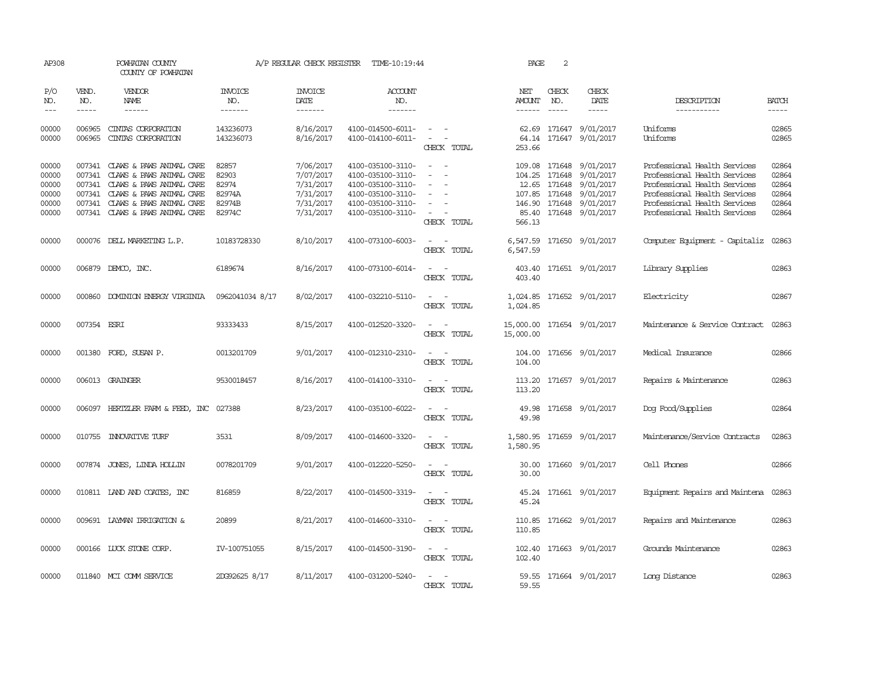| AP308                                              |                             | POWHATAN COUNTY<br>COUNTY OF POWHATAN                                                                                                                                                                   |                                                       | A/P REGULAR CHECK REGISTER                                                 | TIME-10:19:44                                                                                                              |                                                                                                                                                                                 | PAGE                                    | 2                                                                         |                                                                                   |                                                                                                                                                                                              |                                                    |
|----------------------------------------------------|-----------------------------|---------------------------------------------------------------------------------------------------------------------------------------------------------------------------------------------------------|-------------------------------------------------------|----------------------------------------------------------------------------|----------------------------------------------------------------------------------------------------------------------------|---------------------------------------------------------------------------------------------------------------------------------------------------------------------------------|-----------------------------------------|---------------------------------------------------------------------------|-----------------------------------------------------------------------------------|----------------------------------------------------------------------------------------------------------------------------------------------------------------------------------------------|----------------------------------------------------|
| P/O<br>NO.<br>$---$                                | VEND.<br>NO.<br>$- - - - -$ | VENDOR<br>NAME<br>$- - - - - -$                                                                                                                                                                         | <b>INVOICE</b><br>NO.<br>-------                      | <b>INVOICE</b><br>DATE<br>-------                                          | <b>ACCOUNT</b><br>NO.<br>-------                                                                                           |                                                                                                                                                                                 | NET<br>AMOUNT<br>$- - - - - -$          | CHECK<br>NO.<br>$\frac{1}{2}$                                             | CHECK<br>DATE<br>-----                                                            | DESCRIPTION<br>-----------                                                                                                                                                                   | <b>BATCH</b><br>-----                              |
| 00000<br>00000                                     | 006965<br>006965            | CINIAS CORPORATION<br>CINIAS CORPORATION                                                                                                                                                                | 143236073<br>143236073                                | 8/16/2017<br>8/16/2017                                                     | 4100-014500-6011-<br>4100-014100-6011-                                                                                     | $\sim$<br>$\sim$ 10 $\sim$ $\sim$<br>CHECK TOTAL                                                                                                                                | 253.66                                  |                                                                           | 62.69 171647 9/01/2017<br>64.14 171647 9/01/2017                                  | Uniforms<br>Uniforms                                                                                                                                                                         | 02865<br>02865                                     |
| 00000<br>00000<br>00000<br>00000<br>00000<br>00000 | 007341                      | 007341 CLAWS & PAWS ANIMAL CARE<br>CLAWS & PAWS ANIMAL CARE<br>007341 CLAWS & PAWS ANIMAL CARE<br>007341 CLAWS & PAWS ANIMAL CARE<br>007341 CLAWS & PAWS ANIMAL CARE<br>007341 CLAWS & PAWS ANIMAL CARE | 82857<br>82903<br>82974<br>82974A<br>82974B<br>82974C | 7/06/2017<br>7/07/2017<br>7/31/2017<br>7/31/2017<br>7/31/2017<br>7/31/2017 | 4100-035100-3110-<br>4100-035100-3110-<br>4100-035100-3110-<br>4100-035100-3110-<br>4100-035100-3110-<br>4100-035100-3110- | $\overline{\phantom{a}}$<br>$\sim$<br>$\equiv$<br>$\sim$<br>$\sim$<br>$\sim$<br>$\overline{\phantom{a}}$<br>$\overline{\phantom{a}}$<br>$\overline{\phantom{a}}$<br>CHECK TOTAL | 146.90<br>85.40<br>566.13               | 109.08 171648<br>104.25 171648<br>12.65 171648<br>107.85 171648<br>171648 | 9/01/2017<br>9/01/2017<br>9/01/2017<br>9/01/2017<br>9/01/2017<br>171648 9/01/2017 | Professional Health Services<br>Professional Health Services<br>Professional Health Services<br>Professional Health Services<br>Professional Health Services<br>Professional Health Services | 02864<br>02864<br>02864<br>02864<br>02864<br>02864 |
| 00000                                              |                             | 000076 DELL MARKETING L.P.                                                                                                                                                                              | 10183728330                                           | 8/10/2017                                                                  | 4100-073100-6003-                                                                                                          | CHECK TOTAL                                                                                                                                                                     | 6,547.59                                |                                                                           | 6,547.59 171650 9/01/2017                                                         | Computer Equipment - Capitaliz                                                                                                                                                               | 02863                                              |
| 00000                                              |                             | 006879 DEMCO, INC.                                                                                                                                                                                      | 6189674                                               | 8/16/2017                                                                  | 4100-073100-6014-                                                                                                          | $\overline{\phantom{a}}$<br>CHECK TOTAL                                                                                                                                         | 403.40<br>403.40                        |                                                                           | 171651 9/01/2017                                                                  | Library Supplies                                                                                                                                                                             | 02863                                              |
| 00000                                              | 000860                      | DOMINION ENERGY VIRGINIA                                                                                                                                                                                | 0962041034 8/17                                       | 8/02/2017                                                                  | 4100-032210-5110-                                                                                                          | $\overline{\phantom{a}}$<br>$\overline{\phantom{a}}$<br>CHECK TOTAL                                                                                                             | 1,024.85<br>1,024.85                    |                                                                           | 171652 9/01/2017                                                                  | Electricity                                                                                                                                                                                  | 02867                                              |
| 00000                                              | 007354 ESRI                 |                                                                                                                                                                                                         | 93333433                                              | 8/15/2017                                                                  | 4100-012520-3320-                                                                                                          | $\sim$<br>$\sim$<br>CHECK TOTAL                                                                                                                                                 | 15,000.00 171654 9/01/2017<br>15,000.00 |                                                                           |                                                                                   | Maintenance & Service Contract                                                                                                                                                               | 02863                                              |
| 00000                                              |                             | 001380 FORD, SUSAN P.                                                                                                                                                                                   | 0013201709                                            | 9/01/2017                                                                  | 4100-012310-2310-                                                                                                          | $\sim$<br>$\sim$<br>CHECK TOTAL                                                                                                                                                 | 104.00                                  |                                                                           | 104.00 171656 9/01/2017                                                           | Medical Insurance                                                                                                                                                                            | 02866                                              |
| 00000                                              |                             | 006013 GRAINGER                                                                                                                                                                                         | 9530018457                                            | 8/16/2017                                                                  | 4100-014100-3310-                                                                                                          | $\frac{1}{2} \left( \frac{1}{2} \right) \left( \frac{1}{2} \right) = \frac{1}{2} \left( \frac{1}{2} \right)$<br>CHECK TOTAL                                                     | 113.20                                  |                                                                           | 113.20 171657 9/01/2017                                                           | Repairs & Maintenance                                                                                                                                                                        | 02863                                              |
| 00000                                              |                             | 006097 HERTZLER FARM & FEED, INC 027388                                                                                                                                                                 |                                                       | 8/23/2017                                                                  | 4100-035100-6022-                                                                                                          | CHECK TOTAL                                                                                                                                                                     | 49.98                                   |                                                                           | 49.98 171658 9/01/2017                                                            | Dog Food/Supplies                                                                                                                                                                            | 02864                                              |
| 00000                                              |                             | 010755 INNOVATIVE TURF                                                                                                                                                                                  | 3531                                                  | 8/09/2017                                                                  | 4100-014600-3320-                                                                                                          | $\sim$<br>CHECK TOTAL                                                                                                                                                           | 1,580.95                                |                                                                           | 1,580.95 171659 9/01/2017                                                         | Maintenance/Service Contracts                                                                                                                                                                | 02863                                              |
| 00000                                              |                             | 007874 JONES, LINDA HOLLIN                                                                                                                                                                              | 0078201709                                            | 9/01/2017                                                                  | 4100-012220-5250-                                                                                                          | $\overline{\phantom{a}}$<br>CHECK TOTAL                                                                                                                                         | 30.00<br>30.00                          |                                                                           | 171660 9/01/2017                                                                  | Cell Phones                                                                                                                                                                                  | 02866                                              |
| 00000                                              |                             | 010811 LAND AND COATES, INC                                                                                                                                                                             | 816859                                                | 8/22/2017                                                                  | 4100-014500-3319-                                                                                                          | $\sim$ $\sim$<br>CHECK TOTAL                                                                                                                                                    | 45.24                                   |                                                                           | 45.24 171661 9/01/2017                                                            | Equipment Repairs and Maintena                                                                                                                                                               | 02863                                              |
| 00000                                              |                             | 009691 LAYMAN IRRIGATION &                                                                                                                                                                              | 20899                                                 | 8/21/2017                                                                  | 4100-014600-3310-                                                                                                          | $\sim$ $ \sim$<br>CHECK TOTAL                                                                                                                                                   | 110.85                                  |                                                                           | 110.85 171662 9/01/2017                                                           | Repairs and Maintenance                                                                                                                                                                      | 02863                                              |
| 00000                                              |                             | 000166 LUCK STONE CORP.                                                                                                                                                                                 | IV-100751055                                          | 8/15/2017                                                                  | 4100-014500-3190-                                                                                                          | $\sim$ $ \sim$<br>CHECK TOTAL                                                                                                                                                   | 102.40                                  |                                                                           | 102.40 171663 9/01/2017                                                           | Grounds Maintenance                                                                                                                                                                          | 02863                                              |
| 00000                                              |                             | 011840 MCI COMM SERVICE                                                                                                                                                                                 | 2DG92625 8/17                                         | 8/11/2017                                                                  | 4100-031200-5240-                                                                                                          | CHECK<br>TOTAL                                                                                                                                                                  | 59.55                                   |                                                                           | 59.55 171664 9/01/2017                                                            | Long Distance                                                                                                                                                                                | 02863                                              |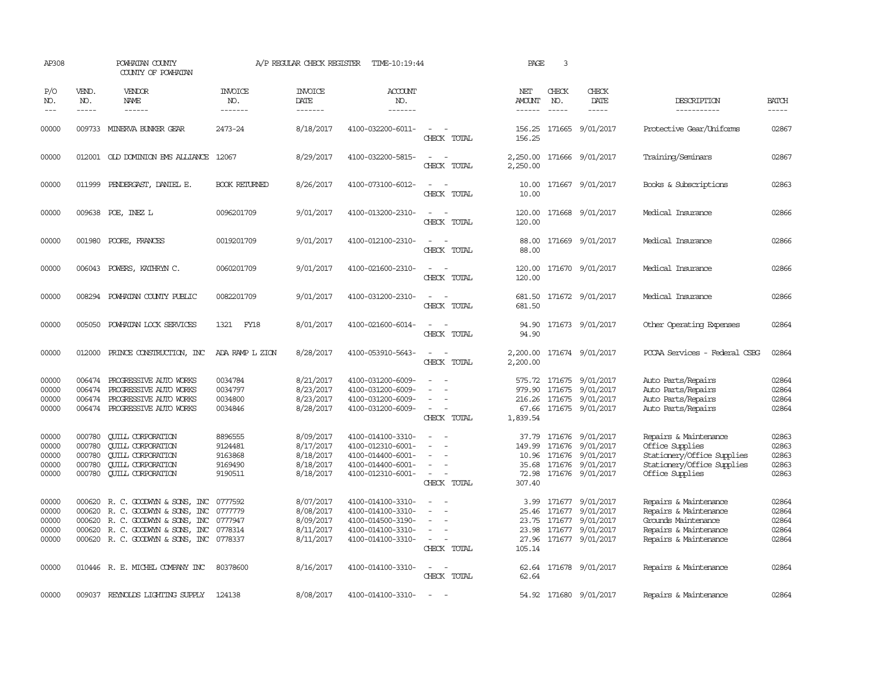| AP308                                     |                                                | POWHATAN COUNTY<br>COUNTY OF POWHATAN                                                                                                                              |                                                     | A/P REGULAR CHECK REGISTER                                    | TIME-10:19:44                                                                                         |                                                                         | PAGE                                               | 3                                      |                                                                                           |                                                                                                                         |                                           |
|-------------------------------------------|------------------------------------------------|--------------------------------------------------------------------------------------------------------------------------------------------------------------------|-----------------------------------------------------|---------------------------------------------------------------|-------------------------------------------------------------------------------------------------------|-------------------------------------------------------------------------|----------------------------------------------------|----------------------------------------|-------------------------------------------------------------------------------------------|-------------------------------------------------------------------------------------------------------------------------|-------------------------------------------|
| P/O<br>NO.<br>$---$                       | VEND.<br>NO.<br>$- - - - -$                    | VENDOR<br>NAME<br>------                                                                                                                                           | <b>INVOICE</b><br>NO.<br>-------                    | <b>INVOICE</b><br>DATE<br>--------                            | <b>ACCOUNT</b><br>NO.<br>-------                                                                      |                                                                         | NET<br>AMOUNT<br>$- - - - - -$                     | CHECK<br>NO.<br>$\frac{1}{2}$          | CHECK<br>DATE<br>$- - - - -$                                                              | DESCRIPTION<br>-----------                                                                                              | <b>BATCH</b><br>-----                     |
| 00000                                     |                                                | 009733 MINERVA BUNKER GEAR                                                                                                                                         | 2473-24                                             | 8/18/2017                                                     | 4100-032200-6011-                                                                                     | $\equiv$<br>CHECK TOTAL                                                 | 156.25<br>156.25                                   |                                        | 171665 9/01/2017                                                                          | Protective Gear/Uniforms                                                                                                | 02867                                     |
| 00000                                     |                                                | 012001 OLD DOMINION EMS ALLIANCE 12067                                                                                                                             |                                                     | 8/29/2017                                                     | 4100-032200-5815-                                                                                     | CHECK TOTAL                                                             | 2,250.00<br>2,250.00                               |                                        | 171666 9/01/2017                                                                          | Training/Seminars                                                                                                       | 02867                                     |
| 00000                                     |                                                | 011999 PENDERGAST, DANIEL E.                                                                                                                                       | <b>BOOK RETURNED</b>                                | 8/26/2017                                                     | 4100-073100-6012-                                                                                     | $\sim$ $\sim$<br>CHECK TOTAL                                            | 10.00<br>10.00                                     |                                        | 171667 9/01/2017                                                                          | Books & Subscriptions                                                                                                   | 02863                                     |
| 00000                                     |                                                | 009638 POE, INEZ L                                                                                                                                                 | 0096201709                                          | 9/01/2017                                                     | 4100-013200-2310-                                                                                     | $ -$<br>CHECK TOTAL                                                     | 120.00<br>120.00                                   |                                        | 171668 9/01/2017                                                                          | Medical Insurance                                                                                                       | 02866                                     |
| 00000                                     |                                                | 001980 POORE, FRANCES                                                                                                                                              | 0019201709                                          | 9/01/2017                                                     | 4100-012100-2310-                                                                                     | CHECK TOTAL                                                             | 88.00<br>88.00                                     |                                        | 171669 9/01/2017                                                                          | Medical Insurance                                                                                                       | 02866                                     |
| 00000                                     |                                                | 006043 POWERS, KATHRYN C.                                                                                                                                          | 0060201709                                          | 9/01/2017                                                     | 4100-021600-2310-                                                                                     | CHECK TOTAL                                                             | 120.00<br>120.00                                   |                                        | 171670 9/01/2017                                                                          | Medical Insurance                                                                                                       | 02866                                     |
| 00000                                     |                                                | 008294 POWHATAN COUNTY PUBLIC                                                                                                                                      | 0082201709                                          | 9/01/2017                                                     | 4100-031200-2310-                                                                                     | $\overline{\phantom{a}}$<br>CHECK TOTAL                                 | 681.50<br>681.50                                   |                                        | 171672 9/01/2017                                                                          | Medical Insurance                                                                                                       | 02866                                     |
| 00000                                     | 005050                                         | POWHATAN LOCK SERVICES                                                                                                                                             | <b>FY18</b><br>1321                                 | 8/01/2017                                                     | 4100-021600-6014-                                                                                     | $\overline{\phantom{a}}$<br>CHECK TOTAL                                 | 94.90<br>94.90                                     |                                        | 171673 9/01/2017                                                                          | Other Operating Expenses                                                                                                | 02864                                     |
| 00000                                     | 012000                                         | PRINCE CONSTRUCTION, INC.                                                                                                                                          | ADA RAMP L ZION                                     | 8/28/2017                                                     | 4100-053910-5643-                                                                                     | CHECK TOTAL                                                             | 2,200.00<br>2,200.00                               |                                        | 171674 9/01/2017                                                                          | PCCAA Services - Federal CSBG                                                                                           | 02864                                     |
| 00000<br>00000<br>00000<br>00000          | 006474<br>006474<br>006474<br>006474           | PROGRESSIVE AUTO WORKS<br>PROGRESSIVE AUTO WORKS<br>PROGRESSIVE AUTO WORKS<br>PROGRESSIVE AUTO WORKS                                                               | 0034784<br>0034797<br>0034800<br>0034846            | 8/21/2017<br>8/23/2017<br>8/23/2017<br>8/28/2017              | 4100-031200-6009-<br>4100-031200-6009-<br>4100-031200-6009-<br>4100-031200-6009-                      | $\sim$<br>$\sim$<br>CHECK TOTAL                                         | 979.90<br>67.66<br>1,839.54                        | 171675<br>171675                       | 575.72 171675 9/01/2017<br>9/01/2017<br>216.26 171675 9/01/2017<br>9/01/2017              | Auto Parts/Repairs<br>Auto Parts/Repairs<br>Auto Parts/Repairs<br>Auto Parts/Repairs                                    | 02864<br>02864<br>02864<br>02864          |
| 00000<br>00000<br>00000<br>00000<br>00000 | 000780<br>000780<br>000780<br>000780<br>000780 | <b>CUILL CORPORATION</b><br><b>CUILL CORPORATION</b><br><b>CUILL CORPORATION</b><br><b>CUILL CORPORATION</b><br><b>CUILL CORPORATION</b>                           | 8896555<br>9124481<br>9163868<br>9169490<br>9190511 | 8/09/2017<br>8/17/2017<br>8/18/2017<br>8/18/2017<br>8/18/2017 | 4100-014100-3310-<br>4100-012310-6001-<br>4100-014400-6001-<br>4100-014400-6001-<br>4100-012310-6001- | $\overline{\phantom{a}}$<br>$\equiv$<br>$\sim$<br>CHECK TOTAL           | 37.79<br>149.99<br>72.98<br>307.40                 | 171676<br>10.96 171676<br>35.68 171676 | 171676 9/01/2017<br>9/01/2017<br>9/01/2017<br>9/01/2017<br>171676 9/01/2017               | Repairs & Maintenance<br>Office Supplies<br>Stationery/Office Supplies<br>Stationery/Office Supplies<br>Office Supplies | 02863<br>02863<br>02863<br>02863<br>02863 |
| 00000<br>00000<br>00000<br>00000<br>00000 | 000620<br>000620<br>000620                     | R. C. GOODWYN & SONS, INC<br>R. C. GOODWIN & SONS, INC<br>R. C. GOODWYN & SONS, INC<br>000620 R.C. GOODWYN & SONS, INC<br>000620 R. C. GOODWYN & SONS, INC 0778337 | 0777592<br>0777779<br>0777947<br>0778314            | 8/07/2017<br>8/08/2017<br>8/09/2017<br>8/11/2017<br>8/11/2017 | 4100-014100-3310-<br>4100-014100-3310-<br>4100-014500-3190-<br>4100-014100-3310-<br>4100-014100-3310- | $\sim$<br>$\equiv$<br>$\sim$<br>$\overline{\phantom{a}}$<br>CHECK TOTAL | 3.99<br>25.46<br>23.75<br>23.98<br>27.96<br>105.14 | 171677                                 | 171677 9/01/2017<br>9/01/2017<br>171677 9/01/2017<br>171677 9/01/2017<br>171677 9/01/2017 | Repairs & Maintenance<br>Repairs & Maintenance<br>Grounds Maintenance<br>Repairs & Maintenance<br>Repairs & Maintenance | 02864<br>02864<br>02864<br>02864<br>02864 |
| 00000                                     |                                                | 010446 R. E. MICHEL COMPANY INC                                                                                                                                    | 80378600                                            | 8/16/2017                                                     | 4100-014100-3310-                                                                                     | $\sim$<br>CHECK TOTAL                                                   | 62.64                                              |                                        | 62.64 171678 9/01/2017                                                                    | Repairs & Maintenance                                                                                                   | 02864                                     |
| 00000                                     |                                                | 009037 REYNOLDS LIGHTING SUPPLY                                                                                                                                    | 124138                                              | 8/08/2017                                                     | 4100-014100-3310-                                                                                     | $\sim$                                                                  |                                                    |                                        | 54.92 171680 9/01/2017                                                                    | Repairs & Maintenance                                                                                                   | 02864                                     |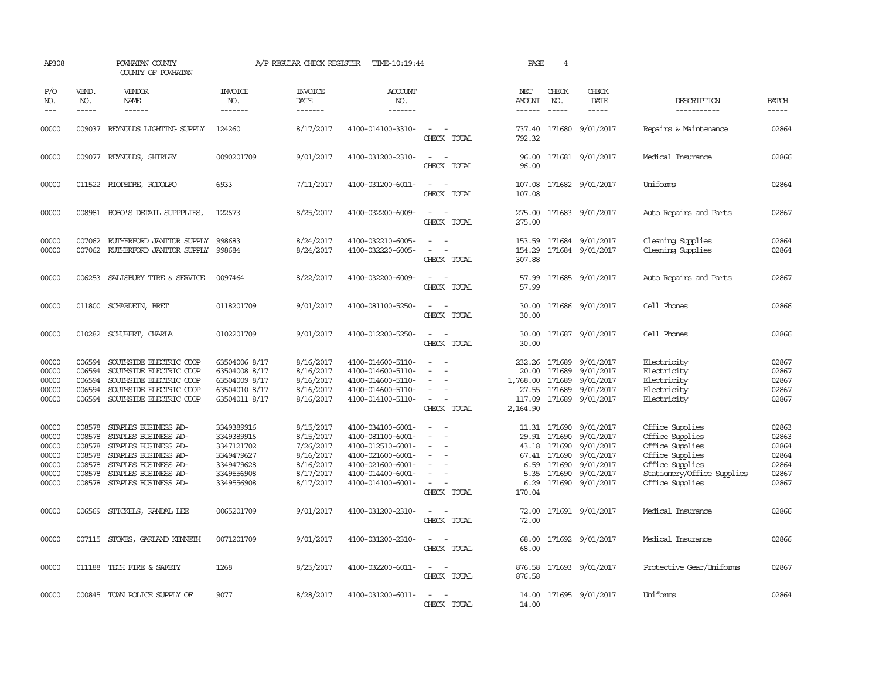| AP308                                                       |                                                          | POWHATAN COUNTY<br>COUNTY OF POWHATAN                                                                                                                                       |                                                                                                | A/P REGULAR CHECK REGISTER                                                              | TIME-10:19:44                                                                                                                                   |                                                                               | PAGE                                   | $\overline{4}$                                                                   |                                                                                                |                                                                                                                                              |                                                             |
|-------------------------------------------------------------|----------------------------------------------------------|-----------------------------------------------------------------------------------------------------------------------------------------------------------------------------|------------------------------------------------------------------------------------------------|-----------------------------------------------------------------------------------------|-------------------------------------------------------------------------------------------------------------------------------------------------|-------------------------------------------------------------------------------|----------------------------------------|----------------------------------------------------------------------------------|------------------------------------------------------------------------------------------------|----------------------------------------------------------------------------------------------------------------------------------------------|-------------------------------------------------------------|
| P/O<br>NO.<br>$---$                                         | VEND.<br>NO.<br>$\frac{1}{2}$                            | <b>VENDOR</b><br>NAME<br>$- - - - - -$                                                                                                                                      | <b>INVOICE</b><br>NO.<br>--------                                                              | <b>INVOICE</b><br>DATE<br>-------                                                       | <b>ACCOUNT</b><br>NO.<br>-------                                                                                                                |                                                                               | NET<br>AMOUNT                          | CHECK<br>NO.<br>$\frac{1}{2}$                                                    | CHECK<br>DATE<br>$- - - - -$                                                                   | DESCRIPTION<br>-----------                                                                                                                   | <b>BATCH</b><br>$- - - - -$                                 |
| 00000                                                       |                                                          | 009037 REYNOLDS LIGHTING SUPPLY                                                                                                                                             | 124260                                                                                         | 8/17/2017                                                                               | 4100-014100-3310-                                                                                                                               | $\sim$ $\sim$<br>CHECK TOTAL                                                  | 792.32                                 |                                                                                  | 737.40 171680 9/01/2017                                                                        | Repairs & Maintenance                                                                                                                        | 02864                                                       |
| 00000                                                       |                                                          | 009077 REYNOLDS, SHIRLEY                                                                                                                                                    | 0090201709                                                                                     | 9/01/2017                                                                               | 4100-031200-2310-                                                                                                                               | $\sim$<br>$\sim$<br>CHECK TOTAL                                               | 96.00<br>96.00                         |                                                                                  | 171681 9/01/2017                                                                               | Medical Insurance                                                                                                                            | 02866                                                       |
| 00000                                                       |                                                          | 011522 RIOPEDRE, RODOLFO                                                                                                                                                    | 6933                                                                                           | 7/11/2017                                                                               | 4100-031200-6011-                                                                                                                               | $\sim$<br>$\sim$<br>CHECK TOTAL                                               | 107.08                                 |                                                                                  | 107.08 171682 9/01/2017                                                                        | Uniforms                                                                                                                                     | 02864                                                       |
| 00000                                                       |                                                          | 008981 ROBO'S DETAIL SUPPPLIES,                                                                                                                                             | 122673                                                                                         | 8/25/2017                                                                               | 4100-032200-6009-                                                                                                                               | CHECK TOTAL                                                                   | 275.00                                 |                                                                                  | 275.00 171683 9/01/2017                                                                        | Auto Repairs and Parts                                                                                                                       | 02867                                                       |
| 00000<br>00000                                              | 007062<br>007062                                         | RUIHERFORD JANITOR SUPPLY<br>RUTHERFORD JANITOR SUPPLY                                                                                                                      | 998683<br>998684                                                                               | 8/24/2017<br>8/24/2017                                                                  | 4100-032210-6005-<br>4100-032220-6005-                                                                                                          | CHECK TOTAL                                                                   | 153.59<br>154.29<br>307.88             |                                                                                  | 171684 9/01/2017<br>171684 9/01/2017                                                           | Cleaning Supplies<br>Cleaning Supplies                                                                                                       | 02864<br>02864                                              |
| 00000                                                       | 006253                                                   | SALISBURY TIRE $\&$ SERVICE                                                                                                                                                 | 0097464                                                                                        | 8/22/2017                                                                               | 4100-032200-6009-                                                                                                                               | CHECK TOTAL                                                                   | 57.99<br>57.99                         |                                                                                  | 171685 9/01/2017                                                                               | Auto Repairs and Parts                                                                                                                       | 02867                                                       |
| 00000                                                       |                                                          | 011800 SCHARDEIN, BRET                                                                                                                                                      | 0118201709                                                                                     | 9/01/2017                                                                               | 4100-081100-5250-                                                                                                                               | CHECK TOTAL                                                                   | 30.00<br>30.00                         |                                                                                  | 171686 9/01/2017                                                                               | Cell Phones                                                                                                                                  | 02866                                                       |
| 00000                                                       |                                                          | 010282 SCHUBERT, CHARLA                                                                                                                                                     | 0102201709                                                                                     | 9/01/2017                                                                               | 4100-012200-5250-                                                                                                                               | $\overline{\phantom{a}}$<br>CHECK TOTAL                                       | 30.00                                  |                                                                                  | 30.00 171687 9/01/2017                                                                         | Cell Phones                                                                                                                                  | 02866                                                       |
| 00000<br>00000<br>00000<br>00000<br>00000                   | 006594<br>006594<br>006594<br>006594                     | SOUTHSIDE ELECTRIC COOP<br>SOUTHSIDE ELECTRIC COOP<br>SOUTHSIDE ELECTRIC COOP<br>SOUTHSIDE ELECTRIC COOP<br>006594 SOUTHSIDE ELECTRIC COOP                                  | 63504006 8/17<br>63504008 8/17<br>63504009 8/17<br>63504010 8/17<br>63504011 8/17              | 8/16/2017<br>8/16/2017<br>8/16/2017<br>8/16/2017<br>8/16/2017                           | 4100-014600-5110-<br>4100-014600-5110-<br>4100-014600-5110-<br>4100-014600-5110-<br>4100-014100-5110-                                           | $\sim$<br>$\overline{\phantom{a}}$<br>$\overline{\phantom{a}}$<br>CHECK TOTAL | 20.00<br>1,768.00<br>27.55<br>2,164.90 | 232.26 171689<br>171689<br>171689<br>171689                                      | 9/01/2017<br>9/01/2017<br>9/01/2017<br>9/01/2017<br>117.09 171689 9/01/2017                    | Electricity<br>Electricity<br>Electricity<br>Electricity<br>Electricity                                                                      | 02867<br>02867<br>02867<br>02867<br>02867                   |
| 00000<br>00000<br>00000<br>00000<br>00000<br>00000<br>00000 | 008578<br>008578<br>008578<br>008578<br>008578<br>008578 | STAPLES BUSINESS AD-<br>STAPLES BUSINESS AD-<br>008578 STAPLES BUSINESS AD-<br>STAPLES BUSINESS AD-<br>STAPLES BUSINESS AD-<br>STAPLES BUSINESS AD-<br>STAPLES BUSINESS AD- | 3349389916<br>3349389916<br>3347121702<br>3349479627<br>3349479628<br>3349556908<br>3349556908 | 8/15/2017<br>8/15/2017<br>7/26/2017<br>8/16/2017<br>8/16/2017<br>8/17/2017<br>8/17/2017 | 4100-034100-6001-<br>4100-081100-6001-<br>4100-012510-6001-<br>4100-021600-6001-<br>4100-021600-6001-<br>4100-014400-6001-<br>4100-014100-6001- | $\sim$<br>$\overline{\phantom{a}}$<br>$\overline{\phantom{a}}$<br>CHECK TOTAL | 6.59<br>5.35<br>6.29<br>170.04         | 11.31 171690<br>29.91 171690<br>43.18 171690<br>67.41 171690<br>171690<br>171690 | 9/01/2017<br>9/01/2017<br>9/01/2017<br>9/01/2017<br>9/01/2017<br>171690 9/01/2017<br>9/01/2017 | Office Supplies<br>Office Supplies<br>Office Supplies<br>Office Supplies<br>Office Supplies<br>Stationery/Office Supplies<br>Office Supplies | 02863<br>02863<br>02864<br>02864<br>02864<br>02867<br>02867 |
| 00000                                                       |                                                          | 006569 STICKELS, RANDAL LEE                                                                                                                                                 | 0065201709                                                                                     | 9/01/2017                                                                               | 4100-031200-2310-                                                                                                                               | $\overline{\phantom{a}}$<br>CHECK TOTAL                                       | 72.00<br>72.00                         |                                                                                  | 171691 9/01/2017                                                                               | Medical Insurance                                                                                                                            | 02866                                                       |
| 00000                                                       |                                                          | 007115 STOKES, GARLAND KENNETH                                                                                                                                              | 0071201709                                                                                     | 9/01/2017                                                                               | 4100-031200-2310-                                                                                                                               | CHECK TOTAL                                                                   | 68.00<br>68.00                         |                                                                                  | 171692 9/01/2017                                                                               | Medical Insurance                                                                                                                            | 02866                                                       |
| 00000                                                       |                                                          | 011188 TECH FIRE & SAFETY                                                                                                                                                   | 1268                                                                                           | 8/25/2017                                                                               | 4100-032200-6011-                                                                                                                               | $\overline{\phantom{a}}$<br>CHECK TOTAL                                       | 876.58<br>876.58                       |                                                                                  | 171693 9/01/2017                                                                               | Protective Gear/Uniforms                                                                                                                     | 02867                                                       |
| 00000                                                       |                                                          | 000845 TOWN POLICE SUPPLY OF                                                                                                                                                | 9077                                                                                           | 8/28/2017                                                                               | 4100-031200-6011-                                                                                                                               | $\sim$<br>CHECK TOTAL                                                         | 14.00<br>14.00                         |                                                                                  | 171695 9/01/2017                                                                               | Uniforms                                                                                                                                     | 02864                                                       |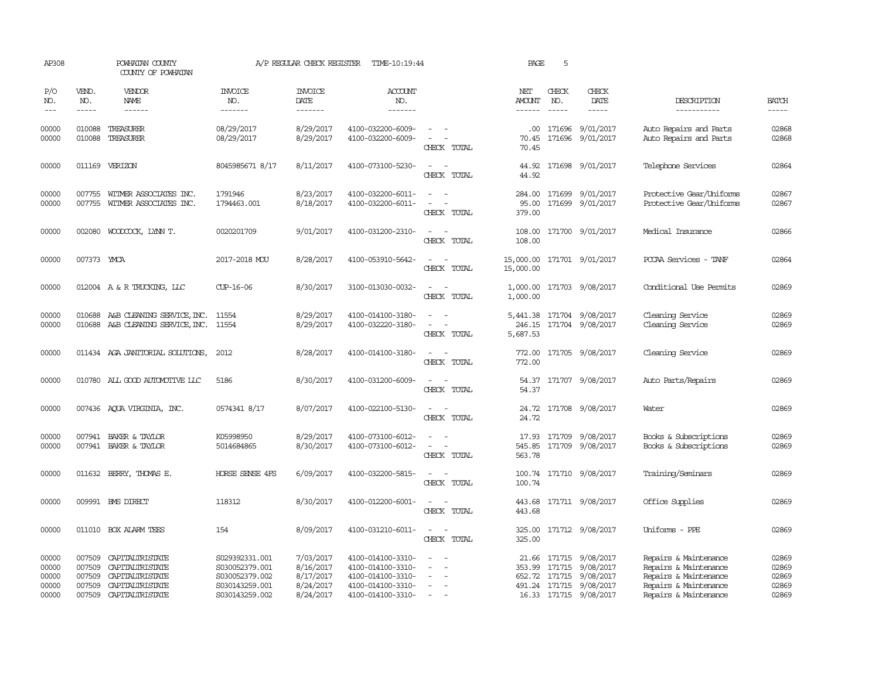| AP308                                     |                                                | POWHATAN COUNTY<br>COUNTY OF POWHATAN                                                       |                                                                                        | A/P REGULAR CHECK REGISTER                                    | TIME-10:19:44                                                                                         |                                                                                                                                                         | PAGE                           | 5                             |                                                                                                                            |                                                                                                                           |                                           |
|-------------------------------------------|------------------------------------------------|---------------------------------------------------------------------------------------------|----------------------------------------------------------------------------------------|---------------------------------------------------------------|-------------------------------------------------------------------------------------------------------|---------------------------------------------------------------------------------------------------------------------------------------------------------|--------------------------------|-------------------------------|----------------------------------------------------------------------------------------------------------------------------|---------------------------------------------------------------------------------------------------------------------------|-------------------------------------------|
| P/O<br>NO.<br>$---$                       | VEND.<br>NO.<br>$- - - - -$                    | VENDOR<br>NAME<br>$- - - - - -$                                                             | <b>INVOICE</b><br>NO.<br>-------                                                       | <b>INVOICE</b><br><b>DATE</b><br>-------                      | <b>ACCOUNT</b><br>NO.<br>-------                                                                      |                                                                                                                                                         | NET<br><b>AMOUNT</b><br>------ | CHECK<br>NO.<br>$\frac{1}{2}$ | CHECK<br>DATE<br>$- - - - -$                                                                                               | DESCRIPTION<br>-----------                                                                                                | <b>BATCH</b><br>-----                     |
| 00000<br>00000                            | 010088                                         | TREASURER<br>010088 TREASURER                                                               | 08/29/2017<br>08/29/2017                                                               | 8/29/2017<br>8/29/2017                                        | 4100-032200-6009-<br>4100-032200-6009-                                                                | $\sim$<br>$\sim$<br>CHECK TOTAL                                                                                                                         | $.00 \cdot$<br>70.45           |                               | 171696 9/01/2017<br>70.45 171696 9/01/2017                                                                                 | Auto Repairs and Parts<br>Auto Repairs and Parts                                                                          | 02868<br>02868                            |
| 00000                                     | 011169                                         | VERIZON                                                                                     | 8045985671 8/17                                                                        | 8/11/2017                                                     | 4100-073100-5230-                                                                                     | $\overline{\phantom{a}}$<br>CHECK TOTAL                                                                                                                 | 44.92<br>44.92                 |                               | 171698 9/01/2017                                                                                                           | Telephone Services                                                                                                        | 02864                                     |
| 00000<br>00000                            | 007755<br>007755                               | WITMER ASSOCIATES INC.<br>WITMER ASSOCIATES INC.                                            | 1791946<br>1794463.001                                                                 | 8/23/2017<br>8/18/2017                                        | 4100-032200-6011-<br>4100-032200-6011-                                                                | CHECK TOTAL                                                                                                                                             | 284.00<br>95.00<br>379.00      |                               | 171699 9/01/2017<br>171699 9/01/2017                                                                                       | Protective Gear/Uniforms<br>Protective Gear/Uniforms                                                                      | 02867<br>02867                            |
| 00000                                     | 002080                                         | WOODCOCK, LYNN T.                                                                           | 0020201709                                                                             | 9/01/2017                                                     | 4100-031200-2310-                                                                                     | CHECK TOTAL                                                                                                                                             | 108.00<br>108.00               |                               | 171700 9/01/2017                                                                                                           | Medical Insurance                                                                                                         | 02866                                     |
| 00000                                     | 007373 YMCA                                    |                                                                                             | 2017-2018 MOU                                                                          | 8/28/2017                                                     | 4100-053910-5642-                                                                                     | CHECK TOTAL                                                                                                                                             | 15,000.00<br>15,000.00         |                               | 171701 9/01/2017                                                                                                           | PCCAA Services - TANF                                                                                                     | 02864                                     |
| 00000                                     |                                                | 012004 A & R TRUCKING, LLC                                                                  | CUP-16-06                                                                              | 8/30/2017                                                     | 3100-013030-0032-                                                                                     | $\sim$<br>CHECK TOTAL                                                                                                                                   | 1,000.00<br>1,000.00           |                               | 171703 9/08/2017                                                                                                           | Conditional Use Permits                                                                                                   | 02869                                     |
| 00000<br>00000                            | 010688                                         | A&B CLEANING SERVICE, INC. 11554<br>010688 A&B CLEANING SERVICE, INC. 11554                 |                                                                                        | 8/29/2017<br>8/29/2017                                        | 4100-014100-3180-<br>4100-032220-3180-                                                                | $\frac{1}{2} \left( \frac{1}{2} \right) \left( \frac{1}{2} \right) = \frac{1}{2} \left( \frac{1}{2} \right)$<br>$\overline{\phantom{a}}$<br>CHECK TOTAL | 246.15<br>5,687.53             |                               | 5,441.38 171704 9/08/2017<br>171704 9/08/2017                                                                              | Cleaning Service<br>Cleaning Service                                                                                      | 02869<br>02869                            |
| 00000                                     |                                                | 011434 AGA JANITORIAL SOLUTIONS,                                                            | 2012                                                                                   | 8/28/2017                                                     | 4100-014100-3180-                                                                                     | $\overline{\phantom{a}}$<br>CHECK TOTAL                                                                                                                 | 772.00<br>772.00               |                               | 171705 9/08/2017                                                                                                           | Cleaning Service                                                                                                          | 02869                                     |
| 00000                                     |                                                | 010780 ALL GOOD AUTOMOTIVE LLC                                                              | 5186                                                                                   | 8/30/2017                                                     | 4100-031200-6009-                                                                                     | $\equiv$<br>CHECK TOTAL                                                                                                                                 | 54.37                          |                               | 54.37 171707 9/08/2017                                                                                                     | Auto Parts/Repairs                                                                                                        | 02869                                     |
| 00000                                     |                                                | 007436 AQUA VIRGINIA, INC.                                                                  | 0574341 8/17                                                                           | 8/07/2017                                                     | 4100-022100-5130-                                                                                     | CHECK TOTAL                                                                                                                                             | 24.72                          |                               | 24.72 171708 9/08/2017                                                                                                     | Water                                                                                                                     | 02869                                     |
| 00000<br>00000                            |                                                | 007941 BAKER & TAYLOR<br>007941 BAKER & TAYLOR                                              | K05998950<br>5014684865                                                                | 8/29/2017<br>8/30/2017                                        | 4100-073100-6012-<br>4100-073100-6012-                                                                | $\overline{\phantom{a}}$<br>$\overline{a}$<br>CHECK TOTAL                                                                                               | 17.93<br>545.85<br>563.78      |                               | 171709 9/08/2017<br>171709 9/08/2017                                                                                       | Books & Subscriptions<br>Books & Subscriptions                                                                            | 02869<br>02869                            |
| 00000                                     |                                                | 011632 BERRY, THOMAS E.                                                                     | HORSE SENSE 4FS                                                                        | 6/09/2017                                                     | 4100-032200-5815-                                                                                     | CHECK TOTAL                                                                                                                                             | 100.74                         |                               | 100.74 171710 9/08/2017                                                                                                    | Training/Seminars                                                                                                         | 02869                                     |
| 00000                                     |                                                | 009991 BMS DIRECT                                                                           | 118312                                                                                 | 8/30/2017                                                     | 4100-012200-6001-                                                                                     | $\equiv$<br>$\sim$<br>CHECK TOTAL                                                                                                                       | 443.68                         |                               | 443.68 171711 9/08/2017                                                                                                    | Office Supplies                                                                                                           | 02869                                     |
| 00000                                     |                                                | 011010 BOX ALARM TEES                                                                       | 154                                                                                    | 8/09/2017                                                     | 4100-031210-6011-                                                                                     | $\frac{1}{2} \left( \frac{1}{2} \right) \left( \frac{1}{2} \right) = \frac{1}{2} \left( \frac{1}{2} \right)$<br>CHECK TOTAL                             | 325.00                         |                               | 325.00 171712 9/08/2017                                                                                                    | Uniforms - PPE                                                                                                            | 02869                                     |
| 00000<br>00000<br>00000<br>00000<br>00000 | 007509<br>007509<br>007509<br>007509<br>007509 | CAPITALIRISTATE<br>CAPITALIRISTATE<br>CAPITALIRISTATE<br>CAPITALIRISTATE<br>CAPITALIRISTATE | S029392331.001<br>S030052379.001<br>S030052379.002<br>S030143259.001<br>S030143259.002 | 7/03/2017<br>8/16/2017<br>8/17/2017<br>8/24/2017<br>8/24/2017 | 4100-014100-3310-<br>4100-014100-3310-<br>4100-014100-3310-<br>4100-014100-3310-<br>4100-014100-3310- | $\overline{\phantom{a}}$<br>$\equiv$                                                                                                                    | 353.99                         |                               | 21.66 171715 9/08/2017<br>171715 9/08/2017<br>652.72 171715 9/08/2017<br>491.24 171715 9/08/2017<br>16.33 171715 9/08/2017 | Repairs & Maintenance<br>Repairs & Maintenance<br>Repairs & Maintenance<br>Repairs & Maintenance<br>Repairs & Maintenance | 02869<br>02869<br>02869<br>02869<br>02869 |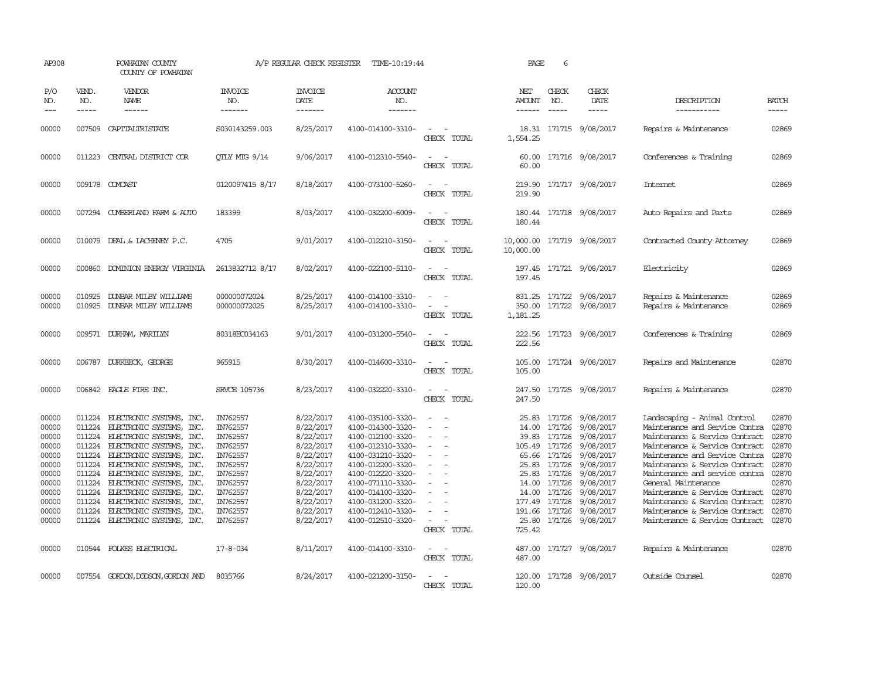| AP308                                                                                                             |                                                                                                                      | POWHATAN COUNTY<br>COUNTY OF POWHATAN                                                                                                                                                                                                                                                                                                                                    |                                                                                                                                                                | A/P REGULAR CHECK REGISTER                                                                                                                                            | TIME-10:19:44                                                                                                                                                                                                                                                                 |                                                                                                                                                                                                                          | PAGE                                                         | 6                                                                                                                            |                                                                                                                                                                                                               |                                                                                                                                                                                                                                                                                                                                                                                                                                  |                                                                                                                   |
|-------------------------------------------------------------------------------------------------------------------|----------------------------------------------------------------------------------------------------------------------|--------------------------------------------------------------------------------------------------------------------------------------------------------------------------------------------------------------------------------------------------------------------------------------------------------------------------------------------------------------------------|----------------------------------------------------------------------------------------------------------------------------------------------------------------|-----------------------------------------------------------------------------------------------------------------------------------------------------------------------|-------------------------------------------------------------------------------------------------------------------------------------------------------------------------------------------------------------------------------------------------------------------------------|--------------------------------------------------------------------------------------------------------------------------------------------------------------------------------------------------------------------------|--------------------------------------------------------------|------------------------------------------------------------------------------------------------------------------------------|---------------------------------------------------------------------------------------------------------------------------------------------------------------------------------------------------------------|----------------------------------------------------------------------------------------------------------------------------------------------------------------------------------------------------------------------------------------------------------------------------------------------------------------------------------------------------------------------------------------------------------------------------------|-------------------------------------------------------------------------------------------------------------------|
| P/O<br>NO.<br>$---$                                                                                               | VEND.<br>NO.<br>$- - - - -$                                                                                          | VENDOR<br>NAME<br>------                                                                                                                                                                                                                                                                                                                                                 | INVOICE<br>NO.<br>-------                                                                                                                                      | <b>INVOICE</b><br>DATE<br>-------                                                                                                                                     | <b>ACCOUNT</b><br>NO.<br>-------                                                                                                                                                                                                                                              |                                                                                                                                                                                                                          | NET<br>AMOUNT<br>------                                      | CHECK<br>NO.                                                                                                                 | CHECK<br>DATE<br>$- - - - -$                                                                                                                                                                                  | DESCRIPTION<br>-----------                                                                                                                                                                                                                                                                                                                                                                                                       | <b>BATCH</b><br>$- - - - -$                                                                                       |
| 00000                                                                                                             | 007509                                                                                                               | CAPITALIRISTATE                                                                                                                                                                                                                                                                                                                                                          | S030143259.003                                                                                                                                                 | 8/25/2017                                                                                                                                                             | 4100-014100-3310-                                                                                                                                                                                                                                                             | $\overline{\phantom{a}}$<br>CHECK TOTAL                                                                                                                                                                                  | 1,554.25                                                     |                                                                                                                              | 18.31 171715 9/08/2017                                                                                                                                                                                        | Repairs & Maintenance                                                                                                                                                                                                                                                                                                                                                                                                            | 02869                                                                                                             |
| 00000                                                                                                             | 011223                                                                                                               | CENTRAL DISTRICT COR                                                                                                                                                                                                                                                                                                                                                     | OTLY MTG 9/14                                                                                                                                                  | 9/06/2017                                                                                                                                                             | 4100-012310-5540-                                                                                                                                                                                                                                                             | $\overline{\phantom{a}}$<br>CHECK TOTAL                                                                                                                                                                                  | 60.00<br>60.00                                               |                                                                                                                              | 171716 9/08/2017                                                                                                                                                                                              | Conferences & Training                                                                                                                                                                                                                                                                                                                                                                                                           | 02869                                                                                                             |
| 00000                                                                                                             |                                                                                                                      | 009178 COMCAST                                                                                                                                                                                                                                                                                                                                                           | 0120097415 8/17                                                                                                                                                | 8/18/2017                                                                                                                                                             | 4100-073100-5260-                                                                                                                                                                                                                                                             | $\equiv$<br>CHECK TOTAL                                                                                                                                                                                                  | 219.90<br>219.90                                             |                                                                                                                              | 171717 9/08/2017                                                                                                                                                                                              | Internet                                                                                                                                                                                                                                                                                                                                                                                                                         | 02869                                                                                                             |
| 00000                                                                                                             |                                                                                                                      | 007294 CUMBERLAND FARM & AUTO                                                                                                                                                                                                                                                                                                                                            | 183399                                                                                                                                                         | 8/03/2017                                                                                                                                                             | 4100-032200-6009-                                                                                                                                                                                                                                                             | $\equiv$<br>CHECK TOTAL                                                                                                                                                                                                  | 180.44                                                       |                                                                                                                              | 180.44 171718 9/08/2017                                                                                                                                                                                       | Auto Repairs and Parts                                                                                                                                                                                                                                                                                                                                                                                                           | 02869                                                                                                             |
| 00000                                                                                                             |                                                                                                                      | 010079 DEAL & LACHENEY P.C.                                                                                                                                                                                                                                                                                                                                              | 4705                                                                                                                                                           | 9/01/2017                                                                                                                                                             | 4100-012210-3150-                                                                                                                                                                                                                                                             | $\sim$<br>CHECK TOTAL                                                                                                                                                                                                    | 10,000.00 171719 9/08/2017<br>10,000.00                      |                                                                                                                              |                                                                                                                                                                                                               | Contracted County Attomey                                                                                                                                                                                                                                                                                                                                                                                                        | 02869                                                                                                             |
| 00000                                                                                                             |                                                                                                                      | 000860 DOMINION ENERGY VIRGINIA                                                                                                                                                                                                                                                                                                                                          | 2613832712 8/17                                                                                                                                                | 8/02/2017                                                                                                                                                             | 4100-022100-5110-                                                                                                                                                                                                                                                             | $\overline{\phantom{a}}$<br>CHECK TOTAL                                                                                                                                                                                  | 197.45                                                       |                                                                                                                              | 197.45 171721 9/08/2017                                                                                                                                                                                       | Electricity                                                                                                                                                                                                                                                                                                                                                                                                                      | 02869                                                                                                             |
| 00000<br>00000                                                                                                    | 010925                                                                                                               | DUNBAR MILBY WILLIAMS<br>010925 DUNBAR MILBY WILLIAMS                                                                                                                                                                                                                                                                                                                    | 000000072024<br>000000072025                                                                                                                                   | 8/25/2017<br>8/25/2017                                                                                                                                                | 4100-014100-3310-<br>4100-014100-3310-                                                                                                                                                                                                                                        | $\sim$<br>$\overline{\phantom{a}}$<br>CHECK TOTAL                                                                                                                                                                        | 831.25<br>350.00<br>1,181.25                                 |                                                                                                                              | 171722 9/08/2017<br>171722 9/08/2017                                                                                                                                                                          | Repairs & Maintenance<br>Repairs & Maintenance                                                                                                                                                                                                                                                                                                                                                                                   | 02869<br>02869                                                                                                    |
| 00000                                                                                                             |                                                                                                                      | 009571 DURHAM, MARILYN                                                                                                                                                                                                                                                                                                                                                   | 80318EC034163                                                                                                                                                  | 9/01/2017                                                                                                                                                             | 4100-031200-5540-                                                                                                                                                                                                                                                             | $\overline{\phantom{a}}$<br>CHECK TOTAL                                                                                                                                                                                  | 222.56<br>222.56                                             |                                                                                                                              | 171723 9/08/2017                                                                                                                                                                                              | Conferences & Training                                                                                                                                                                                                                                                                                                                                                                                                           | 02869                                                                                                             |
| 00000                                                                                                             |                                                                                                                      | 006787 DURRBECK, GEORGE                                                                                                                                                                                                                                                                                                                                                  | 965915                                                                                                                                                         | 8/30/2017                                                                                                                                                             | 4100-014600-3310-                                                                                                                                                                                                                                                             | $\overline{\phantom{a}}$<br>CHECK TOTAL                                                                                                                                                                                  | 105.00                                                       |                                                                                                                              | 105.00 171724 9/08/2017                                                                                                                                                                                       | Repairs and Maintenance                                                                                                                                                                                                                                                                                                                                                                                                          | 02870                                                                                                             |
| 00000                                                                                                             |                                                                                                                      | 006842 EAGLE FIRE INC.                                                                                                                                                                                                                                                                                                                                                   | <b>SRVCE 105736</b>                                                                                                                                            | 8/23/2017                                                                                                                                                             | 4100-032220-3310-                                                                                                                                                                                                                                                             | $\sim$<br>CHECK TOTAL                                                                                                                                                                                                    | 247.50<br>247.50                                             |                                                                                                                              | 171725 9/08/2017                                                                                                                                                                                              | Repairs & Maintenance                                                                                                                                                                                                                                                                                                                                                                                                            | 02870                                                                                                             |
| 00000<br>00000<br>00000<br>00000<br>00000<br>00000<br>00000<br>00000<br>00000<br>00000<br>00000<br>00000<br>00000 | 011224<br>011224<br>011224<br>011224<br>011224<br>011224<br>011224<br>011224<br>011224<br>011224<br>011224<br>011224 | ELECTRONIC SYSTEMS, INC.<br>ELECTRONIC SYSTEMS, INC.<br>ELECTRONIC SYSTEMS, INC.<br>ELECTRONIC SYSTEMS, INC.<br>ELECTRONIC SYSTEMS, INC.<br>ELECTRONIC SYSTEMS, INC.<br>ELECTRONIC SYSTEMS, INC.<br>ELECTRONIC SYSTEMS, INC.<br>ELECTRONIC SYSTEMS, INC.<br>ELECTRONIC SYSTEMS, INC.<br>ELECTRONIC SYSTEMS, INC.<br>ELECTRONIC SYSTEMS, INC.<br>010544 FOLKES ELECTRICAL | IN762557<br>IN762557<br>IN762557<br>IN762557<br>IN762557<br>IN762557<br>IN762557<br>IN762557<br>IN762557<br>IN762557<br>IN762557<br>IN762557<br>$17 - 8 - 034$ | 8/22/2017<br>8/22/2017<br>8/22/2017<br>8/22/2017<br>8/22/2017<br>8/22/2017<br>8/22/2017<br>8/22/2017<br>8/22/2017<br>8/22/2017<br>8/22/2017<br>8/22/2017<br>8/11/2017 | 4100-035100-3320-<br>4100-014300-3320-<br>4100-012100-3320-<br>4100-012310-3320-<br>4100-031210-3320-<br>4100-012200-3320-<br>4100-012220-3320-<br>4100-071110-3320-<br>4100-014100-3320-<br>4100-031200-3320-<br>4100-012410-3320-<br>4100-012510-3320-<br>4100-014100-3310- | $\sim$<br>$\sim$<br>$\overline{\phantom{a}}$<br>$\overline{\phantom{a}}$<br>$\overline{\phantom{a}}$<br>$\overline{\phantom{a}}$<br>$\equiv$<br>$\overline{\phantom{a}}$<br>CHECK TOTAL<br>$\sim$ 10 $\,$<br>CHECK TOTAL | 25.83<br>39.83<br>25.83<br>177.49 171726<br>725.42<br>487.00 | 171726<br>14.00 171726<br>171726<br>105.49 171726<br>65.66 171726<br>25.83 171726<br>171726<br>14.00 171726<br>191.66 171726 | 9/08/2017<br>9/08/2017<br>9/08/2017<br>9/08/2017<br>9/08/2017<br>9/08/2017<br>9/08/2017<br>9/08/2017<br>14.00 171726 9/08/2017<br>9/08/2017<br>9/08/2017<br>25.80 171726 9/08/2017<br>487.00 171727 9/08/2017 | Landscaping - Animal Control<br>Maintenance and Service Contra<br>Maintenance & Service Contract<br>Maintenance & Service Contract<br>Maintenance and Service Contra<br>Maintenance & Service Contract<br>Maintenance and service contra<br>General Maintenance<br>Maintenance & Service Contract<br>Maintenance & Service Contract<br>Maintenance & Service Contract<br>Maintenance & Service Contract<br>Repairs & Maintenance | 02870<br>02870<br>02870<br>02870<br>02870<br>02870<br>02870<br>02870<br>02870<br>02870<br>02870<br>02870<br>02870 |
| 00000                                                                                                             |                                                                                                                      | 007554 GORDON, DODSON, GORDON AND                                                                                                                                                                                                                                                                                                                                        | 8035766                                                                                                                                                        | 8/24/2017                                                                                                                                                             | 4100-021200-3150-                                                                                                                                                                                                                                                             | CHECK TOTAL                                                                                                                                                                                                              | 120.00                                                       |                                                                                                                              | 120.00 171728 9/08/2017                                                                                                                                                                                       | Outside Counsel                                                                                                                                                                                                                                                                                                                                                                                                                  | 02870                                                                                                             |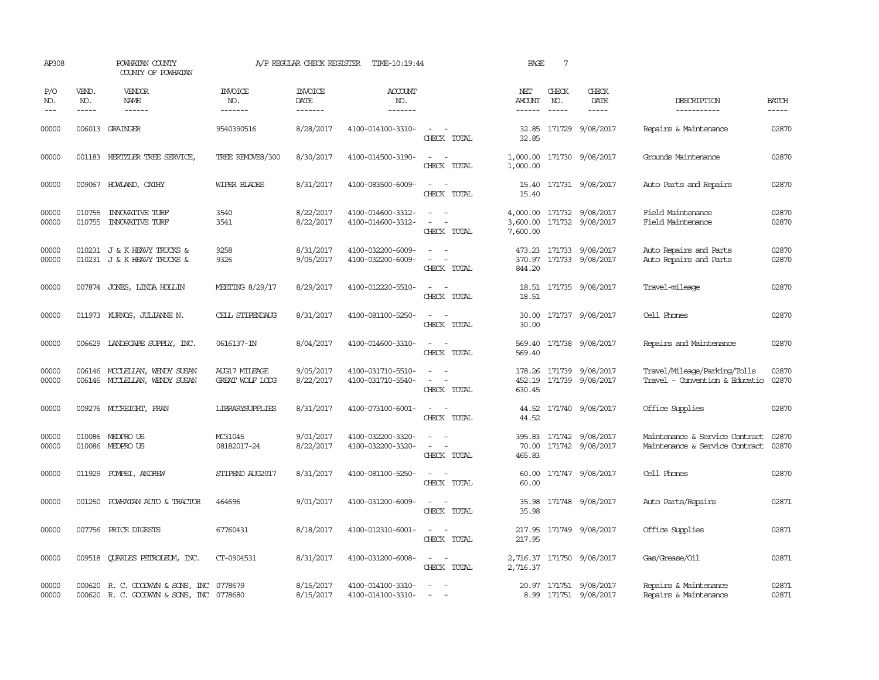| AP308                       |                               | POWHATAN COUNTY<br>COUNTY OF POWHATAN                                                |                                  | A/P REGULAR CHECK REGISTER        | TIME-10:19:44                          |                                                                                                                             | PAGE                      | $7\phantom{.0}$             |                                                    |                                                                  |                             |
|-----------------------------|-------------------------------|--------------------------------------------------------------------------------------|----------------------------------|-----------------------------------|----------------------------------------|-----------------------------------------------------------------------------------------------------------------------------|---------------------------|-----------------------------|----------------------------------------------------|------------------------------------------------------------------|-----------------------------|
| P/O<br>NO.<br>$\frac{1}{2}$ | VEND.<br>NO.<br>$\frac{1}{2}$ | <b>VENDOR</b><br><b>NAME</b><br>$- - - - - -$                                        | <b>INVOICE</b><br>NO.<br>------- | <b>INVOICE</b><br>DATE<br>------- | <b>ACCOUNT</b><br>NO.<br>-------       |                                                                                                                             | NET<br>AMOUNT<br>------   | CHECK<br>NO.<br>$- - - - -$ | CHECK<br>DATE<br>$- - - - -$                       | DESCRIPTION<br>-----------                                       | <b>BATCH</b><br>$- - - - -$ |
| 00000                       |                               | 006013 GRAINGER                                                                      | 9540390516                       | 8/28/2017                         | 4100-014100-3310-                      | $\sim$ $\sim$<br>CHECK TOTAL                                                                                                | 32.85                     |                             | 32.85 171729 9/08/2017                             | Repairs & Maintenance                                            | 02870                       |
| 00000                       |                               | 001183 HERTZLER TREE SERVICE,                                                        | TREE REMOVE8/300                 | 8/30/2017                         | 4100-014500-3190-                      | $\frac{1}{2} \left( \frac{1}{2} \right) \left( \frac{1}{2} \right) = \frac{1}{2} \left( \frac{1}{2} \right)$<br>CHECK TOTAL | 1,000.00                  |                             | 1,000.00 171730 9/08/2017                          | Grounds Maintenance                                              | 02870                       |
| 00000                       |                               | 009067 HOWLAND, CATHY                                                                | <b>WIPER BLADES</b>              | 8/31/2017                         | 4100-083500-6009-                      | $\equiv$<br>CHECK TOTAL                                                                                                     | 15.40                     |                             | 15.40 171731 9/08/2017                             | Auto Parts and Repairs                                           | 02870                       |
| 00000<br>00000              | 010755<br>010755              | <b>INXXATIVE TURF</b><br><b>INOVATIVE TURF</b>                                       | 3540<br>3541                     | 8/22/2017<br>8/22/2017            | 4100-014600-3312-<br>4100-014600-3312- | $\equiv$<br>CHECK TOTAL                                                                                                     | 3,600.00<br>7,600.00      |                             | 4,000.00 171732 9/08/2017<br>171732 9/08/2017      | Field Maintenance<br>Field Maintenance                           | 02870<br>02870              |
| 00000<br>00000              |                               | 010231 J & K HEAVY TRUCKS &<br>010231 J & K HEAVY TRUCKS &                           | 9258<br>9326                     | 8/31/2017<br>9/05/2017            | 4100-032200-6009-<br>4100-032200-6009- | $\sim$<br>$\equiv$<br>$\overline{\phantom{a}}$<br>CHECK TOTAL                                                               | 844.20                    |                             | 473.23 171733 9/08/2017<br>370.97 171733 9/08/2017 | Auto Repairs and Parts<br>Auto Repairs and Parts                 | 02870<br>02870              |
| 00000                       |                               | 007874 JONES, LINDA HOLLIN                                                           | MEETING 8/29/17                  | 8/29/2017                         | 4100-012220-5510-                      | $ -$<br>CHECK TOTAL                                                                                                         | 18.51                     |                             | 18.51 171735 9/08/2017                             | Travel-mileage                                                   | 02870                       |
| 00000                       |                               | 011973 KURNOS, JULIANNE N.                                                           | CELL STIPENDAUG                  | 8/31/2017                         | 4100-081100-5250-                      | $\frac{1}{2} \left( \frac{1}{2} \right) \left( \frac{1}{2} \right) = \frac{1}{2} \left( \frac{1}{2} \right)$<br>CHECK TOTAL | 30.00                     |                             | 30.00 171737 9/08/2017                             | Cell Phones                                                      | 02870                       |
| 00000                       |                               | 006629 LANDSCAPE SUPPLY, INC.                                                        | 0616137-IN                       | 8/04/2017                         | 4100-014600-3310-                      | $\equiv$<br>CHECK TOTAL                                                                                                     | 569.40<br>569.40          |                             | 171738 9/08/2017                                   | Repairs and Maintenance                                          | 02870                       |
| 00000<br>00000              |                               | 006146 MCCLELLAN, WENDY SUSAN<br>006146 MCCLELLAN, WENDY SUSAN                       | AUG17 MILEAGE<br>GREAT WOLF LODG | 9/05/2017<br>8/22/2017            | 4100-031710-5510-<br>4100-031710-5540- | $\equiv$<br>CHECK TOTAL                                                                                                     | 178.26<br>630.45          |                             | 171739 9/08/2017<br>452.19 171739 9/08/2017        | Travel/Mileage/Parking/Tolls<br>Travel - Convention & Educatio   | 02870<br>02870              |
| 00000                       | 009276                        | MCCREIGHT, FRAN                                                                      | <b>LIBRARYSUPPLIES</b>           | 8/31/2017                         | 4100-073100-6001-                      | $\overline{\phantom{a}}$<br>CHECK TOTAL                                                                                     | 44.52<br>44.52            |                             | 171740 9/08/2017                                   | Office Supplies                                                  | 02870                       |
| 00000<br>00000              |                               | 010086 MEDPRO US<br>010086 MEDPRO US                                                 | MC31045<br>08182017-24           | 9/01/2017<br>8/22/2017            | 4100-032200-3320-<br>4100-032200-3320- | $\omega_{\rm{max}}$ and $\omega_{\rm{max}}$<br>$\sim$<br>CHECK TOTAL                                                        | 395.83<br>70.00<br>465.83 |                             | 171742 9/08/2017<br>171742 9/08/2017               | Maintenance & Service Contract<br>Maintenance & Service Contract | 02870<br>02870              |
| 00000                       | 011929                        | POMPEI, ANDREW                                                                       | STIPEND AUG2017                  | 8/31/2017                         | 4100-081100-5250-                      | $\sim$<br>$\sim$<br>CHECK TOTAL                                                                                             | 60.00<br>60.00            |                             | 171747 9/08/2017                                   | Cell Phones                                                      | 02870                       |
| 00000                       | 001250                        | POWHATAN AUTO & TRACTOR                                                              | 464696                           | 9/01/2017                         | 4100-031200-6009-                      | $\equiv$<br>CHECK TOTAL                                                                                                     | 35.98<br>35.98            |                             | 171748 9/08/2017                                   | Auto Parts/Repairs                                               | 02871                       |
| 00000                       |                               | 007756 PRICE DIGESTS                                                                 | 67760431                         | 8/18/2017                         | 4100-012310-6001-                      | $\frac{1}{2} \left( \frac{1}{2} \right) \left( \frac{1}{2} \right) = \frac{1}{2} \left( \frac{1}{2} \right)$<br>CHECK TOTAL | 217.95                    |                             | 217.95 171749 9/08/2017                            | Office Supplies                                                  | 02871                       |
| 00000                       | 009518                        | QUARLES PETROLEUM, INC.                                                              | CT-0904531                       | 8/31/2017                         | 4100-031200-6008-                      | $\sim$ $ \sim$<br>CHECK TOTAL                                                                                               | 2,716.37                  |                             | 2,716.37 171750 9/08/2017                          | Gas/Grease/Oil                                                   | 02871                       |
| 00000<br>00000              |                               | 000620 R. C. GOODWYN & SONS, INC 0778679<br>000620 R. C. GOODWYN & SONS, INC 0778680 |                                  | 8/15/2017<br>8/15/2017            | 4100-014100-3310-<br>4100-014100-3310- | $\sim$<br>$\sim$                                                                                                            |                           |                             | 20.97 171751 9/08/2017<br>8.99 171751 9/08/2017    | Repairs & Maintenance<br>Repairs & Maintenance                   | 02871<br>02871              |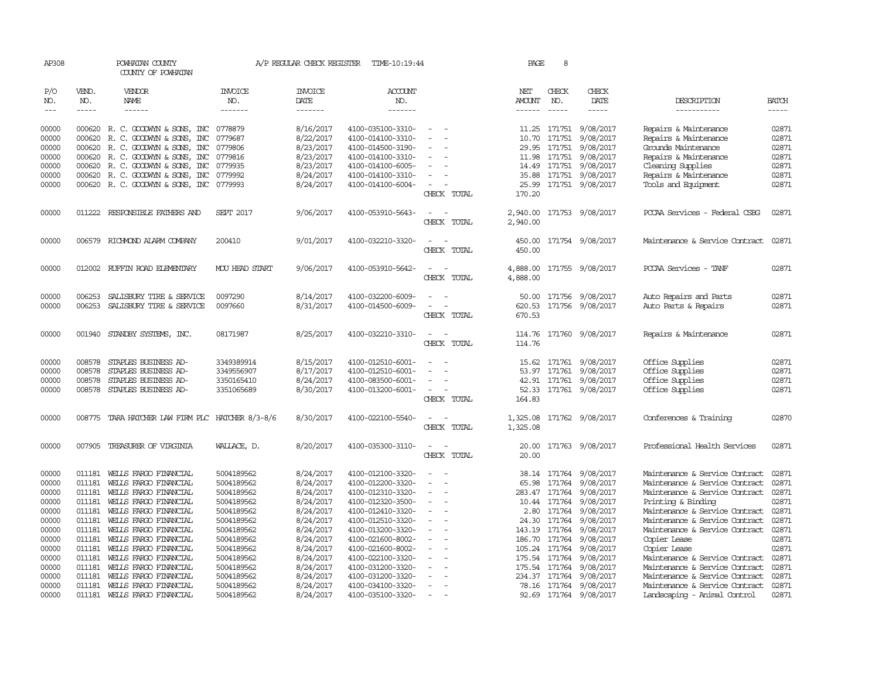| AP308               |                          | POWHATAN COUNTY<br>COUNTY OF POWHATAN            |                                  | A/P REGULAR CHECK REGISTER        | TIME-10:19:44                          |                                    | PAGE                    | 8                              |                           |                                                |                       |
|---------------------|--------------------------|--------------------------------------------------|----------------------------------|-----------------------------------|----------------------------------------|------------------------------------|-------------------------|--------------------------------|---------------------------|------------------------------------------------|-----------------------|
| P/O<br>NO.<br>$---$ | VEND.<br>NO.<br>$\cdots$ | <b>VENDOR</b><br>NAME<br>------                  | <b>INVOICE</b><br>NO.<br>------- | <b>INVOICE</b><br>DATE<br>------- | <b>ACCOUNT</b><br>NO.<br>-------       |                                    | NET<br>AMOUNT<br>------ | CHECK<br>NO.<br>$- - - - -$    | CHECK<br>DATE<br>-----    | DESCRIPTION<br>-----------                     | <b>BATCH</b><br>----- |
|                     |                          |                                                  |                                  |                                   |                                        |                                    |                         |                                |                           |                                                |                       |
| 00000               |                          | 000620 R.C. GOODWYN & SONS, INC 0778879          |                                  | 8/16/2017                         | 4100-035100-3310-                      |                                    |                         |                                | 11.25 171751 9/08/2017    | Repairs & Maintenance                          | 02871                 |
| 00000               | 000620                   | R. C. GOODWYN & SONS, INC                        | 0779687                          | 8/22/2017                         | 4100-014100-3310-                      | $\overline{\phantom{a}}$           | 10.70                   | 171751                         | 9/08/2017                 | Repairs & Maintenance                          | 02871                 |
| 00000               | 000620                   | R. C. GOODWYN & SONS, INC                        | 0779806                          | 8/23/2017                         | 4100-014500-3190-                      |                                    |                         | 29.95 171751                   | 9/08/2017                 | Grounds Maintenance                            | 02871                 |
| 00000               | 000620                   | R. C. GOODWYN & SONS, INC                        | 0779816                          | 8/23/2017                         | 4100-014100-3310-                      |                                    |                         | 11.98 171751                   | 9/08/2017                 | Repairs & Maintenance                          | 02871                 |
| 00000               | 000620                   | R. C. GOODWYN & SONS, INC                        | 0779935                          | 8/23/2017                         | 4100-014100-6005-                      |                                    |                         | 14.49 171751                   | 9/08/2017                 | Cleaning Supplies                              | 02871                 |
| 00000               | 000620                   | R. C. GOODWYN & SONS, INC                        | 0779992                          | 8/24/2017                         | 4100-014100-3310-                      |                                    | 35.88                   | 171751                         | 9/08/2017                 | Repairs & Maintenance                          | 02871                 |
| 00000               |                          | 000620 R. C. GOODWYN & SONS, INC 0779993         |                                  | 8/24/2017                         | 4100-014100-6004-                      | CHECK TOTAL                        | 170.20                  |                                | 25.99 171751 9/08/2017    | Tools and Equipment                            | 02871                 |
| 00000               |                          | 011222 RESPONSIBLE FAIHERS AND                   | <b>SEPT 2017</b>                 | 9/06/2017                         | 4100-053910-5643-                      |                                    | 2,940.00                |                                | 171753 9/08/2017          | PCCAA Services - Federal CSBG                  | 02871                 |
|                     |                          |                                                  |                                  |                                   |                                        | CHECK TOTAL                        | 2,940.00                |                                |                           |                                                |                       |
| 00000               | 006579                   | RICHMOND ALARM COMPANY                           | 200410                           | 9/01/2017                         | 4100-032210-3320-                      |                                    | 450.00                  |                                | 171754 9/08/2017          | Maintenance & Service Contract                 | 02871                 |
|                     |                          |                                                  |                                  |                                   |                                        | CHECK TOTAL                        | 450.00                  |                                |                           |                                                |                       |
| 00000               |                          | 012002 RUFFIN ROAD ELEMENTARY                    | MOU HEAD START                   | 9/06/2017                         | 4100-053910-5642-                      | CHECK TOTAL                        | 4,888.00<br>4,888.00    |                                | 171755 9/08/2017          | PCCAA Services - TANF                          | 02871                 |
|                     |                          |                                                  |                                  |                                   |                                        |                                    |                         |                                |                           |                                                |                       |
| 00000               | 006253                   | SALISBURY TIRE & SERVICE                         | 0097290                          | 8/14/2017                         | 4100-032200-6009-                      |                                    | 50.00                   | 171756                         | 9/08/2017                 | Auto Repairs and Parts                         | 02871                 |
| 00000               | 006253                   | SALISBURY TIRE & SERVICE                         | 0097660                          | 8/31/2017                         | 4100-014500-6009-                      |                                    | 620.53                  | 171756                         | 9/08/2017                 | Auto Parts & Repairs                           | 02871                 |
|                     |                          |                                                  |                                  |                                   |                                        | CHECK TOTAL                        | 670.53                  |                                |                           |                                                |                       |
| 00000               |                          | 001940 STANDBY SYSTEMS, INC.                     | 08171987                         | 8/25/2017                         | 4100-032210-3310-                      | $\sim$<br>$\overline{\phantom{a}}$ |                         |                                | 114.76 171760 9/08/2017   | Repairs & Maintenance                          | 02871                 |
|                     |                          |                                                  |                                  |                                   |                                        | CHECK TOTAL                        | 114.76                  |                                |                           |                                                |                       |
| 00000               | 008578                   | STAPLES BUSINESS AD-                             | 3349389914                       | 8/15/2017                         | 4100-012510-6001-                      |                                    |                         |                                | 15.62 171761 9/08/2017    | Office Supplies                                | 02871                 |
| 00000               | 008578                   | STAPLES BUSINESS AD-                             | 3349556907                       | 8/17/2017                         | 4100-012510-6001-                      |                                    |                         | 53.97 171761                   | 9/08/2017                 | Office Supplies                                | 02871                 |
| 00000               | 008578                   | STAPLES BUSINESS AD-                             | 3350165410                       | 8/24/2017                         | 4100-083500-6001-                      |                                    |                         | 42.91 171761                   | 9/08/2017                 | Office Supplies                                | 02871                 |
| 00000               |                          | 008578 STAPLES BUSINESS AD-                      | 3351065689                       | 8/30/2017                         | 4100-013200-6001-                      |                                    |                         |                                | 52.33 171761 9/08/2017    | Office Supplies                                | 02871                 |
|                     |                          |                                                  |                                  |                                   |                                        | CHECK TOTAL                        | 164.83                  |                                |                           |                                                |                       |
| 00000               |                          | 008775 TARA HATCHER LAW FIRM PLC HATCHER 8/3-8/6 |                                  | 8/30/2017                         | 4100-022100-5540-                      | $\sim$                             |                         |                                | 1,325.08 171762 9/08/2017 | Conferences & Training                         | 02870                 |
|                     |                          |                                                  |                                  |                                   |                                        | CHECK TOTAL                        | 1,325.08                |                                |                           |                                                |                       |
| 00000               | 007905                   | TREASURER OF VIRGINIA                            | WALLACE, D.                      | 8/20/2017                         | 4100-035300-3110-                      |                                    | 20.00                   |                                | 171763 9/08/2017          | Professional Health Services                   | 02871                 |
|                     |                          |                                                  |                                  |                                   |                                        | CHECK TOTAL                        | 20.00                   |                                |                           |                                                |                       |
| 00000               | 011181                   | WELLS FARGO FINANCIAL                            | 5004189562                       | 8/24/2017                         | 4100-012100-3320-                      |                                    | 38.14                   | 171764                         | 9/08/2017                 | Maintenance & Service Contract                 | 02871                 |
| 00000               | 011181                   | WELLS FARGO FINANCIAL                            | 5004189562                       | 8/24/2017                         | 4100-012200-3320-                      |                                    | 65.98                   | 171764                         | 9/08/2017                 | Maintenance & Service Contract                 | 02871                 |
| 00000               | 011181                   | WELLS FARGO FINANCIAL                            | 5004189562                       | 8/24/2017                         | 4100-012310-3320-                      |                                    |                         | 283.47 171764                  | 9/08/2017                 | Maintenance & Service Contract                 | 02871                 |
| 00000               | 011181                   | WELLS FARGO FINANCIAL                            | 5004189562                       | 8/24/2017                         | 4100-012320-3500-                      | $\overline{\phantom{a}}$           |                         | 10.44 171764                   | 9/08/2017                 | Printing & Binding                             | 02871                 |
| 00000               | 011181                   | WELLS FARGO FINANCIAL                            | 5004189562                       | 8/24/2017                         | 4100-012410-3320-                      |                                    | 2.80                    | 171764                         | 9/08/2017                 | Maintenance & Service Contract                 | 02871                 |
| 00000               | 011181                   | WELLS FARGO FINANCIAL                            | 5004189562                       | 8/24/2017                         | 4100-012510-3320-                      |                                    |                         | 24.30 171764                   | 9/08/2017                 | Maintenance & Service Contract                 | 02871                 |
| 00000               | 011181                   | WELLS FARGO FINANCIAL                            | 5004189562                       | 8/24/2017                         | 4100-013200-3320-                      |                                    | 143.19                  | 171764                         | 9/08/2017                 | Maintenance & Service Contract                 | 02871                 |
| 00000               | 011181                   | WELLS FARGO FINANCIAL                            | 5004189562                       | 8/24/2017                         | 4100-021600-8002-                      |                                    |                         | 186.70 171764                  | 9/08/2017                 | Copier Lease                                   | 02871                 |
| 00000<br>00000      | 011181<br>011181         | WELLS FARGO FINANCIAL<br>WELLS FARGO FINANCIAL   | 5004189562<br>5004189562         | 8/24/2017<br>8/24/2017            | 4100-021600-8002-<br>4100-022100-3320- |                                    |                         | 105.24 171764<br>175.54 171764 | 9/08/2017<br>9/08/2017    | Copier Lease<br>Maintenance & Service Contract | 02871<br>02871        |
| 00000               | 011181                   | WELLS FARGO FINANCIAL                            | 5004189562                       | 8/24/2017                         | 4100-031200-3320-                      | $\overline{\phantom{a}}$           |                         | 175.54 171764                  | 9/08/2017                 | Maintenance & Service Contract                 | 02871                 |
| 00000               | 011181                   | WELLS FARGO FINANCIAL                            | 5004189562                       | 8/24/2017                         | 4100-031200-3320-                      |                                    |                         | 234.37 171764                  | 9/08/2017                 | Maintenance & Service Contract                 | 02871                 |
| 00000               | 011181                   | WELLS FARGO FINANCIAL                            | 5004189562                       | 8/24/2017                         | 4100-034100-3320-                      |                                    |                         | 78.16 171764                   | 9/08/2017                 | Maintenance & Service Contract                 | 02871                 |
| 00000               |                          | 011181 WELLS FARGO FINANCIAL                     | 5004189562                       | 8/24/2017                         | 4100-035100-3320-                      |                                    |                         |                                | 92.69 171764 9/08/2017    | Landscaping - Animal Control                   | 02871                 |
|                     |                          |                                                  |                                  |                                   |                                        |                                    |                         |                                |                           |                                                |                       |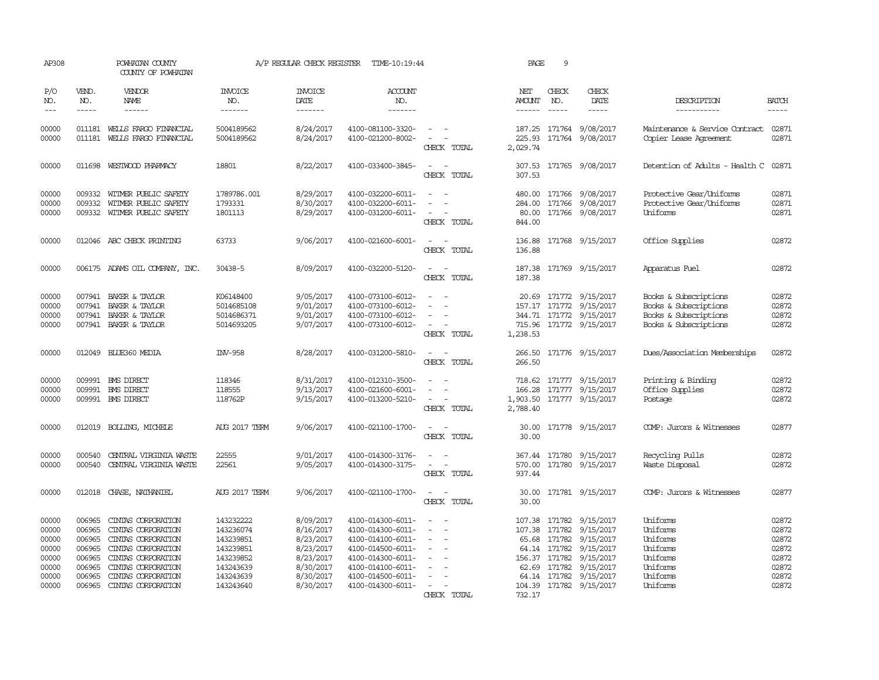| AP308                                                                |                                                                              | POWHATAN COUNTY<br>COUNTY OF POWHATAN                                                                                                                                        |                                                                                                      | A/P REGULAR CHECK REGISTER                                                                           | TIME-10:19:44                                                                                                                                                        |                                                                     | PAGE                           | 9                                |                                                                                                                                                                          |                                                                                                  |                                                                      |
|----------------------------------------------------------------------|------------------------------------------------------------------------------|------------------------------------------------------------------------------------------------------------------------------------------------------------------------------|------------------------------------------------------------------------------------------------------|------------------------------------------------------------------------------------------------------|----------------------------------------------------------------------------------------------------------------------------------------------------------------------|---------------------------------------------------------------------|--------------------------------|----------------------------------|--------------------------------------------------------------------------------------------------------------------------------------------------------------------------|--------------------------------------------------------------------------------------------------|----------------------------------------------------------------------|
| P/O<br>NO.<br>$\frac{1}{2}$                                          | VEND.<br>NO.<br>$- - - - -$                                                  | <b>VENDOR</b><br>NAME<br>$- - - - - -$                                                                                                                                       | <b>INVOICE</b><br>NO.<br>-------                                                                     | <b>INVOICE</b><br>DATE<br>$- - - - - - -$                                                            | ACCOUNT<br>NO.<br>-------                                                                                                                                            |                                                                     | NET<br>AMOUNT<br>------        | CHECK<br>NO.<br>$- - - - -$      | CHECK<br>DATE<br>-----                                                                                                                                                   | DESCRIPTION<br>-----------                                                                       | <b>BATCH</b><br>$- - - - -$                                          |
| 00000<br>00000                                                       | 011181                                                                       | 011181 WELLS FARGO FINANCIAL<br>WELLS FARGO FINANCIAL                                                                                                                        | 5004189562<br>5004189562                                                                             | 8/24/2017<br>8/24/2017                                                                               | 4100-081100-3320-<br>4100-021200-8002-                                                                                                                               | $\overline{\phantom{a}}$<br>$\overline{\phantom{a}}$<br>CHECK TOTAL | 225.93<br>2,029.74             |                                  | 187.25 171764 9/08/2017<br>171764 9/08/2017                                                                                                                              | Maintenance & Service Contract<br>Copier Lease Agreement                                         | 02871<br>02871                                                       |
| 00000                                                                |                                                                              | 011698 WESTWOOD PHARMACY                                                                                                                                                     | 18801                                                                                                | 8/22/2017                                                                                            | 4100-033400-3845-                                                                                                                                                    | CHECK TOTAL                                                         | 307.53<br>307.53               |                                  | 171765 9/08/2017                                                                                                                                                         | Detention of Adults - Health C                                                                   | 02871                                                                |
| 00000<br>00000<br>00000                                              | 009332<br>009332                                                             | WITMER PUBLIC SAFETY<br>WITMER PUBLIC SAFETY<br>009332 WITMER PUBLIC SAFETY                                                                                                  | 1789786.001<br>1793331<br>1801113                                                                    | 8/29/2017<br>8/30/2017<br>8/29/2017                                                                  | 4100-032200-6011-<br>4100-032200-6011-<br>4100-031200-6011-                                                                                                          | $\sim$<br>$\equiv$<br>$\overline{\phantom{a}}$<br>CHECK TOTAL       | 480.00<br>284.00<br>844.00     |                                  | 171766 9/08/2017<br>171766 9/08/2017<br>80.00 171766 9/08/2017                                                                                                           | Protective Gear/Uniforms<br>Protective Gear/Uniforms<br>Uniforms                                 | 02871<br>02871<br>02871                                              |
| 00000                                                                |                                                                              | 012046 ABC CHECK PRINTING                                                                                                                                                    | 63733                                                                                                | 9/06/2017                                                                                            | 4100-021600-6001-                                                                                                                                                    | CHECK TOTAL                                                         | 136.88<br>136.88               |                                  | 171768 9/15/2017                                                                                                                                                         | Office Supplies                                                                                  | 02872                                                                |
| 00000                                                                |                                                                              | 006175 ADAMS OIL COMPANY, INC.                                                                                                                                               | 30438-5                                                                                              | 8/09/2017                                                                                            | 4100-032200-5120-                                                                                                                                                    | $\overline{\phantom{a}}$<br>CHECK TOTAL                             | 187.38<br>187.38               |                                  | 171769 9/15/2017                                                                                                                                                         | Apparatus Fuel                                                                                   | 02872                                                                |
| 00000<br>00000<br>00000<br>00000                                     | 007941<br>007941<br>007941                                                   | BAKER & TAYLOR<br>BAKER & TAYLOR<br>BAKER & TAYLOR<br>007941 BAKER & TAYLOR                                                                                                  | K06148400<br>5014685108<br>5014686371<br>5014693205                                                  | 9/05/2017<br>9/01/2017<br>9/01/2017<br>9/07/2017                                                     | 4100-073100-6012-<br>4100-073100-6012-<br>4100-073100-6012-<br>4100-073100-6012-                                                                                     | $\overline{\phantom{a}}$<br>$\sim$<br>CHECK TOTAL                   | 20.69<br>157.17<br>1,238.53    |                                  | 171772 9/15/2017<br>171772 9/15/2017<br>344.71 171772 9/15/2017<br>715.96 171772 9/15/2017                                                                               | Books & Subscriptions<br>Books & Subscriptions<br>Books & Subscriptions<br>Books & Subscriptions | 02872<br>02872<br>02872<br>02872                                     |
| 00000                                                                |                                                                              | 012049 BLUE360 MEDIA                                                                                                                                                         | INV-958                                                                                              | 8/28/2017                                                                                            | 4100-031200-5810-                                                                                                                                                    | CHECK TOTAL                                                         | 266.50<br>266.50               |                                  | 171776 9/15/2017                                                                                                                                                         | Dues/Association Memberships                                                                     | 02872                                                                |
| 00000<br>00000<br>00000                                              | 009991<br>009991                                                             | <b>EMS DIRECT</b><br><b>EMS DIRECT</b><br>009991 BMS DIRECT                                                                                                                  | 118346<br>118555<br>118762P                                                                          | 8/31/2017<br>9/13/2017<br>9/15/2017                                                                  | 4100-012310-3500-<br>4100-021600-6001-<br>4100-013200-5210-                                                                                                          | CHECK TOTAL                                                         | 166.28<br>1,903.50<br>2,788.40 |                                  | 718.62 171777 9/15/2017<br>171777 9/15/2017<br>171777 9/15/2017                                                                                                          | Printing & Binding<br>Office Supplies<br>Postage                                                 | 02872<br>02872<br>02872                                              |
| 00000                                                                |                                                                              | 012019 BOLLING, MICHELE                                                                                                                                                      | AUG 2017 TERM                                                                                        | 9/06/2017                                                                                            | 4100-021100-1700-                                                                                                                                                    | $\sim$<br>CHECK TOTAL                                               | 30.00<br>30.00                 |                                  | 171778 9/15/2017                                                                                                                                                         | COMP: Jurors & Witnesses                                                                         | 02877                                                                |
| 00000<br>00000                                                       | 000540<br>000540                                                             | CENTRAL VIRGINIA WASTE<br>CENTRAL VIRGINIA WASTE                                                                                                                             | 22555<br>22561                                                                                       | 9/01/2017<br>9/05/2017                                                                               | 4100-014300-3176-<br>4100-014300-3175-                                                                                                                               | $\overline{\phantom{a}}$<br>CHECK TOTAL                             | 367.44<br>570.00<br>937.44     |                                  | 171780 9/15/2017<br>171780 9/15/2017                                                                                                                                     | Recycling Pulls<br>Waste Disposal                                                                | 02872<br>02872                                                       |
| 00000                                                                |                                                                              | 012018 CHASE, NATHANIEL                                                                                                                                                      | AUG 2017 TERM                                                                                        | 9/06/2017                                                                                            | 4100-021100-1700-                                                                                                                                                    | $\equiv$<br>CHECK TOTAL                                             | 30.00                          |                                  | 30.00 171781 9/15/2017                                                                                                                                                   | COMP: Jurors & Witnesses                                                                         | 02877                                                                |
| 00000<br>00000<br>00000<br>00000<br>00000<br>00000<br>00000<br>00000 | 006965<br>006965<br>006965<br>006965<br>006965<br>006965<br>006965<br>006965 | CINIAS CORPORATION<br>CINIAS CORPORATION<br>CINIAS CORPORATION<br>CINTAS CORPORATION<br>CINIAS CORPORATION<br>CINIAS CORPORATION<br>CINIAS CORPORATION<br>CINIAS CORPORATION | 143232222<br>143236074<br>143239851<br>143239851<br>143239852<br>143243639<br>143243639<br>143243640 | 8/09/2017<br>8/16/2017<br>8/23/2017<br>8/23/2017<br>8/23/2017<br>8/30/2017<br>8/30/2017<br>8/30/2017 | 4100-014300-6011-<br>4100-014300-6011-<br>4100-014100-6011-<br>4100-014500-6011-<br>4100-014300-6011-<br>4100-014100-6011-<br>4100-014500-6011-<br>4100-014300-6011- | $\overline{\phantom{a}}$<br>$\sim$<br>$\sim$<br>CHECK TOTAL         | 107.38<br>65.68<br>732.17      | 171782<br>171782<br>64.14 171782 | 107.38 171782 9/15/2017<br>9/15/2017<br>9/15/2017<br>64.14 171782 9/15/2017<br>156.37 171782 9/15/2017<br>62.69 171782 9/15/2017<br>9/15/2017<br>104.39 171782 9/15/2017 | Uniforms<br>Uniforms<br>Uniforms<br>Uniforms<br>Uniforms<br>Uniforms<br>Uniforms<br>Uniforms     | 02872<br>02872<br>02872<br>02872<br>02872<br>02872<br>02872<br>02872 |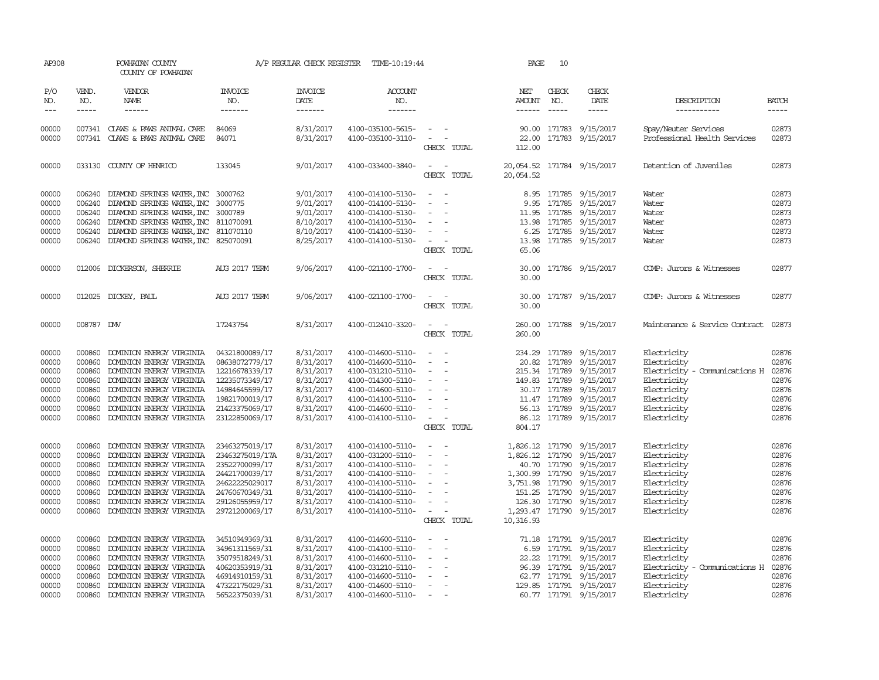| AP308               |                             | POWHATAN COUNTY<br>COUNTY OF POWHATAN                |                                   | A/P REGULAR CHECK REGISTER                | TIME-10:19:44                          |                                    | PAGE            | 10                    |                                            |                                |                             |
|---------------------|-----------------------------|------------------------------------------------------|-----------------------------------|-------------------------------------------|----------------------------------------|------------------------------------|-----------------|-----------------------|--------------------------------------------|--------------------------------|-----------------------------|
| P/O<br>NO.<br>$---$ | VEND.<br>NO.<br>$- - - - -$ | <b>VENDOR</b><br>NAME<br>$- - - - - -$               | <b>INVOICE</b><br>NO.<br>-------- | <b>INVOICE</b><br>DATE<br>$- - - - - - -$ | <b>ACCOUNT</b><br>NO.<br>--------      |                                    | NET<br>AMOUNT   | CHECK<br>NO.<br>$---$ | CHECK<br>DATE<br>$- - - - -$               | DESCRIPTION<br>-----------     | <b>BATCH</b><br>$- - - - -$ |
|                     |                             |                                                      |                                   |                                           |                                        |                                    |                 |                       |                                            |                                |                             |
| 00000               |                             | 007341 CLAWS & PAWS ANIMAL CARE                      | 84069                             | 8/31/2017                                 | 4100-035100-5615-                      |                                    |                 |                       | 90.00 171783 9/15/2017                     | Spay/Neuter Services           | 02873                       |
| 00000               |                             | 007341 CLAWS & PAWS ANIMAL CARE                      | 84071                             | 8/31/2017                                 | 4100-035100-3110-                      | $\sim$ $ -$<br>CHECK TOTAL         | 22.00<br>112.00 |                       | 171783 9/15/2017                           | Professional Health Services   | 02873                       |
| 00000               |                             | 033130 COUNTY OF HENRICO                             | 133045                            | 9/01/2017                                 | 4100-033400-3840-                      | $\overline{\phantom{a}}$<br>$\sim$ | 20,054.52       |                       | 171784 9/15/2017                           | Detention of Juveniles         | 02873                       |
|                     |                             |                                                      |                                   |                                           |                                        | CHECK TOTAL                        | 20,054.52       |                       |                                            |                                |                             |
| 00000               |                             | 006240 DIAMOND SPRINGS WATER, INC                    | 3000762                           | 9/01/2017                                 | 4100-014100-5130-                      |                                    |                 |                       | 8.95 171785 9/15/2017                      | Water                          | 02873                       |
| 00000               | 006240                      | DIAMOND SPRINGS WATER, INC                           | 3000775                           | 9/01/2017                                 | 4100-014100-5130-                      | $\overline{\phantom{a}}$           |                 |                       | 9.95 171785 9/15/2017                      | Water                          | 02873                       |
| 00000               | 006240                      | DIAMOND SPRINGS WATER, INC                           | 3000789                           | 9/01/2017                                 | 4100-014100-5130-                      | $\overline{\phantom{a}}$           |                 |                       | 11.95 171785 9/15/2017                     | Water                          | 02873                       |
| 00000               |                             | 006240 DIAMOND SPRINGS WATER, INC 811070091          |                                   | 8/10/2017                                 | 4100-014100-5130-                      | $\sim$                             |                 |                       | 13.98 171785 9/15/2017                     | Water                          | 02873                       |
| 00000               |                             | 006240 DIAMOND SPRINGS WATER, INC 811070110          |                                   | 8/10/2017                                 | 4100-014100-5130-                      | $\overline{\phantom{a}}$           |                 |                       | 6.25 171785 9/15/2017                      | Water                          | 02873                       |
| 00000               |                             | 006240 DIAMOND SPRINGS WATER, INC 825070091          |                                   | 8/25/2017                                 | 4100-014100-5130-                      |                                    |                 |                       | 13.98 171785 9/15/2017                     | Water                          | 02873                       |
|                     |                             |                                                      |                                   |                                           |                                        | CHECK TOTAL                        | 65.06           |                       |                                            |                                |                             |
| 00000               |                             | 012006 DICKERSON, SHERRIE                            | <b>AUG 2017 TERM</b>              | 9/06/2017                                 | 4100-021100-1700-                      | $\sim$ $-$                         |                 |                       | 30.00 171786 9/15/2017                     | COMP: Jurors & Witnesses       | 02877                       |
|                     |                             |                                                      |                                   |                                           |                                        | CHECK TOTAL                        | 30.00           |                       |                                            |                                |                             |
| 00000               |                             | 012025 DICKEY, PAUL                                  | <b>AUG 2017 TERM</b>              | 9/06/2017                                 | 4100-021100-1700-                      |                                    | 30.00           |                       | 171787 9/15/2017                           | COMP: Jurors & Witnesses       | 02877                       |
|                     |                             |                                                      |                                   |                                           |                                        | CHECK TOTAL                        | 30.00           |                       |                                            |                                |                             |
| 00000               | 008787 DMV                  |                                                      | 17243754                          | 8/31/2017                                 | 4100-012410-3320-                      | $\sim$<br>$\sim$                   | 260.00          |                       | 171788 9/15/2017                           | Maintenance & Service Contract | 02873                       |
|                     |                             |                                                      |                                   |                                           |                                        | CHECK TOTAL                        | 260.00          |                       |                                            |                                |                             |
| 00000               | 000860                      | DOMINION ENERGY VIRGINIA                             | 04321800089/17                    | 8/31/2017                                 | 4100-014600-5110-                      | $\sim$                             |                 |                       | 234.29 171789 9/15/2017                    | Electricity                    | 02876                       |
| 00000               | 000860                      | DOMINION ENERGY VIRGINIA                             | 08638072779/17                    | 8/31/2017                                 | 4100-014600-5110-                      | $\sim$                             |                 | 20.82 171789          | 9/15/2017                                  | Electricity                    | 02876                       |
| 00000               | 000860                      | DOMINION ENERGY VIRGINIA                             | 12216678339/17                    | 8/31/2017                                 | 4100-031210-5110-                      | $\overline{\phantom{a}}$           |                 |                       | 215.34 171789 9/15/2017                    | Electricity - Comunications H  | 02876                       |
| 00000               | 000860                      | DOMINION ENERGY VIRGINIA                             | 12235073349/17                    | 8/31/2017                                 | 4100-014300-5110-                      | $\sim$                             |                 |                       | 149.83 171789 9/15/2017                    | Electricity                    | 02876                       |
| 00000               | 000860                      | DOMINION ENERGY VIRGINIA                             | 14984645599/17                    | 8/31/2017                                 | 4100-014600-5110-                      | $\overline{\phantom{a}}$           |                 | 30.17 171789          | 9/15/2017                                  | Electricity                    | 02876                       |
| 00000               | 000860                      | DOMINION ENERGY VIRGINIA                             | 19821700019/17                    | 8/31/2017                                 | 4100-014100-5110-                      | $\overline{\phantom{a}}$           |                 |                       | 11.47 171789 9/15/2017                     | Electricity                    | 02876                       |
| 00000               | 000860                      | DOMINION ENERGY VIRGINIA                             | 21423375069/17                    | 8/31/2017                                 | 4100-014600-5110-                      | $\sim$                             |                 |                       | 56.13 171789 9/15/2017                     | Electricity                    | 02876                       |
| 00000               |                             | 000860 DOMINION ENERGY VIRGINIA                      | 23122850069/17                    | 8/31/2017                                 | 4100-014100-5110-                      | $\sim$                             |                 |                       | 86.12 171789 9/15/2017                     | Electricity                    | 02876                       |
|                     |                             |                                                      |                                   |                                           |                                        | CHECK TOTAL                        | 804.17          |                       |                                            |                                |                             |
| 00000               | 000860                      | DOMINION ENERGY VIRGINIA                             | 23463275019/17                    | 8/31/2017                                 | 4100-014100-5110-                      | $\sim$ $-$                         |                 |                       | 1,826.12 171790 9/15/2017                  | Electricity                    | 02876                       |
| 00000               | 000860                      | DOMINION ENERGY VIRGINIA                             | 23463275019/17A                   | 8/31/2017                                 | 4100-031200-5110-                      | $\overline{\phantom{a}}$           | 1,826.12 171790 |                       | 9/15/2017                                  | Electricity                    | 02876                       |
| 00000               | 000860                      | DOMINION ENERGY VIRGINIA                             | 23522700099/17                    | 8/31/2017                                 | 4100-014100-5110-                      | $\sim$                             |                 |                       | 40.70 171790 9/15/2017                     | Electricity                    | 02876                       |
| 00000               | 000860                      | DOMINION ENERGY VIRGINIA                             | 24421700039/17                    | 8/31/2017                                 | 4100-014100-5110-                      | $\sim$<br>$\overline{\phantom{a}}$ |                 |                       | 1,300.99 171790 9/15/2017                  | Electricity                    | 02876                       |
| 00000               | 000860                      | DOMINION ENERGY VIRGINIA                             | 24622225029017                    | 8/31/2017                                 | 4100-014100-5110-                      | $\sim$                             | 3,751.98 171790 |                       | 9/15/2017                                  | Electricity                    | 02876                       |
| 00000               | 000860                      | DOMINION ENERGY VIRGINIA                             | 24760670349/31                    | 8/31/2017                                 | 4100-014100-5110-                      | $\sim$                             |                 |                       | 151.25 171790 9/15/2017                    | Electricity                    | 02876                       |
| 00000               | 000860                      | DOMINION ENERGY VIRGINIA                             | 29126055959/17                    | 8/31/2017<br>8/31/2017                    | 4100-014100-5110-                      | $\sim$<br>$\sim$                   |                 |                       | 126.30 171790 9/15/2017                    | Electricity                    | 02876<br>02876              |
| 00000               |                             | 000860 DOMINION ENERGY VIRGINIA                      | 29721200069/17                    |                                           | 4100-014100-5110-                      | $\sim$<br>$\sim$<br>CHECK TOTAL    | 10,316.93       |                       | 1,293.47 171790 9/15/2017                  | Electricity                    |                             |
|                     |                             |                                                      |                                   |                                           |                                        | $\sim$                             |                 |                       |                                            |                                |                             |
| 00000               | 000860                      | DOMINION ENERGY VIRGINIA                             | 34510949369/31                    | 8/31/2017                                 | 4100-014600-5110-                      | $\sim$                             |                 |                       | 71.18 171791 9/15/2017                     | Electricity                    | 02876<br>02876              |
| 00000<br>00000      | 000860<br>000860            | DOMINION ENERGY VIRGINIA<br>DOMINION ENERGY VIRGINIA | 34961311569/31<br>35079518249/31  | 8/31/2017<br>8/31/2017                    | 4100-014100-5110-<br>4100-014600-5110- |                                    | 6.59            |                       | 171791 9/15/2017<br>22.22 171791 9/15/2017 | Electricity<br>Electricity     | 02876                       |
| 00000               | 000860                      | DOMINION ENERGY VIRGINIA                             | 40620353919/31                    | 8/31/2017                                 | 4100-031210-5110-                      |                                    |                 |                       | 96.39 171791 9/15/2017                     | Electricity - Comunications H  | 02876                       |
| 00000               | 000860                      | DOMINION ENERGY VIRGINIA                             | 46914910159/31                    | 8/31/2017                                 | 4100-014600-5110-                      |                                    |                 |                       | 62.77 171791 9/15/2017                     | Electricity                    | 02876                       |
| 00000               | 000860                      | DOMINION ENERGY VIRGINIA                             | 47322175029/31                    | 8/31/2017                                 | 4100-014600-5110-                      | $\sim$                             |                 |                       | 129.85 171791 9/15/2017                    | Electricity                    | 02876                       |
| 00000               | 000860                      | DOMINION ENERGY VIRGINIA                             | 56522375039/31                    | 8/31/2017                                 | 4100-014600-5110-                      | $\sim$                             |                 |                       | 60.77 171791 9/15/2017                     | Electricity                    | 02876                       |
|                     |                             |                                                      |                                   |                                           |                                        |                                    |                 |                       |                                            |                                |                             |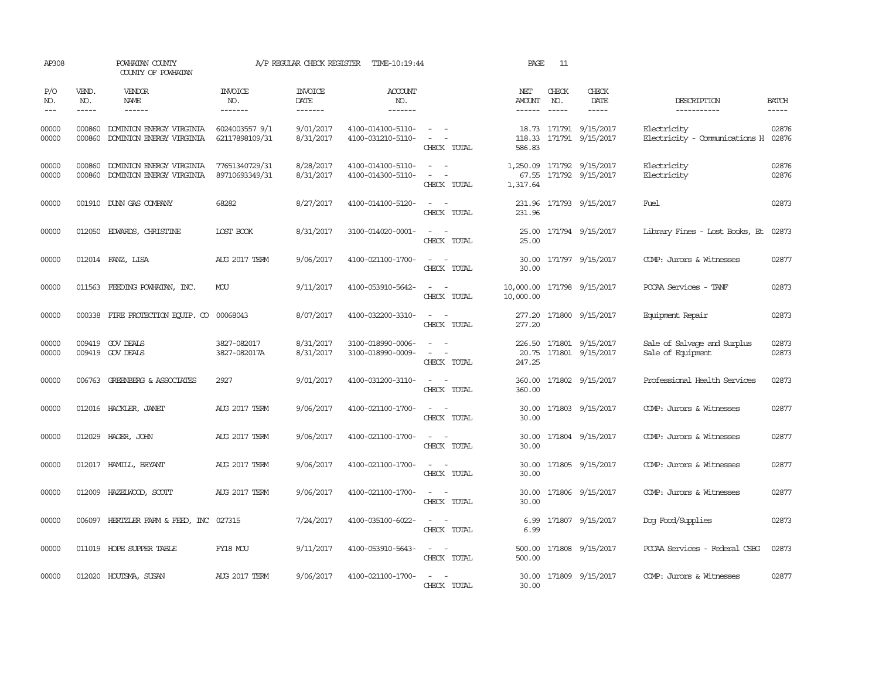| VEND.<br>NO.<br>$\frac{1}{2}$<br>000860 | <b>VENDOR</b><br>NAME<br>$- - - - - -$               | <b>INVOICE</b>                                                                                                                                                                                                                                                                                                                                                                 | <b>INVOICE</b>                                                              |                                        |                                                                                                                             |                         |                             |                              |                                                                                                                                                                                                                                                                                                                                                                                                                                                                             |                                                                             |
|-----------------------------------------|------------------------------------------------------|--------------------------------------------------------------------------------------------------------------------------------------------------------------------------------------------------------------------------------------------------------------------------------------------------------------------------------------------------------------------------------|-----------------------------------------------------------------------------|----------------------------------------|-----------------------------------------------------------------------------------------------------------------------------|-------------------------|-----------------------------|------------------------------|-----------------------------------------------------------------------------------------------------------------------------------------------------------------------------------------------------------------------------------------------------------------------------------------------------------------------------------------------------------------------------------------------------------------------------------------------------------------------------|-----------------------------------------------------------------------------|
|                                         |                                                      | NO.<br>-------                                                                                                                                                                                                                                                                                                                                                                 | DATE<br>-------                                                             | <b>ACCOUNT</b><br>NO.<br>-------       |                                                                                                                             | NET<br>AMOUNT<br>------ | CHECK<br>NO.<br>$- - - - -$ | CHECK<br>DATE<br>$- - - - -$ | DESCRIPTION<br>-----------                                                                                                                                                                                                                                                                                                                                                                                                                                                  | <b>BATCH</b><br>$- - - - -$                                                 |
|                                         | DOMINION ENERGY VIRGINIA                             | 6024003557 9/1<br>62117898109/31                                                                                                                                                                                                                                                                                                                                               | 9/01/2017<br>8/31/2017                                                      | 4100-014100-5110-<br>4100-031210-5110- | $\sim$ $ -$<br>$\sim$ $ \sim$<br>CHECK TOTAL                                                                                | 586.83                  |                             |                              | Electricity                                                                                                                                                                                                                                                                                                                                                                                                                                                                 | 02876                                                                       |
| 000860<br>000860                        | DOMINION ENERGY VIRGINIA<br>DOMINION ENERGY VIRGINIA | 77651340729/31<br>89710693349/31                                                                                                                                                                                                                                                                                                                                               | 8/28/2017<br>8/31/2017                                                      | 4100-014100-5110-<br>4100-014300-5110- | $\sim$ $ \sim$<br>CHECK TOTAL                                                                                               | 1,317.64                |                             |                              | Electricity<br>Electricity                                                                                                                                                                                                                                                                                                                                                                                                                                                  | 02876<br>02876                                                              |
|                                         |                                                      | 68282                                                                                                                                                                                                                                                                                                                                                                          | 8/27/2017                                                                   | 4100-014100-5120-                      | $\frac{1}{2} \left( \frac{1}{2} \right) \left( \frac{1}{2} \right) = \frac{1}{2} \left( \frac{1}{2} \right)$<br>CHECK TOTAL | 231.96                  |                             |                              | Fuel.                                                                                                                                                                                                                                                                                                                                                                                                                                                                       | 02873                                                                       |
|                                         |                                                      | LOST BOOK                                                                                                                                                                                                                                                                                                                                                                      | 8/31/2017                                                                   | 3100-014020-0001-                      | $\sim$ $ \sim$<br>CHECK TOTAL                                                                                               | 25.00                   |                             |                              |                                                                                                                                                                                                                                                                                                                                                                                                                                                                             |                                                                             |
|                                         |                                                      | <b>AUG 2017 TERM</b>                                                                                                                                                                                                                                                                                                                                                           | 9/06/2017                                                                   | 4100-021100-1700-                      | $\sim$<br>CHECK TOTAL                                                                                                       | 30.00                   |                             |                              | COMP: Jurors & Witnesses                                                                                                                                                                                                                                                                                                                                                                                                                                                    | 02877                                                                       |
|                                         |                                                      | MOU                                                                                                                                                                                                                                                                                                                                                                            | 9/11/2017                                                                   | 4100-053910-5642-                      | $\sim$<br>CHECK TOTAL                                                                                                       | 10,000.00               |                             |                              | PCCAA Services - TANF                                                                                                                                                                                                                                                                                                                                                                                                                                                       | 02873                                                                       |
|                                         |                                                      | 00068043                                                                                                                                                                                                                                                                                                                                                                       | 8/07/2017                                                                   | 4100-032200-3310-                      | $\sim$<br>$\sim$<br>CHECK TOTAL                                                                                             | 277.20<br>277.20        |                             |                              | Equipment Repair                                                                                                                                                                                                                                                                                                                                                                                                                                                            | 02873                                                                       |
|                                         |                                                      | 3827-082017<br>3827-082017A                                                                                                                                                                                                                                                                                                                                                    | 8/31/2017<br>8/31/2017                                                      | 3100-018990-0006-<br>3100-018990-0009- | $\sim$ $ \sim$<br>$\sim$ $ \sim$<br>CHECK TOTAL                                                                             | 247.25                  |                             |                              | Sale of Salvage and Surplus<br>Sale of Equipment                                                                                                                                                                                                                                                                                                                                                                                                                            | 02873<br>02873                                                              |
|                                         |                                                      | 2927                                                                                                                                                                                                                                                                                                                                                                           | 9/01/2017                                                                   | 4100-031200-3110-                      | $\sim$ $ \sim$<br>CHECK TOTAL                                                                                               | 360.00                  |                             |                              | Professional Health Services                                                                                                                                                                                                                                                                                                                                                                                                                                                | 02873                                                                       |
|                                         |                                                      | AUG 2017 TERM                                                                                                                                                                                                                                                                                                                                                                  | 9/06/2017                                                                   | 4100-021100-1700-                      | CHECK TOTAL                                                                                                                 | 30.00<br>30.00          |                             |                              | COMP: Jurors & Witnesses                                                                                                                                                                                                                                                                                                                                                                                                                                                    | 02877                                                                       |
|                                         |                                                      | <b>AUG 2017 TERM</b>                                                                                                                                                                                                                                                                                                                                                           | 9/06/2017                                                                   | 4100-021100-1700-                      | $\overline{\phantom{a}}$<br>$\sim$ 100 $-$<br>CHECK TOTAL                                                                   | 30.00<br>30.00          |                             |                              | COMP: Jurors & Witnesses                                                                                                                                                                                                                                                                                                                                                                                                                                                    | 02877                                                                       |
|                                         |                                                      | <b>AUG 2017 TERM</b>                                                                                                                                                                                                                                                                                                                                                           | 9/06/2017                                                                   | 4100-021100-1700-                      | $\omega_{\rm{max}}$ and $\omega_{\rm{max}}$<br>CHECK TOTAL                                                                  | 30.00<br>30.00          |                             |                              | COMP: Jurors & Witnesses                                                                                                                                                                                                                                                                                                                                                                                                                                                    | 02877                                                                       |
|                                         |                                                      | <b>AUG 2017 TERM</b>                                                                                                                                                                                                                                                                                                                                                           | 9/06/2017                                                                   | 4100-021100-1700-                      | $\sim$ $ -$<br>CHECK TOTAL                                                                                                  | 30.00<br>30.00          |                             |                              | COMP: Jurors & Witnesses                                                                                                                                                                                                                                                                                                                                                                                                                                                    | 02877                                                                       |
|                                         |                                                      |                                                                                                                                                                                                                                                                                                                                                                                | 7/24/2017                                                                   | 4100-035100-6022-                      | $\sim$ $ \sim$<br>CHECK TOTAL                                                                                               | 6.99<br>6.99            |                             |                              | Dog Food/Supplies                                                                                                                                                                                                                                                                                                                                                                                                                                                           | 02873                                                                       |
|                                         |                                                      | FY18 MOU                                                                                                                                                                                                                                                                                                                                                                       | 9/11/2017                                                                   | 4100-053910-5643-                      | $\sim$ $ \sim$<br>CHECK TOTAL                                                                                               | 500.00<br>500.00        |                             |                              | POCAA Services - Federal CSBG                                                                                                                                                                                                                                                                                                                                                                                                                                               | 02873                                                                       |
|                                         |                                                      | AUG 2017 TERM                                                                                                                                                                                                                                                                                                                                                                  | 9/06/2017                                                                   | 4100-021100-1700-                      | $\sim$<br>$\sim$<br>CHECK TOTAL                                                                                             | 30.00                   |                             |                              | COMP: Jurors & Witnesses                                                                                                                                                                                                                                                                                                                                                                                                                                                    | 02877                                                                       |
|                                         |                                                      | 000860 DOMINION ENERGY VIRGINIA<br>001910 DUNN GAS COMPANY<br>012050 EDWARDS, CHRISTINE<br>012014 FANZ, LISA<br>011563 FEEDING POWHATAN, INC.<br>009419 GOV DEALS<br>009419 GOV DEALS<br>006763 GREENBERG & ASSOCIATES<br>012016 HACKLER, JANET<br>012029 HAGER, JOHN<br>012017 HAMILL, BRYANT<br>012009 HAZELWOOD, SCOTT<br>011019 HOPE SUPPER TABLE<br>012020 HOUTSMA, SUSAN | 000338 FIRE PROTECTION EQUIP. CO<br>006097 HERTZLER FARM & FEED, INC 027315 |                                        |                                                                                                                             |                         |                             |                              | 18.73 171791 9/15/2017<br>118.33 171791 9/15/2017<br>1,250.09 171792 9/15/2017<br>67.55 171792 9/15/2017<br>231.96 171793 9/15/2017<br>25.00 171794 9/15/2017<br>30.00 171797 9/15/2017<br>10,000.00 171798 9/15/2017<br>171800 9/15/2017<br>226.50 171801 9/15/2017<br>20.75 171801 9/15/2017<br>360.00 171802 9/15/2017<br>171803 9/15/2017<br>171804 9/15/2017<br>171805 9/15/2017<br>171806 9/15/2017<br>171807 9/15/2017<br>171808 9/15/2017<br>30.00 171809 9/15/2017 | Electricity - Comunications H 02876<br>Library Fines - Lost Books, Et 02873 |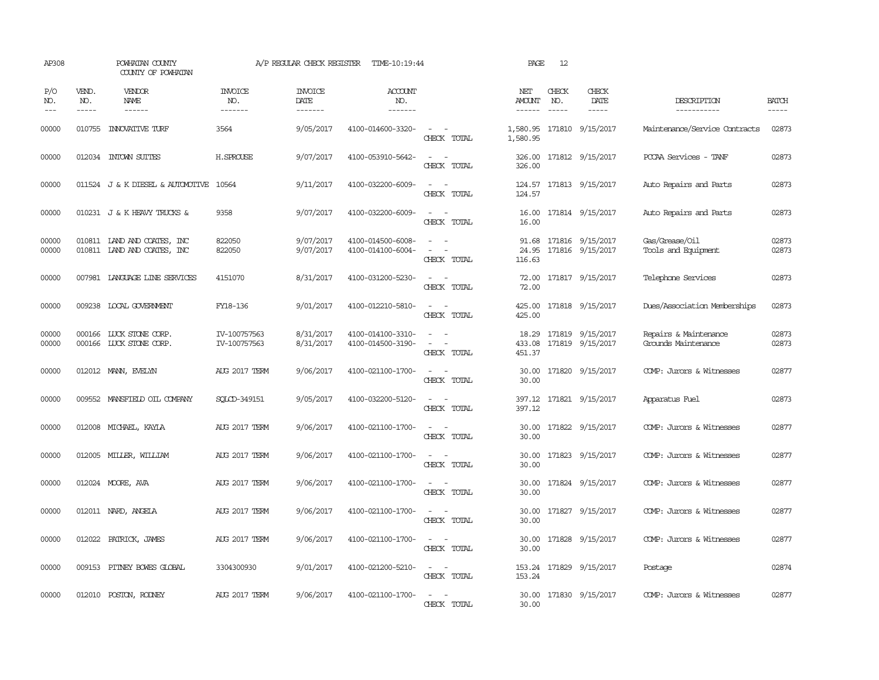| AP308               |                             | POWHATAN COUNTY<br>COUNTY OF POWHATAN                      |                                  | A/P REGULAR CHECK REGISTER        | TIME-10:19:44                          |                                                                  | PAGE                           | 12                            |                                            |                                              |                             |
|---------------------|-----------------------------|------------------------------------------------------------|----------------------------------|-----------------------------------|----------------------------------------|------------------------------------------------------------------|--------------------------------|-------------------------------|--------------------------------------------|----------------------------------------------|-----------------------------|
| P/O<br>NO.<br>$---$ | VEND.<br>NO.<br>$- - - - -$ | <b>VENDOR</b><br>NAME<br>$- - - - - -$                     | <b>INVOICE</b><br>NO.<br>------- | <b>INVOICE</b><br>DATE<br>------- | ACCOUNT<br>NO.<br>$- - - - - - -$      |                                                                  | NET<br>AMOUNT<br>$- - - - - -$ | CHECK<br>NO.<br>$\frac{1}{2}$ | CHECK<br>DATE<br>$- - - - -$               | DESCRIPTION<br>-----------                   | <b>BATCH</b><br>$- - - - -$ |
| 00000               |                             | 010755 INNOVATIVE TURF                                     | 3564                             | 9/05/2017                         | 4100-014600-3320-                      | $\sim$ $ -$<br>CHECK TOTAL                                       | 1,580.95                       |                               | 1,580.95 171810 9/15/2017                  | Maintenance/Service Contracts                | 02873                       |
| 00000               |                             | 012034 INTOWN SUITES                                       | H.SPROUSE                        | 9/07/2017                         | 4100-053910-5642-                      | $\sim$ 100 $\sim$ 100 $\sim$<br>CHECK TOTAL                      | 326.00                         |                               | 326.00 171812 9/15/2017                    | PCCAA Services - TANF                        | 02873                       |
| 00000               |                             | 011524 J & K DIESEL & AUTOMOTIVE 10564                     |                                  | 9/11/2017                         | 4100-032200-6009-                      | $\sim$ 100 $\sim$<br>CHECK TOTAL                                 | 124.57                         |                               | 124.57 171813 9/15/2017                    | Auto Repairs and Parts                       | 02873                       |
| 00000               |                             | 010231 J & K HEAVY TRUCKS &                                | 9358                             | 9/07/2017                         | 4100-032200-6009-                      | $\sim$<br>CHECK TOTAL                                            | 16.00<br>16.00                 |                               | 171814 9/15/2017                           | Auto Repairs and Parts                       | 02873                       |
| 00000<br>00000      |                             | 010811 LAND AND COATES, INC<br>010811 LAND AND COATES, INC | 822050<br>822050                 | 9/07/2017<br>9/07/2017            | 4100-014500-6008-<br>4100-014100-6004- | $\sim$<br>$\sim$<br>CHECK TOTAL                                  | 91.68<br>116.63                |                               | 171816 9/15/2017<br>24.95 171816 9/15/2017 | Gas/Grease/Oil<br>Tools and Equipment        | 02873<br>02873              |
| 00000               |                             | 007981 LANGUAGE LINE SERVICES                              | 4151070                          | 8/31/2017                         | 4100-031200-5230-                      | CHECK TOTAL                                                      | 72.00<br>72.00                 |                               | 171817 9/15/2017                           | Telephone Services                           | 02873                       |
| 00000               |                             | 009238 LOCAL GOVERNMENT                                    | FY18-136                         | 9/01/2017                         | 4100-012210-5810-                      | $\sim$ $\sim$<br>CHECK TOTAL                                     | 425.00<br>425.00               |                               | 171818 9/15/2017                           | Dues/Association Memberships                 | 02873                       |
| 00000<br>00000      |                             | 000166 LUCK STONE CORP.<br>000166 LUCK STONE CORP.         | IV-100757563<br>IV-100757563     | 8/31/2017<br>8/31/2017            | 4100-014100-3310-<br>4100-014500-3190- | $\sim$ 100 $\sim$ 100 $\sim$<br>$\sim$ 100 $\sim$<br>CHECK TOTAL | 433.08<br>451.37               |                               | 18.29 171819 9/15/2017<br>171819 9/15/2017 | Repairs & Maintenance<br>Grounds Maintenance | 02873<br>02873              |
| 00000               |                             | 012012 MANN, EVELYN                                        | <b>AUG 2017 TERM</b>             | 9/06/2017                         | 4100-021100-1700-                      | $\sim$ $ \sim$<br>CHECK TOTAL                                    | 30.00<br>30.00                 |                               | 171820 9/15/2017                           | COMP: Jurors & Witnesses                     | 02877                       |
| 00000               |                             | 009552 MANSFIELD OIL COMPANY                               | SOLCD-349151                     | 9/05/2017                         | 4100-032200-5120-                      | $\sim$<br>$\sim$<br>CHECK TOTAL                                  | 397.12                         |                               | 397.12 171821 9/15/2017                    | Apparatus Fuel                               | 02873                       |
| 00000               |                             | 012008 MICHAEL, KAYLA                                      | AUG 2017 TERM                    | 9/06/2017                         | 4100-021100-1700-                      | $\sim$ 10 $\sim$ 10 $\sim$<br>CHECK TOTAL                        | 30.00<br>30.00                 |                               | 171822 9/15/2017                           | COMP: Jurors & Witnesses                     | 02877                       |
| 00000               |                             | 012005 MILLER, WILLIAM                                     | AUG 2017 TERM                    | 9/06/2017                         | 4100-021100-1700-                      | $\sim$ 100 $\sim$<br>CHECK TOTAL                                 | 30.00<br>30.00                 |                               | 171823 9/15/2017                           | COMP: Jurors & Witnesses                     | 02877                       |
| 00000               |                             | 012024 MOORE, AVA                                          | AUG 2017 TERM                    | 9/06/2017                         | 4100-021100-1700-                      | $\overline{\phantom{a}}$<br>CHECK TOTAL                          | 30.00<br>30.00                 |                               | 171824 9/15/2017                           | COMP: Jurors & Witnesses                     | 02877                       |
| 00000               |                             | 012011 NARD, ANGELA                                        | <b>AUG 2017 TERM</b>             | 9/06/2017                         | 4100-021100-1700-                      | $\sim$<br>CHECK TOTAL                                            | 30.00<br>30.00                 |                               | 171827 9/15/2017                           | COMP: Jurors & Witnesses                     | 02877                       |
| 00000               |                             | 012022 PATRICK, JAMES                                      | AUG 2017 TERM                    | 9/06/2017                         | 4100-021100-1700-                      | $\sim$ $\sim$<br>CHECK TOTAL                                     | 30.00<br>30.00                 |                               | 171828 9/15/2017                           | COMP: Jurors & Witnesses                     | 02877                       |
| 00000               |                             | 009153 PITNEY BOWES GLOBAL                                 | 3304300930                       | 9/01/2017                         | 4100-021200-5210-                      | $\sim$ 100 $\sim$ 100 $\sim$<br>CHECK TOTAL                      | 153.24                         |                               | 153.24 171829 9/15/2017                    | Postage                                      | 02874                       |
| 00000               |                             | 012010 POSTON, RODNEY                                      | <b>AUG 2017 TERM</b>             | 9/06/2017                         | 4100-021100-1700-                      | $\sim$<br>$\sim$<br>CHECK TOTAL                                  | 30.00                          |                               | 30.00 171830 9/15/2017                     | COMP: Jurors & Witnesses                     | 02877                       |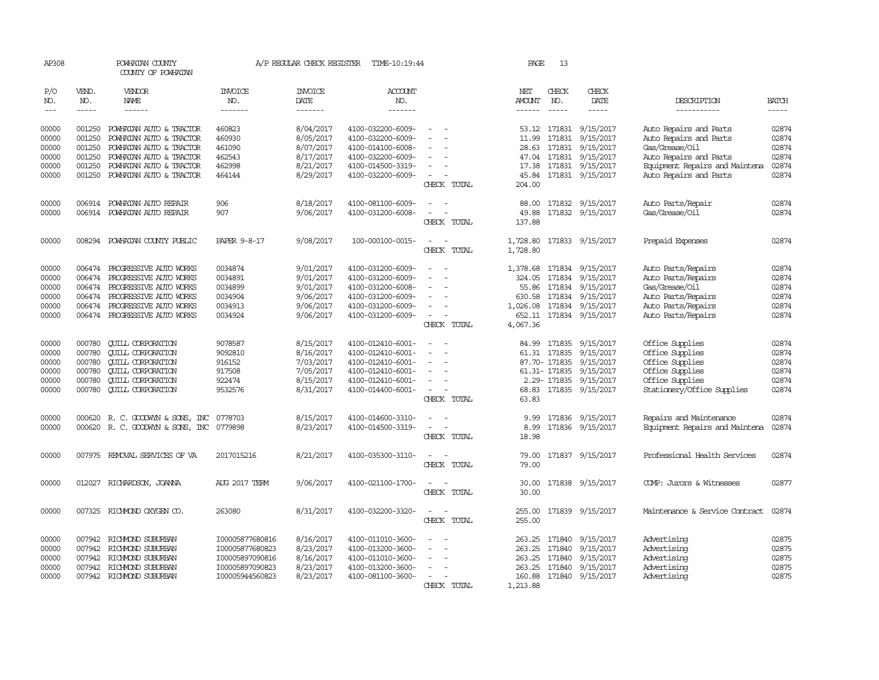| AP308                                              |                                                          | POWHATAN COUNTY<br>COUNTY OF POWHATAN                                                                                                                                  |                                                                                             | A/P REGULAR CHECK REGISTER                                                 | TIME-10:19:44                                                                                                              |                                                     | PAGE                                                                    | 13                                                      |                                                                                                               |                                                                                                                                                          |                                                    |
|----------------------------------------------------|----------------------------------------------------------|------------------------------------------------------------------------------------------------------------------------------------------------------------------------|---------------------------------------------------------------------------------------------|----------------------------------------------------------------------------|----------------------------------------------------------------------------------------------------------------------------|-----------------------------------------------------|-------------------------------------------------------------------------|---------------------------------------------------------|---------------------------------------------------------------------------------------------------------------|----------------------------------------------------------------------------------------------------------------------------------------------------------|----------------------------------------------------|
| P/O<br>NO.<br>$\frac{1}{2}$                        | VEND.<br>NO.<br>$- - - - -$                              | VENDOR<br>NAME<br>------                                                                                                                                               | <b>INVOICE</b><br>NO.<br>-------                                                            | <b>INVOICE</b><br><b>DATE</b><br>-------                                   | <b>ACCOUNT</b><br>NO.<br>-------                                                                                           |                                                     | NET<br>AMOUNT<br>$- - - - - -$                                          | CHECK<br>NO.<br>$- - - - -$                             | CHECK<br>DATE<br>-----                                                                                        | DESCRIPTION<br>-----------                                                                                                                               | <b>BATCH</b><br>-----                              |
| 00000<br>00000<br>00000<br>00000<br>00000<br>00000 | 001250<br>001250<br>001250<br>001250<br>001250<br>001250 | POWHATAN AUTO & TRACTOR<br>POWHATAN AUTO & TRACTOR<br>POWHATAN AUTO & TRACTOR<br>POWHATAN AUTO & TRACTOR<br>POWHATAN AUTO & TRACTOR<br>POWHATAN AUTO & TRACTOR         | 460823<br>460930<br>461090<br>462543<br>462998<br>464144                                    | 8/04/2017<br>8/05/2017<br>8/07/2017<br>8/17/2017<br>8/21/2017<br>8/29/2017 | 4100-032200-6009-<br>4100-032200-6009-<br>4100-014100-6008-<br>4100-032200-6009-<br>4100-014500-3319-<br>4100-032200-6009- |                                                     | 53.12<br>11.99<br>28.63<br>47.04<br>45.84                               | 171831<br>171831<br>171831<br>171831                    | 9/15/2017<br>9/15/2017<br>9/15/2017<br>9/15/2017<br>17.38 171831 9/15/2017<br>171831 9/15/2017                | Auto Repairs and Parts<br>Auto Repairs and Parts<br>Gas/Grease/Oil<br>Auto Repairs and Parts<br>Equipment Repairs and Maintena<br>Auto Repairs and Parts | 02874<br>02874<br>02874<br>02874<br>02874<br>02874 |
| 00000<br>00000                                     | 006914<br>006914                                         | POWHATAN AUTO REPAIR<br>POWHATAN AUTO REPAIR                                                                                                                           | 906<br>907                                                                                  | 8/18/2017<br>9/06/2017                                                     | 4100-081100-6009-<br>4100-031200-6008-                                                                                     | CHECK TOTAL<br>$\overline{\phantom{a}}$             | 204.00<br>88.00<br>49.88                                                |                                                         | 171832 9/15/2017<br>171832 9/15/2017                                                                          | Auto Parts/Repair<br>Gas/Grease/Oil                                                                                                                      | 02874<br>02874                                     |
| 00000                                              | 008294                                                   | POWHATAN COUNTY PUBLIC                                                                                                                                                 | <b>PAPER 9-8-17</b>                                                                         | 9/08/2017                                                                  | 100-000100-0015-                                                                                                           | CHECK TOTAL<br>$\sim$<br>$\sim$<br>CHECK TOTAL      | 137.88<br>1,728.80<br>1,728.80                                          |                                                         | 171833 9/15/2017                                                                                              | Prepaid Expenses                                                                                                                                         | 02874                                              |
| 00000<br>00000<br>00000<br>00000<br>00000<br>00000 | 006474<br>006474<br>006474<br>006474                     | PROGRESSIVE AUTO WORKS<br>PROGRESSIVE AUTO WORKS<br>PROGRESSIVE AUTO WORKS<br>PROGRESSIVE AUTO WORKS<br>006474 PROGRESSIVE AUTO WORKS<br>006474 PROGRESSIVE AUTO WORKS | 0034874<br>0034891<br>0034899<br>0034904<br>0034913<br>0034924                              | 9/01/2017<br>9/01/2017<br>9/01/2017<br>9/06/2017<br>9/06/2017<br>9/06/2017 | 4100-031200-6009-<br>4100-031200-6009-<br>4100-031200-6008-<br>4100-031200-6009-<br>4100-031200-6009-<br>4100-031200-6009- | $\equiv$<br>CHECK TOTAL                             | 1,378.68<br>324.05<br>55.86<br>630.58<br>1,026.08<br>652.11<br>4,067.36 | 171834                                                  | 171834 9/15/2017<br>9/15/2017<br>171834 9/15/2017<br>171834 9/15/2017<br>171834 9/15/2017<br>171834 9/15/2017 | Auto Parts/Repairs<br>Auto Parts/Repairs<br>Gas/Grease/Oil<br>Auto Parts/Repairs<br>Auto Parts/Repairs<br>Auto Parts/Repairs                             | 02874<br>02874<br>02874<br>02874<br>02874<br>02874 |
| 00000<br>00000<br>00000<br>00000<br>00000<br>00000 | 000780<br>000780<br>000780<br>000780<br>000780<br>000780 | <b>CUILL CORPORATION</b><br><b>QUILL CORPORATION</b><br><b>CUILL CORPORATION</b><br><b>CUILL CORPORATION</b><br><b>QUILL CORPORATION</b><br><b>CUILL CORPORATION</b>   | 9078587<br>9092810<br>916152<br>917508<br>922474<br>9532576                                 | 8/15/2017<br>8/16/2017<br>7/03/2017<br>7/05/2017<br>8/15/2017<br>8/31/2017 | 4100-012410-6001-<br>4100-012410-6001-<br>4100-012410-6001-<br>4100-012410-6001-<br>4100-012410-6001-<br>4100-014400-6001- | $\equiv$<br>$\overline{\phantom{a}}$<br>CHECK TOTAL | 84.99<br>68.83<br>63.83                                                 | 171835<br>61.31 171835<br>87.70- 171835<br>61.31-171835 | 9/15/2017<br>9/15/2017<br>9/15/2017<br>9/15/2017<br>2.29-171835 9/15/2017<br>171835 9/15/2017                 | Office Supplies<br>Office Supplies<br>Office Supplies<br>Office Supplies<br>Office Supplies<br>Stationery/Office Supplies                                | 02874<br>02874<br>02874<br>02874<br>02874<br>02874 |
| 00000<br>00000                                     | 000620                                                   | R. C. GOODWYN & SONS, INC<br>000620 R. C. GOODWYN & SONS, INC                                                                                                          | 0778703<br>0779898                                                                          | 8/15/2017<br>8/23/2017                                                     | 4100-014600-3310-<br>4100-014500-3319-                                                                                     | CHECK TOTAL                                         | 9.99<br>8.99<br>18.98                                                   | 171836<br>171836                                        | 9/15/2017<br>9/15/2017                                                                                        | Repairs and Maintenance<br>Equipment Repairs and Maintena                                                                                                | 02874<br>02874                                     |
| 00000                                              | 007975                                                   | REMOVAL SERVICES OF VA                                                                                                                                                 | 2017015216                                                                                  | 8/21/2017                                                                  | 4100-035300-3110-                                                                                                          | CHECK TOTAL                                         | 79.00<br>79.00                                                          |                                                         | 171837 9/15/2017                                                                                              | Professional Health Services                                                                                                                             | 02874                                              |
| 00000                                              | 012027                                                   | RICHARDSON, JOANNA                                                                                                                                                     | <b>AUG 2017 TERM</b>                                                                        | 9/06/2017                                                                  | 4100-021100-1700-                                                                                                          | CHECK TOTAL                                         | 30.00<br>30.00                                                          |                                                         | 171838 9/15/2017                                                                                              | COMP: Jurors & Witnesses                                                                                                                                 | 02877                                              |
| 00000                                              |                                                          | 007325 RICHMOND OXYGEN CO.                                                                                                                                             | 263080                                                                                      | 8/31/2017                                                                  | 4100-032200-3320-                                                                                                          | $\equiv$<br>$\overline{\phantom{a}}$<br>CHECK TOTAL | 255.00<br>255.00                                                        |                                                         | 171839 9/15/2017                                                                                              | Maintenance & Service Contract                                                                                                                           | 02874                                              |
| 00000<br>00000<br>00000<br>00000<br>00000          | 007942<br>007942                                         | 007942 RICHMOND SUBURBAN<br>007942 RICHMOND SUBURBAN<br>RICHMOND SUBURBAN<br>RICHMOND SUBURBAN<br>007942 RICHMOND SUBURBAN                                             | I00005877680816<br>I00005877680823<br>I00005897090816<br>I00005897090823<br>I00005944560823 | 8/16/2017<br>8/23/2017<br>8/16/2017<br>8/23/2017<br>8/23/2017              | 4100-011010-3600-<br>4100-013200-3600-<br>4100-011010-3600-<br>4100-013200-3600-<br>4100-081100-3600-                      | CHECK TOTAL                                         | 263.25<br>263.25<br>263.25<br>263.25<br>160.88<br>1,213.88              | 171840<br>171840<br>171840<br>171840                    | 9/15/2017<br>9/15/2017<br>9/15/2017<br>9/15/2017<br>171840 9/15/2017                                          | Advertising<br>Advertising<br>Advertising<br>Advertising<br>Advertising                                                                                  | 02875<br>02875<br>02875<br>02875<br>02875          |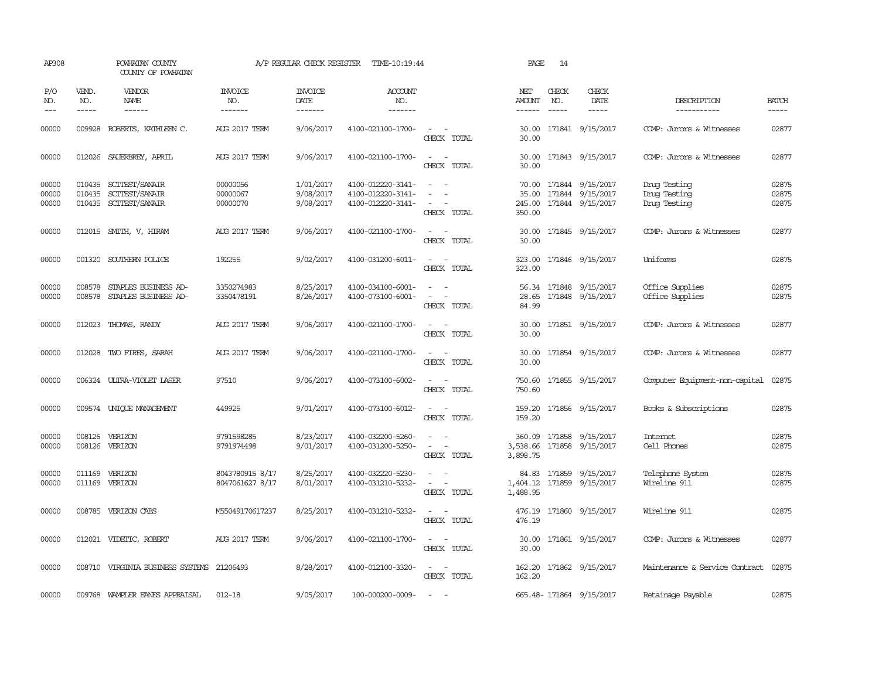| AP308                       |                             | POWHATAN COUNTY<br>COUNTY OF POWHATAN                     |                                    | A/P REGULAR CHECK REGISTER          | TIME-10:19:44                                               |                                                                                                                             | PAGE                           | 14                          |                                                                |                                              |                         |
|-----------------------------|-----------------------------|-----------------------------------------------------------|------------------------------------|-------------------------------------|-------------------------------------------------------------|-----------------------------------------------------------------------------------------------------------------------------|--------------------------------|-----------------------------|----------------------------------------------------------------|----------------------------------------------|-------------------------|
| P/O<br>NO.<br>$\frac{1}{2}$ | VEND.<br>NO.<br>$- - - - -$ | VENDOR<br><b>NAME</b><br>$- - - - - -$                    | INVOICE<br>NO.<br>-------          | <b>INVOICE</b><br>DATE<br>-------   | <b>ACCOUNT</b><br>NO.<br>-------                            |                                                                                                                             | NET<br>AMOUNT<br>$- - - - - -$ | CHECK<br>NO.<br>$- - - - -$ | CHECK<br>DATE<br>$- - - - -$                                   | DESCRIPTION<br>-----------                   | <b>BATCH</b><br>-----   |
| 00000                       | 009928                      | ROBERTS, KATHLEEN C.                                      | <b>AUG 2017 TERM</b>               | 9/06/2017                           | 4100-021100-1700-                                           | $\sim$<br>CHECK TOTAL                                                                                                       | 30.00<br>30.00                 |                             | 171841 9/15/2017                                               | COMP: Jurors & Witnesses                     | 02877                   |
| 00000                       | 012026                      | SAUERBREY, APRIL                                          | <b>AUG 2017 TERM</b>               | 9/06/2017                           | 4100-021100-1700-                                           | $\sim$<br>$\sim$<br>CHECK TOTAL                                                                                             | 30.00<br>30.00                 |                             | 171843 9/15/2017                                               | COMP: Jurors & Witnesses                     | 02877                   |
| 00000<br>00000<br>00000     | 010435<br>010435            | SCITEST/SANAIR<br>SCITEST/SANAIR<br>010435 SCITEST/SANAIR | 00000056<br>00000067<br>00000070   | 1/01/2017<br>9/08/2017<br>9/08/2017 | 4100-012220-3141-<br>4100-012220-3141-<br>4100-012220-3141- | $\sim$<br>$\overline{\phantom{a}}$<br>$\overline{\phantom{a}}$<br>CHECK TOTAL                                               | 35.00<br>245.00<br>350.00      |                             | 70.00 171844 9/15/2017<br>171844 9/15/2017<br>171844 9/15/2017 | Drug Testing<br>Drug Testing<br>Drug Testing | 02875<br>02875<br>02875 |
| 00000                       |                             | 012015 SMITH, V, HIRAM                                    | <b>AUG 2017 TERM</b>               | 9/06/2017                           | 4100-021100-1700-                                           | CHECK TOTAL                                                                                                                 | 30.00<br>30.00                 |                             | 171845 9/15/2017                                               | COMP: Jurors & Witnesses                     | 02877                   |
| 00000                       |                             | 001320 SOUTHERN POLICE                                    | 192255                             | 9/02/2017                           | 4100-031200-6011-                                           | $\sim$<br>CHECK TOTAL                                                                                                       | 323.00<br>323.00               |                             | 171846 9/15/2017                                               | Uniforms                                     | 02875                   |
| 00000<br>00000              | 008578<br>008578            | STAPLES BUSINESS AD-<br>STAPLES BUSINESS AD-              | 3350274983<br>3350478191           | 8/25/2017<br>8/26/2017              | 4100-034100-6001-<br>4100-073100-6001-                      | $\overline{\phantom{a}}$<br>$\sim$<br>$\sim$<br>CHECK TOTAL                                                                 | 28.65<br>84.99                 |                             | 56.34 171848 9/15/2017<br>171848 9/15/2017                     | Office Supplies<br>Office Supplies           | 02875<br>02875          |
| 00000                       |                             | 012023 THOMAS, RANDY                                      | AUG 2017 TERM                      | 9/06/2017                           | 4100-021100-1700-                                           | $\frac{1}{2} \left( \frac{1}{2} \right) \left( \frac{1}{2} \right) = \frac{1}{2} \left( \frac{1}{2} \right)$<br>CHECK TOTAL | 30.00<br>30.00                 |                             | 171851 9/15/2017                                               | COMP: Jurors & Witnesses                     | 02877                   |
| 00000                       |                             | 012028 TWO FIRES, SARAH                                   | AUG 2017 TERM                      | 9/06/2017                           | 4100-021100-1700-                                           | $\sim$<br>- -<br>CHECK TOTAL                                                                                                | 30.00<br>30.00                 |                             | 171854 9/15/2017                                               | COMP: Jurors & Witnesses                     | 02877                   |
| 00000                       |                             | 006324 ULTRA-VIOLET LASER                                 | 97510                              | 9/06/2017                           | 4100-073100-6002-                                           | $\sim$ 100 $\sim$ 100 $\sim$<br>CHECK TOTAL                                                                                 | 750.60<br>750.60               |                             | 171855 9/15/2017                                               | Computer Equipment-non-capital               | 02875                   |
| 00000                       |                             | 009574 UNIQUE MANAGEMENT                                  | 449925                             | 9/01/2017                           | 4100-073100-6012-                                           | $\sim$ $  -$<br>CHECK TOTAL                                                                                                 | 159.20                         |                             | 159.20 171856 9/15/2017                                        | Books & Subscriptions                        | 02875                   |
| 00000<br>00000              | 008126                      | VERIZON<br>008126 VERIZON                                 | 9791598285<br>9791974498           | 8/23/2017<br>9/01/2017              | 4100-032200-5260-<br>4100-031200-5250-                      | $\sim$<br>$\overline{\phantom{a}}$<br>CHECK TOTAL                                                                           | 360.09<br>3,898.75             |                             | 171858 9/15/2017<br>3,538.66 171858 9/15/2017                  | Intemet<br>Cell Phones                       | 02875<br>02875          |
| 00000<br>00000              |                             | 011169 VERIZON<br>011169 VERIZON                          | 8043780915 8/17<br>8047061627 8/17 | 8/25/2017<br>8/01/2017              | 4100-032220-5230-<br>4100-031210-5232-                      | $\equiv$<br>CHECK TOTAL                                                                                                     | 84.83<br>1,404.12<br>1,488.95  |                             | 171859 9/15/2017<br>171859 9/15/2017                           | Telephone System<br>Wireline 911             | 02875<br>02875          |
| 00000                       |                             | 008785 VERIZON CABS                                       | M55049170617237                    | 8/25/2017                           | 4100-031210-5232-                                           | $\sim$ 10 $\sim$ 10 $\sim$<br>CHECK TOTAL                                                                                   | 476.19                         |                             | 476.19 171860 9/15/2017                                        | Wireline 911                                 | 02875                   |
| 00000                       |                             | 012021 VIDETIC, ROBERT                                    | AUG 2017 TERM                      | 9/06/2017                           | 4100-021100-1700-                                           | $\sim$ $ \sim$<br>CHECK TOTAL                                                                                               | 30.00<br>30.00                 |                             | 171861 9/15/2017                                               | COMP: Jurors & Witnesses                     | 02877                   |
| 00000                       |                             | 008710 VIRGINIA BUSINESS SYSTEMS                          | 21206493                           | 8/28/2017                           | 4100-012100-3320-                                           | $\sim$ $\sim$<br>CHECK TOTAL                                                                                                | 162.20<br>162.20               |                             | 171862 9/15/2017                                               | Maintenance & Service Contract               | 02875                   |
| 00000                       |                             | 009768 WAMPLER EANES APPRAISAL                            | $012 - 18$                         | 9/05/2017                           | 100-000200-0009-                                            | $\sim$ $\sim$                                                                                                               |                                |                             | 665.48-171864 9/15/2017                                        | Retainage Payable                            | 02875                   |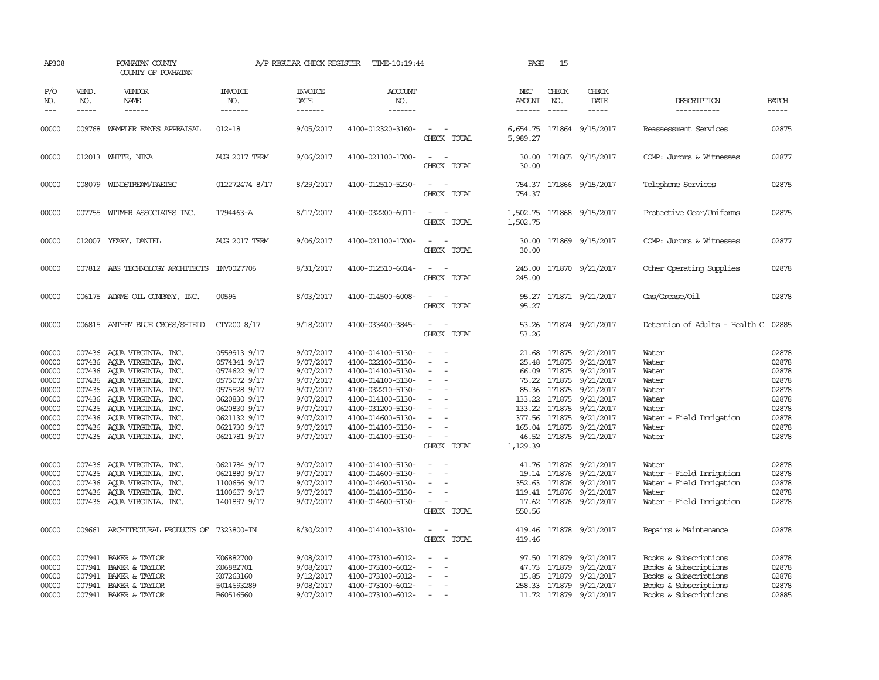| AP308                                                                                  |                             | POWHATAN COUNTY<br>COUNTY OF POWHATAN                                                                                                                                                                                                                                                                    |                                                                                                                                                              | A/P REGULAR CHECK REGISTER                                                                                                     | TIME-10:19:44                                                                                                                                                                                                  |                                                                                                                                                           | PAGE                           | 15                            |                                                                                                                                                                                                                                                        |                                                                                                                           |                                                                                        |
|----------------------------------------------------------------------------------------|-----------------------------|----------------------------------------------------------------------------------------------------------------------------------------------------------------------------------------------------------------------------------------------------------------------------------------------------------|--------------------------------------------------------------------------------------------------------------------------------------------------------------|--------------------------------------------------------------------------------------------------------------------------------|----------------------------------------------------------------------------------------------------------------------------------------------------------------------------------------------------------------|-----------------------------------------------------------------------------------------------------------------------------------------------------------|--------------------------------|-------------------------------|--------------------------------------------------------------------------------------------------------------------------------------------------------------------------------------------------------------------------------------------------------|---------------------------------------------------------------------------------------------------------------------------|----------------------------------------------------------------------------------------|
| P/O<br>NO.<br>$---$                                                                    | VEND.<br>NO.<br>$- - - - -$ | VENDOR<br>NAME<br>$- - - - - -$                                                                                                                                                                                                                                                                          | <b>INVOICE</b><br>NO.<br>-------                                                                                                                             | <b>INVOICE</b><br><b>DATE</b><br>-------                                                                                       | <b>ACCOUNT</b><br>NO.<br>-------                                                                                                                                                                               |                                                                                                                                                           | NET<br>AMOUNT<br>$- - - - - -$ | CHECK<br>NO.<br>$\frac{1}{2}$ | CHECK<br>DATE<br>$- - - - -$                                                                                                                                                                                                                           | DESCRIPTION<br>-----------                                                                                                | <b>BATCH</b><br>-----                                                                  |
| 00000                                                                                  |                             | 009768 WAMPLER EANES APPRAISAL                                                                                                                                                                                                                                                                           | $012 - 18$                                                                                                                                                   | 9/05/2017                                                                                                                      | 4100-012320-3160-                                                                                                                                                                                              | CHECK TOTAL                                                                                                                                               | 5,989.27                       |                               | 6,654.75 171864 9/15/2017                                                                                                                                                                                                                              | Reassessment Services                                                                                                     | 02875                                                                                  |
| 00000                                                                                  |                             | 012013 WHITE, NINA                                                                                                                                                                                                                                                                                       | <b>AUG 2017 TERM</b>                                                                                                                                         | 9/06/2017                                                                                                                      | 4100-021100-1700-                                                                                                                                                                                              | CHECK TOTAL                                                                                                                                               | 30.00                          |                               | 30.00 171865 9/15/2017                                                                                                                                                                                                                                 | COMP: Jurors & Witnesses                                                                                                  | 02877                                                                                  |
| 00000                                                                                  |                             | 008079 WINDSTREAM/PAETEC                                                                                                                                                                                                                                                                                 | 012272474 8/17                                                                                                                                               | 8/29/2017                                                                                                                      | 4100-012510-5230-                                                                                                                                                                                              | CHECK TOTAL                                                                                                                                               | 754.37                         |                               | 754.37 171866 9/15/2017                                                                                                                                                                                                                                | Telephone Services                                                                                                        | 02875                                                                                  |
| 00000                                                                                  |                             | 007755 WITMER ASSOCIATES INC.                                                                                                                                                                                                                                                                            | 1794463-A                                                                                                                                                    | 8/17/2017                                                                                                                      | 4100-032200-6011-                                                                                                                                                                                              | $\frac{1}{2} \left( \frac{1}{2} \right) \left( \frac{1}{2} \right) = \frac{1}{2} \left( \frac{1}{2} \right)$<br>CHECK TOTAL                               | 1,502.75                       |                               | 1,502.75 171868 9/15/2017                                                                                                                                                                                                                              | Protective Gear/Uniforms                                                                                                  | 02875                                                                                  |
| 00000                                                                                  |                             | 012007 YEARY, DANIEL                                                                                                                                                                                                                                                                                     | <b>AUG 2017 TERM</b>                                                                                                                                         | 9/06/2017                                                                                                                      | 4100-021100-1700-                                                                                                                                                                                              | CHECK TOTAL                                                                                                                                               | 30.00                          |                               | 30.00 171869 9/15/2017                                                                                                                                                                                                                                 | COMP: Jurors & Witnesses                                                                                                  | 02877                                                                                  |
| 00000                                                                                  |                             | 007812 ABS TECHNOLOGY ARCHITECTS                                                                                                                                                                                                                                                                         | INV0027706                                                                                                                                                   | 8/31/2017                                                                                                                      | 4100-012510-6014-                                                                                                                                                                                              | CHECK TOTAL                                                                                                                                               | 245.00<br>245.00               |                               | 171870 9/21/2017                                                                                                                                                                                                                                       | Other Operating Supplies                                                                                                  | 02878                                                                                  |
| 00000                                                                                  |                             | 006175 ADAMS OIL COMPANY, INC.                                                                                                                                                                                                                                                                           | 00596                                                                                                                                                        | 8/03/2017                                                                                                                      | 4100-014500-6008-                                                                                                                                                                                              | $\overline{\phantom{a}}$<br>CHECK TOTAL                                                                                                                   | 95.27<br>95.27                 |                               | 171871 9/21/2017                                                                                                                                                                                                                                       | Gas/Grease/0il                                                                                                            | 02878                                                                                  |
| 00000                                                                                  |                             | 006815 ANTHEM BLUE CROSS/SHIELD                                                                                                                                                                                                                                                                          | CTY200 8/17                                                                                                                                                  | 9/18/2017                                                                                                                      | 4100-033400-3845-                                                                                                                                                                                              | CHECK TOTAL                                                                                                                                               | 53.26                          |                               | 53.26 171874 9/21/2017                                                                                                                                                                                                                                 | Detention of Adults - Health C 02885                                                                                      |                                                                                        |
| 00000<br>00000<br>00000<br>00000<br>00000<br>00000<br>00000<br>00000<br>00000<br>00000 |                             | 007436 AQUA VIRGINIA, INC.<br>007436 AOUA VIRGINIA, INC.<br>007436 AQUA VIRGINIA, INC.<br>007436 AQUA VIRGINIA, INC.<br>007436 AQUA VIRGINIA, INC.<br>007436 AQUA VIRGINIA, INC.<br>007436 AQUA VIRGINIA, INC.<br>007436 AQUA VIRGINIA, INC.<br>007436 AQUA VIRGINIA, INC.<br>007436 AQUA VIRGINIA, INC. | 0559913 9/17<br>0574341 9/17<br>0574622 9/17<br>0575072 9/17<br>0575528 9/17<br>0620830 9/17<br>0620830 9/17<br>0621132 9/17<br>0621730 9/17<br>0621781 9/17 | 9/07/2017<br>9/07/2017<br>9/07/2017<br>9/07/2017<br>9/07/2017<br>9/07/2017<br>9/07/2017<br>9/07/2017<br>9/07/2017<br>9/07/2017 | 4100-014100-5130-<br>4100-022100-5130-<br>4100-014100-5130-<br>4100-014100-5130-<br>4100-032210-5130-<br>4100-014100-5130-<br>4100-031200-5130-<br>4100-014600-5130-<br>4100-014100-5130-<br>4100-014100-5130- | $\sim$<br>$\overline{\phantom{a}}$<br>$\overline{\phantom{a}}$<br>$\overline{\phantom{a}}$<br>$\overline{\phantom{a}}$<br>$\sim$<br>$\sim$<br>CHECK TOTAL | 133.22<br>1,129.39             | 171875                        | 21.68 171875 9/21/2017<br>25.48 171875 9/21/2017<br>66.09 171875 9/21/2017<br>75.22 171875 9/21/2017<br>85.36 171875 9/21/2017<br>133.22 171875 9/21/2017<br>9/21/2017<br>377.56 171875 9/21/2017<br>165.04 171875 9/21/2017<br>46.52 171875 9/21/2017 | Water<br>Water<br>Water<br>Water<br>Water<br>Water<br>Water<br>Water - Field Irrigation<br>Water<br>Water                 | 02878<br>02878<br>02878<br>02878<br>02878<br>02878<br>02878<br>02878<br>02878<br>02878 |
| 00000<br>00000<br>00000<br>00000<br>00000                                              |                             | 007436 AQUA VIRGINIA, INC.<br>007436 AQUA VIRGINIA, INC.<br>007436 AQUA VIRGINIA, INC.<br>007436 AQUA VIRGINIA, INC.<br>007436 AQUA VIRGINIA, INC.                                                                                                                                                       | 0621784 9/17<br>0621880 9/17<br>1100656 9/17<br>1100657 9/17<br>1401897 9/17                                                                                 | 9/07/2017<br>9/07/2017<br>9/07/2017<br>9/07/2017<br>9/07/2017                                                                  | 4100-014100-5130-<br>4100-014600-5130-<br>4100-014600-5130-<br>4100-014100-5130-<br>4100-014600-5130-                                                                                                          | $\sim$ $ \sim$<br>$\sim$<br>$\overline{\phantom{a}}$<br>$\sim$<br>CHECK TOTAL                                                                             | 550.56                         |                               | 41.76 171876 9/21/2017<br>19.14 171876 9/21/2017<br>352.63 171876 9/21/2017<br>119.41 171876 9/21/2017<br>17.62 171876 9/21/2017                                                                                                                       | Water<br>Water - Field Irrigation<br>Water - Field Irrigation<br>Water<br>Water - Field Irrigation                        | 02878<br>02878<br>02878<br>02878<br>02878                                              |
| 00000                                                                                  |                             | 009661 ARCHITECTURAL PRODUCTS OF 7323800-IN                                                                                                                                                                                                                                                              |                                                                                                                                                              | 8/30/2017                                                                                                                      | 4100-014100-3310-                                                                                                                                                                                              | $\frac{1}{2} \left( \frac{1}{2} \right) \left( \frac{1}{2} \right) = \frac{1}{2} \left( \frac{1}{2} \right)$<br>CHECK TOTAL                               | 419.46                         |                               | 419.46 171878 9/21/2017                                                                                                                                                                                                                                | Repairs & Maintenance                                                                                                     | 02878                                                                                  |
| 00000<br>00000<br>00000<br>00000<br>00000                                              | 007941<br>007941<br>007941  | BAKER & TAYLOR<br>BAKER & TAYLOR<br>BAKER & TAYLOR<br>007941 BAKER & TAYLOR<br>007941 BAKER & TAYLOR                                                                                                                                                                                                     | K06882700<br>K06882701<br>K07263160<br>5014693289<br>B60516560                                                                                               | 9/08/2017<br>9/08/2017<br>9/12/2017<br>9/08/2017<br>9/07/2017                                                                  | 4100-073100-6012-<br>4100-073100-6012-<br>4100-073100-6012-<br>4100-073100-6012-<br>4100-073100-6012-                                                                                                          | $\overline{\phantom{a}}$<br>$\sim$                                                                                                                        | 47.73<br>15.85                 | 171879<br>171879              | 97.50 171879 9/21/2017<br>9/21/2017<br>9/21/2017<br>258.33 171879 9/21/2017<br>11.72 171879 9/21/2017                                                                                                                                                  | Books & Subscriptions<br>Books & Subscriptions<br>Books & Subscriptions<br>Books & Subscriptions<br>Books & Subscriptions | 02878<br>02878<br>02878<br>02878<br>02885                                              |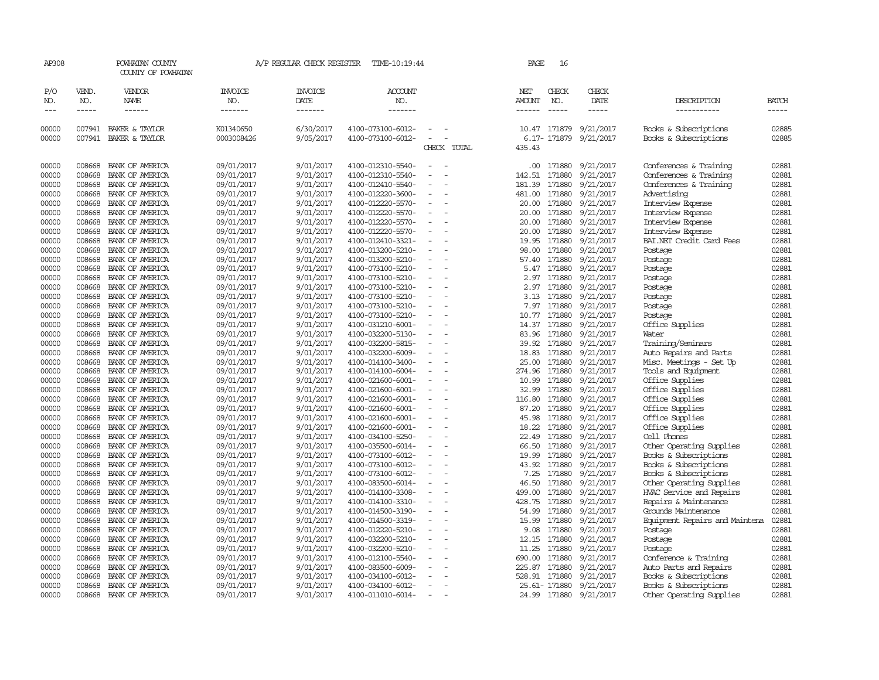| AP308               |                             | POWHATAN COUNTY<br>COUNTY OF POWHATAN |                                  | A/P REGULAR CHECK REGISTER        | TIME-10:19:44                    |                                                      | PAGE                                  | 16                          |                              |                                |                               |
|---------------------|-----------------------------|---------------------------------------|----------------------------------|-----------------------------------|----------------------------------|------------------------------------------------------|---------------------------------------|-----------------------------|------------------------------|--------------------------------|-------------------------------|
| P/O<br>NO.<br>$---$ | VEND.<br>NO.<br>$- - - - -$ | VENDOR<br>NAME<br>$- - - - - -$       | <b>INVOICE</b><br>NO.<br>------- | <b>INVOICE</b><br>DATE<br>------- | <b>ACCOUNT</b><br>NO.<br>------- |                                                      | NET<br><b>AMOUNT</b><br>$- - - - - -$ | CHECK<br>NO.<br>$- - - - -$ | CHECK<br>DATE<br>$- - - - -$ | DESCRIPTION<br>-----------     | <b>BATCH</b><br>$\frac{1}{2}$ |
| 00000               | 007941                      | BAKER & TAYLOR                        | K01340650                        | 6/30/2017                         | 4100-073100-6012-                |                                                      |                                       | 10.47 171879                | 9/21/2017                    | Books & Subscriptions          | 02885                         |
| 00000               |                             | 007941 BAKER & TAYLOR                 | 0003008426                       | 9/05/2017                         | 4100-073100-6012-                | CHECK TOTAL                                          | 435.43                                | 6.17- 171879                | 9/21/2017                    | Books & Subscriptions          | 02885                         |
| 00000               | 008668                      | BANK OF AMERICA                       | 09/01/2017                       | 9/01/2017                         | 4100-012310-5540-                |                                                      | .00                                   | 171880                      | 9/21/2017                    | Conferences & Training         | 02881                         |
| 00000               | 008668                      | BANK OF AMERICA                       | 09/01/2017                       | 9/01/2017                         | 4100-012310-5540-                |                                                      | 142.51                                | 171880                      | 9/21/2017                    | Conferences & Training         | 02881                         |
| 00000               | 008668                      | BANK OF AMERICA                       | 09/01/2017                       | 9/01/2017                         | 4100-012410-5540-                |                                                      | 181.39                                | 171880                      | 9/21/2017                    | Conferences & Training         | 02881                         |
| 00000               | 008668                      | BANK OF AMERICA                       | 09/01/2017                       | 9/01/2017                         | 4100-012220-3600-                | $\sim$                                               | 481.00                                | 171880                      | 9/21/2017                    | Advertising                    | 02881                         |
| 00000               | 008668                      | BANK OF AMERICA                       | 09/01/2017                       | 9/01/2017                         | 4100-012220-5570-                | $\sim$                                               | 20.00                                 | 171880                      | 9/21/2017                    | Interview Expense              | 02881                         |
| 00000               | 008668                      | BANK OF AMERICA                       | 09/01/2017                       | 9/01/2017                         | 4100-012220-5570-                |                                                      | 20.00                                 | 171880                      | 9/21/2017                    | Interview Expense              | 02881                         |
| 00000               | 008668                      | BANK OF AMERICA                       | 09/01/2017                       | 9/01/2017                         | 4100-012220-5570-                |                                                      | 20.00                                 | 171880                      | 9/21/2017                    | Interview Expense              | 02881                         |
| 00000               | 008668                      | BANK OF AMERICA                       | 09/01/2017                       | 9/01/2017                         | 4100-012220-5570-                | $\equiv$<br>$\equiv$                                 | 20.00                                 | 171880                      | 9/21/2017                    | Interview Expense              | 02881                         |
| 00000               | 008668                      | BANK OF AMERICA                       | 09/01/2017                       | 9/01/2017                         | 4100-012410-3321-                |                                                      | 19.95                                 | 171880                      | 9/21/2017                    | BAI.NET Credit Card Fees       | 02881                         |
| 00000               | 008668                      | BANK OF AMERICA                       | 09/01/2017                       | 9/01/2017                         | 4100-013200-5210-                |                                                      | 98.00                                 | 171880                      | 9/21/2017                    | Postage                        | 02881                         |
| 00000               | 008668                      | BANK OF AMERICA                       | 09/01/2017                       | 9/01/2017                         | 4100-013200-5210-                |                                                      |                                       | 57.40 171880                | 9/21/2017                    | Postage                        | 02881                         |
| 00000               | 008668                      | BANK OF AMERICA                       | 09/01/2017                       | 9/01/2017                         | 4100-073100-5210-                | $\overline{\phantom{a}}$                             | 5.47                                  | 171880                      | 9/21/2017                    | Postage                        | 02881                         |
| 00000               | 008668                      | BANK OF AMERICA                       | 09/01/2017                       | 9/01/2017                         | 4100-073100-5210-                | $\sim$                                               | 2.97                                  | 171880                      | 9/21/2017                    | Postage                        | 02881                         |
| 00000               | 008668                      | BANK OF AMERICA                       | 09/01/2017                       | 9/01/2017                         | 4100-073100-5210-                |                                                      |                                       | 2.97 171880                 | 9/21/2017                    | Postage                        | 02881                         |
| 00000               | 008668                      | BANK OF AMERICA                       | 09/01/2017                       | 9/01/2017                         | 4100-073100-5210-                | $\overline{\phantom{a}}$<br>$\overline{\phantom{a}}$ | 3.13                                  | 171880                      | 9/21/2017                    | Postage                        | 02881                         |
| 00000               | 008668                      | BANK OF AMERICA                       | 09/01/2017                       | 9/01/2017                         | 4100-073100-5210-                |                                                      | 7.97                                  | 171880                      | 9/21/2017                    | Postage                        | 02881                         |
| 00000               | 008668                      | BANK OF AMERICA                       | 09/01/2017                       | 9/01/2017                         | 4100-073100-5210-                |                                                      | 10.77                                 | 171880                      | 9/21/2017                    | Postage                        | 02881                         |
| 00000               | 008668                      | BANK OF AMERICA                       | 09/01/2017                       | 9/01/2017                         | 4100-031210-6001-                |                                                      |                                       | 14.37 171880                | 9/21/2017                    | Office Supplies                | 02881                         |
| 00000               | 008668                      | BANK OF AMERICA                       | 09/01/2017                       | 9/01/2017                         | 4100-032200-5130-                | $\sim$                                               | 83.96                                 | 171880                      | 9/21/2017                    | Water                          | 02881                         |
| 00000               | 008668                      | BANK OF AMERICA                       | 09/01/2017                       | 9/01/2017                         | 4100-032200-5815-                |                                                      | 39.92                                 | 171880                      | 9/21/2017                    | Training/Seminars              | 02881                         |
| 00000               | 008668                      | BANK OF AMERICA                       | 09/01/2017                       | 9/01/2017                         | 4100-032200-6009-                |                                                      | 18.83                                 | 171880                      | 9/21/2017                    | Auto Repairs and Parts         | 02881                         |
| 00000               | 008668                      | BANK OF AMERICA                       | 09/01/2017                       | 9/01/2017                         | 4100-014100-3400-                | $\overline{\phantom{a}}$                             | 25.00                                 | 171880                      | 9/21/2017                    | Misc. Meetings - Set Up        | 02881                         |
| 00000               | 008668                      | BANK OF AMERICA                       | 09/01/2017                       | 9/01/2017                         | 4100-014100-6004-                |                                                      | 274.96                                | 171880                      | 9/21/2017                    | Tools and Equipment            | 02881                         |
| 00000               | 008668                      | BANK OF AMERICA                       | 09/01/2017                       | 9/01/2017                         | 4100-021600-6001-                |                                                      | 10.99                                 | 171880                      | 9/21/2017                    | Office Supplies                | 02881                         |
| 00000               | 008668                      | BANK OF AMERICA                       | 09/01/2017                       | 9/01/2017                         | 4100-021600-6001-                |                                                      | 32.99                                 | 171880                      | 9/21/2017                    | Office Supplies                | 02881                         |
| 00000               | 008668                      | BANK OF AMERICA                       | 09/01/2017                       | 9/01/2017                         | 4100-021600-6001-                | $\sim$<br>$\overline{\phantom{a}}$                   | 116.80                                | 171880                      | 9/21/2017                    | Office Supplies                | 02881                         |
| 00000               | 008668                      | BANK OF AMERICA                       | 09/01/2017                       | 9/01/2017                         | 4100-021600-6001-                |                                                      | 87.20                                 | 171880                      | 9/21/2017                    | Office Supplies                | 02881                         |
| 00000               | 008668                      | BANK OF AMERICA                       | 09/01/2017                       | 9/01/2017                         | 4100-021600-6001-                |                                                      | 45.98                                 | 171880                      | 9/21/2017                    | Office Supplies                | 02881                         |
| 00000               | 008668                      | BANK OF AMERICA                       | 09/01/2017                       | 9/01/2017                         | 4100-021600-6001-                | $\sim$                                               | 18.22                                 | 171880                      | 9/21/2017                    | Office Supplies                | 02881                         |
| 00000               | 008668                      | BANK OF AMERICA                       | 09/01/2017                       | 9/01/2017                         | 4100-034100-5250-                |                                                      | 22.49                                 | 171880                      | 9/21/2017                    | Cell Phones                    | 02881                         |
| 00000               | 008668                      | BANK OF AMERICA                       | 09/01/2017                       | 9/01/2017                         | 4100-035500-6014-                |                                                      | 66.50                                 | 171880                      | 9/21/2017                    | Other Operating Supplies       | 02881                         |
| 00000               | 008668                      | BANK OF AMERICA                       | 09/01/2017                       | 9/01/2017                         | 4100-073100-6012-                |                                                      | 19.99                                 | 171880                      | 9/21/2017                    | Books & Subscriptions          | 02881                         |
| 00000               | 008668                      | BANK OF AMERICA                       | 09/01/2017                       | 9/01/2017                         | 4100-073100-6012-                | $\sim$<br>$\equiv$                                   | 43.92                                 | 171880                      | 9/21/2017                    | Books & Subscriptions          | 02881                         |
| 00000               | 008668                      | BANK OF AMERICA                       | 09/01/2017                       | 9/01/2017                         | 4100-073100-6012-                |                                                      | 7.25                                  | 171880                      | 9/21/2017                    | Books & Subscriptions          | 02881                         |
| 00000               | 008668                      | BANK OF AMERICA                       | 09/01/2017                       | 9/01/2017                         | 4100-083500-6014-                |                                                      | 46.50                                 | 171880                      | 9/21/2017                    | Other Operating Supplies       | 02881                         |
| 00000               | 008668                      | BANK OF AMERICA                       | 09/01/2017                       | 9/01/2017                         | 4100-014100-3308-                |                                                      | 499.00                                | 171880                      | 9/21/2017                    | HVAC Service and Repairs       | 02881                         |
| 00000               | 008668                      | BANK OF AMERICA                       | 09/01/2017                       | 9/01/2017                         | 4100-014100-3310-                | $\overline{\phantom{a}}$                             | 428.75                                | 171880                      | 9/21/2017                    | Repairs & Maintenance          | 02881                         |
| 00000               | 008668                      | BANK OF AMERICA                       | 09/01/2017                       | 9/01/2017                         | 4100-014500-3190-                | $\overline{\phantom{a}}$                             | 54.99                                 | 171880                      | 9/21/2017                    | Grounds Maintenance            | 02881                         |
| 00000               | 008668                      | BANK OF AMERICA                       | 09/01/2017                       | 9/01/2017                         | 4100-014500-3319-                |                                                      | 15.99                                 | 171880                      | 9/21/2017                    | Equipment Repairs and Maintena | 02881                         |
| 00000               | 008668                      | BANK OF AMERICA                       | 09/01/2017                       | 9/01/2017                         | 4100-012220-5210-                | $\overline{\phantom{a}}$<br>$\overline{\phantom{a}}$ | 9.08                                  | 171880                      | 9/21/2017                    | Postage                        | 02881                         |
| 00000               | 008668                      | BANK OF AMERICA                       | 09/01/2017                       | 9/01/2017                         | 4100-032200-5210-                |                                                      | 12.15                                 | 171880                      | 9/21/2017                    | Postage                        | 02881                         |
| 00000               | 008668                      | BANK OF AMERICA                       | 09/01/2017                       | 9/01/2017                         | 4100-032200-5210-                |                                                      | 11.25                                 | 171880                      | 9/21/2017                    | Postage                        | 02881                         |
| 00000               | 008668                      | BANK OF AMERICA                       | 09/01/2017                       | 9/01/2017                         | 4100-012100-5540-                |                                                      | 690.00                                | 171880                      | 9/21/2017                    | Conference & Training          | 02881                         |
| 00000               | 008668                      | BANK OF AMERICA                       | 09/01/2017                       | 9/01/2017                         | 4100-083500-6009-                |                                                      | 225.87                                | 171880                      | 9/21/2017                    | Auto Parts and Repairs         | 02881                         |
| 00000               | 008668                      | BANK OF AMERICA                       | 09/01/2017                       | 9/01/2017                         | 4100-034100-6012-                |                                                      | 528.91                                | 171880                      | 9/21/2017                    | Books & Subscriptions          | 02881                         |
| 00000               | 008668                      | BANK OF AMERICA                       | 09/01/2017                       | 9/01/2017                         | 4100-034100-6012-                |                                                      |                                       | 25.61- 171880               | 9/21/2017                    | Books & Subscriptions          | 02881                         |
| 00000               |                             | 008668 BANK OF AMERICA                | 09/01/2017                       | 9/01/2017                         | 4100-011010-6014-                | $\overline{\phantom{a}}$                             |                                       | 24.99 171880                | 9/21/2017                    | Other Operating Supplies       | 02881                         |
|                     |                             |                                       |                                  |                                   |                                  |                                                      |                                       |                             |                              |                                |                               |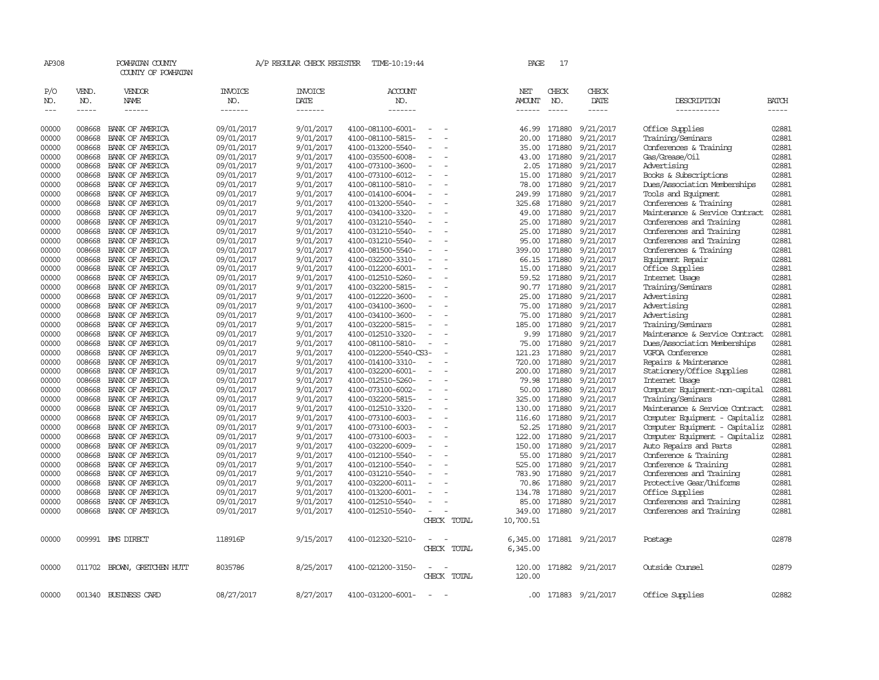| AP308               |                             | POWHATAN COUNTY<br>COUNTY OF POWHATAN |                            | A/P REGULAR CHECK REGISTER        | TIME-10:19:44                          |                          | PAGE                    | 17                            |                              |                                                      |                       |
|---------------------|-----------------------------|---------------------------------------|----------------------------|-----------------------------------|----------------------------------------|--------------------------|-------------------------|-------------------------------|------------------------------|------------------------------------------------------|-----------------------|
| P/O<br>NO.<br>$---$ | VEND.<br>NO.<br>$- - - - -$ | VENDOR<br>NAME<br>------              | INVOICE<br>NO.<br>-------- | <b>INVOICE</b><br>DATE<br>------- | ACCOUNT<br>NO.<br>-------              |                          | NET<br>AMOUNT<br>------ | CHECK<br>NO.<br>$\frac{1}{2}$ | CHECK<br>DATE<br>$- - - - -$ | DESCRIPTION<br>-----------                           | <b>BATCH</b><br>----- |
| 00000               | 008668                      | BANK OF AMERICA                       | 09/01/2017                 | 9/01/2017                         | 4100-081100-6001-                      |                          | 46.99                   | 171880                        | 9/21/2017                    | Office Supplies                                      | 02881                 |
| 00000               | 008668                      | BANK OF AMERICA                       | 09/01/2017                 | 9/01/2017                         | 4100-081100-5815-                      |                          | 20.00                   | 171880                        | 9/21/2017                    | Training/Seminars                                    | 02881                 |
| 00000               | 008668                      | BANK OF AMERICA                       | 09/01/2017                 | 9/01/2017                         | 4100-013200-5540-                      | $\overline{\phantom{a}}$ | 35.00                   | 171880                        | 9/21/2017                    | Conferences & Training                               | 02881                 |
| 00000               | 008668                      | BANK OF AMERICA                       | 09/01/2017                 | 9/01/2017                         | 4100-035500-6008-                      |                          | 43.00                   | 171880                        | 9/21/2017                    | Gas/Grease/Oil                                       | 02881                 |
| 00000               | 008668                      | BANK OF AMERICA                       | 09/01/2017                 | 9/01/2017                         | 4100-073100-3600-                      |                          | 2.05                    | 171880                        | 9/21/2017                    | Advertising                                          | 02881                 |
| 00000               | 008668                      | BANK OF AMERICA                       | 09/01/2017                 | 9/01/2017                         | 4100-073100-6012-                      |                          | 15.00                   | 171880                        | 9/21/2017                    | Books & Subscriptions                                | 02881                 |
| 00000               | 008668                      | BANK OF AMERICA                       | 09/01/2017                 | 9/01/2017                         | 4100-081100-5810-                      | $\equiv$                 | 78.00                   | 171880                        | 9/21/2017                    | Dues/Association Memberships                         | 02881                 |
| 00000               | 008668                      | BANK OF AMERICA                       | 09/01/2017                 | 9/01/2017                         | 4100-014100-6004-                      |                          | 249.99                  | 171880                        | 9/21/2017                    | Tools and Equipment                                  | 02881                 |
| 00000               | 008668                      | BANK OF AMERICA                       | 09/01/2017                 | 9/01/2017                         | 4100-013200-5540-                      |                          | 325.68                  | 171880                        | 9/21/2017                    | Conferences & Training                               | 02881                 |
| 00000               | 008668                      | BANK OF AMERICA                       | 09/01/2017                 | 9/01/2017                         | 4100-034100-3320-                      | $\equiv$                 | 49.00                   | 171880                        | 9/21/2017                    | Maintenance & Service Contract                       | 02881                 |
| 00000               | 008668                      | BANK OF AMERICA                       | 09/01/2017                 | 9/01/2017                         | 4100-031210-5540-                      |                          | 25.00                   | 171880                        | 9/21/2017                    | Conferences and Training                             | 02881                 |
| 00000               | 008668                      | BANK OF AMERICA                       | 09/01/2017                 | 9/01/2017                         | 4100-031210-5540-                      |                          | 25.00                   | 171880                        | 9/21/2017                    | Conferences and Training                             | 02881                 |
| 00000               | 008668                      | BANK OF AMERICA                       | 09/01/2017                 | 9/01/2017                         | 4100-031210-5540-                      | $\equiv$                 | 95.00                   | 171880                        | 9/21/2017                    | Conferences and Training                             | 02881                 |
| 00000               | 008668                      | BANK OF AMERICA                       | 09/01/2017                 | 9/01/2017                         | 4100-081500-5540-                      | $\sim$                   | 399.00                  | 171880                        | 9/21/2017                    | Conferences & Training                               | 02881                 |
| 00000               | 008668                      | BANK OF AMERICA                       | 09/01/2017                 | 9/01/2017                         | 4100-032200-3310-                      |                          | 66.15                   | 171880                        | 9/21/2017                    | Equipment Repair                                     | 02881                 |
| 00000               | 008668                      | BANK OF AMERICA                       | 09/01/2017                 | 9/01/2017                         | 4100-012200-6001-                      |                          | 15.00                   | 171880                        | 9/21/2017                    | Office Supplies                                      | 02881                 |
| 00000               | 008668                      | BANK OF AMERICA                       | 09/01/2017                 | 9/01/2017                         | 4100-012510-5260-                      | $\equiv$                 | 59.52                   | 171880                        | 9/21/2017                    | Internet Usage                                       | 02881                 |
| 00000               | 008668                      | BANK OF AMERICA                       | 09/01/2017                 | 9/01/2017                         | 4100-032200-5815-                      |                          | 90.77                   | 171880                        | 9/21/2017                    | Training/Seminars                                    | 02881                 |
| 00000               | 008668                      | BANK OF AMERICA                       | 09/01/2017                 | 9/01/2017                         | 4100-012220-3600-                      |                          | 25.00                   | 171880                        | 9/21/2017                    | Advertising                                          | 02881                 |
| 00000               | 008668                      | BANK OF AMERICA                       | 09/01/2017                 | 9/01/2017                         | 4100-034100-3600-                      |                          | 75.00                   | 171880                        | 9/21/2017                    | Advertising                                          | 02881                 |
| 00000               | 008668                      | BANK OF AMERICA                       | 09/01/2017                 | 9/01/2017                         | 4100-034100-3600-                      |                          | 75.00                   | 171880                        | 9/21/2017                    | Advertising                                          | 02881                 |
| 00000               | 008668                      | BANK OF AMERICA                       | 09/01/2017                 | 9/01/2017                         | 4100-032200-5815-                      |                          | 185.00                  | 171880                        | 9/21/2017                    | Training/Seminars                                    | 02881                 |
| 00000               | 008668                      | BANK OF AMERICA                       | 09/01/2017                 | 9/01/2017                         | 4100-012510-3320-                      |                          | 9.99                    | 171880                        | 9/21/2017                    | Maintenance & Service Contract                       | 02881                 |
| 00000               | 008668                      | BANK OF AMERICA                       | 09/01/2017                 | 9/01/2017                         | 4100-081100-5810-                      | $\sim$                   | 75.00                   | 171880                        | 9/21/2017                    | Dues/Association Memberships                         | 02881                 |
| 00000               | 008668                      | BANK OF AMERICA                       | 09/01/2017                 | 9/01/2017                         | 4100-012200-5540-CS3-                  |                          | 121.23                  | 171880                        | 9/21/2017                    | VGFOA Conference                                     | 02881                 |
| 00000               | 008668                      | BANK OF AMERICA                       | 09/01/2017                 | 9/01/2017                         | 4100-014100-3310-                      |                          | 720.00                  | 171880                        | 9/21/2017                    | Repairs & Maintenance                                | 02881                 |
| 00000               | 008668                      | BANK OF AMERICA                       | 09/01/2017                 | 9/01/2017                         | 4100-032200-6001-                      | $\overline{\phantom{a}}$ | 200.00                  | 171880                        | 9/21/2017                    | Stationery/Office Supplies                           | 02881                 |
| 00000               | 008668                      | BANK OF AMERICA                       | 09/01/2017                 | 9/01/2017                         | 4100-012510-5260-                      |                          | 79.98                   | 171880                        | 9/21/2017                    | Internet Usage                                       | 02881                 |
| 00000               | 008668                      | BANK OF AMERICA                       | 09/01/2017                 | 9/01/2017                         | 4100-073100-6002-                      | $\sim$                   | 50.00                   | 171880                        | 9/21/2017                    | Computer Equipment-non-capital                       | 02881                 |
| 00000               | 008668                      | BANK OF AMERICA                       | 09/01/2017                 | 9/01/2017                         | 4100-032200-5815-                      |                          | 325.00                  | 171880                        | 9/21/2017                    | Training/Seminars                                    | 02881                 |
| 00000               | 008668                      | BANK OF AMERICA                       | 09/01/2017                 | 9/01/2017                         | 4100-012510-3320-                      | $\equiv$                 | 130.00                  | 171880                        | 9/21/2017                    | Maintenance & Service Contract                       | 02881                 |
| 00000               | 008668                      | BANK OF AMERICA                       | 09/01/2017                 | 9/01/2017                         | 4100-073100-6003-                      |                          | 116.60                  | 171880                        | 9/21/2017                    | Computer Equipment - Capitaliz                       | 02881                 |
| 00000               | 008668                      | BANK OF AMERICA                       | 09/01/2017                 | 9/01/2017                         | 4100-073100-6003-                      |                          | 52.25                   | 171880                        | 9/21/2017                    | Computer Equipment - Capitaliz                       | 02881                 |
| 00000               | 008668                      | BANK OF AMERICA                       | 09/01/2017                 | 9/01/2017                         | 4100-073100-6003-                      | $\sim$<br>$\sim$         | 122.00                  | 171880                        | 9/21/2017                    | Computer Equipment - Capitaliz                       | 02881                 |
| 00000               | 008668                      | BANK OF AMERICA                       | 09/01/2017                 | 9/01/2017                         | 4100-032200-6009-                      | $\sim$                   | 150.00                  | 171880                        | 9/21/2017                    | Auto Repairs and Parts                               | 02881                 |
| 00000               | 008668<br>008668            | BANK OF AMERICA                       | 09/01/2017                 | 9/01/2017                         | 4100-012100-5540-                      |                          | 55.00                   | 171880<br>171880              | 9/21/2017                    | Conference & Training                                | 02881                 |
| 00000               |                             | BANK OF AMERICA                       | 09/01/2017                 | 9/01/2017                         | 4100-012100-5540-                      | $\equiv$                 | 525.00                  |                               | 9/21/2017                    | Conference & Training                                | 02881                 |
| 00000<br>00000      | 008668<br>008668            | BANK OF AMERICA<br>BANK OF AMERICA    | 09/01/2017<br>09/01/2017   | 9/01/2017<br>9/01/2017            | 4100-031210-5540-<br>4100-032200-6011- |                          | 783.90                  | 171880<br>171880              | 9/21/2017<br>9/21/2017       | Conferences and Training<br>Protective Gear/Uniforms | 02881<br>02881        |
| 00000               | 008668                      | BANK OF AMERICA                       | 09/01/2017                 | 9/01/2017                         | 4100-013200-6001-                      |                          | 70.86<br>134.78         | 171880                        | 9/21/2017                    | Office Supplies                                      | 02881                 |
| 00000               | 008668                      | BANK OF AMERICA                       | 09/01/2017                 | 9/01/2017                         | 4100-012510-5540-                      |                          | 85.00                   | 171880                        | 9/21/2017                    | Conferences and Training                             | 02881                 |
| 00000               | 008668                      | BANK OF AMERICA                       | 09/01/2017                 | 9/01/2017                         | 4100-012510-5540-                      | $\equiv$                 | 349.00                  | 171880                        | 9/21/2017                    | Conferences and Training                             | 02881                 |
|                     |                             |                                       |                            |                                   |                                        | CHECK TOTAL              | 10,700.51               |                               |                              |                                                      |                       |
| 00000               |                             | 009991 BMS DIRECT                     | 118916P                    | 9/15/2017                         | 4100-012320-5210-                      | $\equiv$<br>CHECK TOTAL  | 6,345.00<br>6,345.00    |                               | 171881 9/21/2017             | Postage                                              | 02878                 |
| 00000               |                             | 011702 BROWN, GRETCHEN HUTT           | 8035786                    | 8/25/2017                         | 4100-021200-3150-                      | CHECK TOTAL              | 120.00<br>120.00        |                               | 171882 9/21/2017             | Outside Counsel                                      | 02879                 |
| 00000               |                             | 001340 BUSINESS CARD                  | 08/27/2017                 | 8/27/2017                         | 4100-031200-6001-                      | $\sim$                   | .00                     |                               | 171883 9/21/2017             | Office Supplies                                      | 02882                 |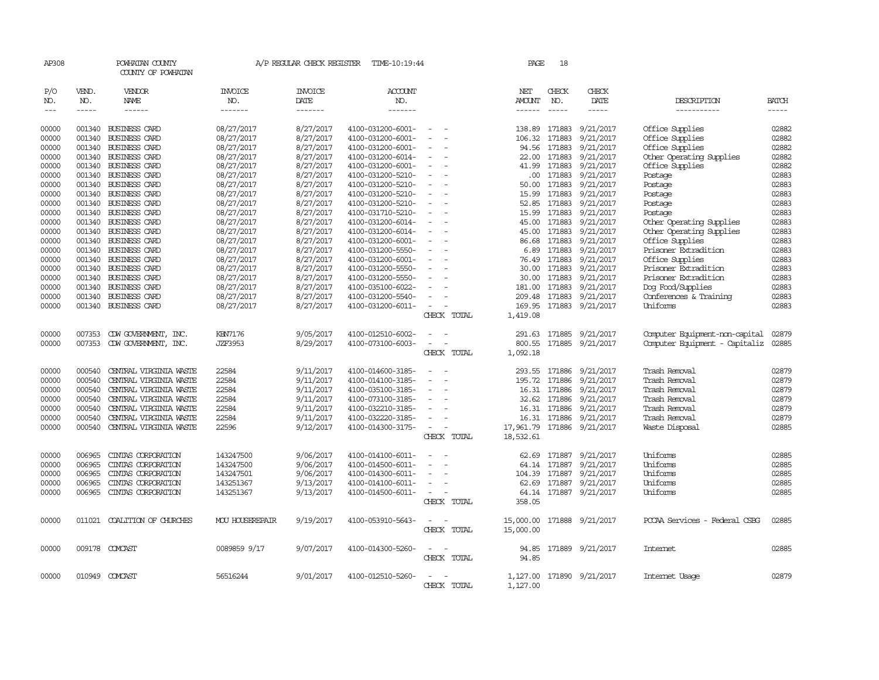| AP308          |                  | POWHATAN COUNTY<br>COUNTY OF POWHATAN            |                 | A/P REGULAR CHECK REGISTER | TIME-10:19:44                          |                                                      | PAGE           | 18               |                        |                                |                |
|----------------|------------------|--------------------------------------------------|-----------------|----------------------------|----------------------------------------|------------------------------------------------------|----------------|------------------|------------------------|--------------------------------|----------------|
| P/O<br>NO.     | VEND.<br>NO.     | VENDOR<br>NAME                                   | INVOICE<br>NO.  | <b>INVOICE</b><br>DATE     | ACCOUNT<br>NO.                         |                                                      | NET<br>AMOUNT  | CHECK<br>NO.     | CHECK<br>DATE          | DESCRIPTION                    | <b>BATCH</b>   |
| $\frac{1}{2}$  | $- - - - -$      | ------                                           | -------         | -------                    | -------                                |                                                      | $- - - - - -$  | $\frac{1}{2}$    | -----                  | -----------                    | $- - - - -$    |
| 00000          |                  | 001340 BUSINESS CARD                             | 08/27/2017      | 8/27/2017                  | 4100-031200-6001-                      |                                                      | 138.89         | 171883           | 9/21/2017              | Office Supplies                | 02882          |
| 00000          | 001340           | <b>BUSINESS CARD</b>                             | 08/27/2017      | 8/27/2017                  | 4100-031200-6001-                      |                                                      | 106.32         | 171883           | 9/21/2017              | Office Supplies                | 02882          |
| 00000          | 001340           | BUSINESS CARD                                    | 08/27/2017      | 8/27/2017                  | 4100-031200-6001-                      |                                                      | 94.56          | 171883           | 9/21/2017              | Office Supplies                | 02882          |
| 00000          | 001340           | BUSINESS CARD                                    | 08/27/2017      | 8/27/2017                  | 4100-031200-6014-                      | $\overline{\phantom{a}}$                             | 22.00          | 171883           | 9/21/2017              | Other Operating Supplies       | 02882          |
| 00000          | 001340           | <b>BUSINESS CARD</b>                             | 08/27/2017      | 8/27/2017                  | 4100-031200-6001-                      |                                                      | 41.99          | 171883           | 9/21/2017              | Office Supplies                | 02882          |
| 00000          | 001340           | <b>BUSINESS CARD</b>                             | 08/27/2017      | 8/27/2017                  | 4100-031200-5210-                      |                                                      | .00.           | 171883           | 9/21/2017              | Postage                        | 02883          |
| 00000          | 001340           | BUSINESS CARD                                    | 08/27/2017      | 8/27/2017                  | 4100-031200-5210-                      | $\overline{\phantom{a}}$                             | 50.00          | 171883           | 9/21/2017              | Postage                        | 02883          |
| 00000          | 001340           | <b>BUSINESS CARD</b>                             | 08/27/2017      | 8/27/2017                  | 4100-031200-5210-                      |                                                      | 15.99          | 171883           | 9/21/2017              | Postage                        | 02883          |
| 00000          | 001340           | <b>BUSINESS CARD</b>                             | 08/27/2017      | 8/27/2017                  | 4100-031200-5210-                      |                                                      | 52.85          | 171883           | 9/21/2017              | Postage                        | 02883          |
| 00000          |                  | 001340 BUSINESS CARD                             | 08/27/2017      | 8/27/2017                  | 4100-031710-5210-                      | $\sim$                                               |                | 15.99 171883     | 9/21/2017              | Postage                        | 02883          |
| 00000          | 001340           | <b>BUSINESS CARD</b>                             | 08/27/2017      | 8/27/2017                  | 4100-031200-6014-                      |                                                      | 45.00          | 171883           | 9/21/2017              | Other Operating Supplies       | 02883          |
| 00000          | 001340           | <b>BUSINESS CARD</b>                             | 08/27/2017      | 8/27/2017                  | 4100-031200-6014-                      |                                                      | 45.00          | 171883           | 9/21/2017              | Other Operating Supplies       | 02883          |
| 00000          | 001340           | <b>BUSINESS CARD</b>                             | 08/27/2017      | 8/27/2017                  | 4100-031200-6001-                      | $\sim$                                               | 86.68          | 171883           | 9/21/2017              | Office Supplies                | 02883          |
| 00000          | 001340           | <b>BUSINESS CARD</b>                             | 08/27/2017      | 8/27/2017                  | 4100-031200-5550-                      |                                                      | 6.89           | 171883           | 9/21/2017              | Prisoner Extradition           | 02883          |
| 00000          | 001340           | <b>BUSINESS CARD</b>                             | 08/27/2017      | 8/27/2017                  | 4100-031200-6001-                      |                                                      |                | 76.49 171883     | 9/21/2017              | Office Supplies                | 02883          |
| 00000          | 001340           | <b>BUSINESS CARD</b>                             | 08/27/2017      | 8/27/2017                  | 4100-031200-5550-                      | $\sim$                                               | 30.00          | 171883           | 9/21/2017              | Prisoner Extradition           | 02883          |
| 00000          | 001340           | BUSINESS CARD                                    | 08/27/2017      | 8/27/2017                  | 4100-031200-5550-                      |                                                      | 30.00          | 171883           | 9/21/2017              | Prisoner Extradition           | 02883          |
| 00000          | 001340           | <b>BUSINESS CARD</b>                             | 08/27/2017      | 8/27/2017                  | 4100-035100-6022-                      |                                                      | 181.00         | 171883           | 9/21/2017              | Dog Food/Supplies              | 02883          |
| 00000          | 001340           | <b>BUSINESS CARD</b>                             | 08/27/2017      | 8/27/2017                  | 4100-031200-5540-                      |                                                      | 209.48         | 171883           | 9/21/2017              | Conferences & Training         | 02883          |
| 00000          | 001340           | <b>BUSINESS CARD</b>                             | 08/27/2017      | 8/27/2017                  | 4100-031200-6011-                      |                                                      | 169.95         | 171883           | 9/21/2017              | Uniforms                       | 02883          |
|                |                  |                                                  |                 |                            |                                        | CHECK TOTAL                                          | 1,419.08       |                  |                        |                                |                |
|                |                  |                                                  |                 |                            |                                        |                                                      |                |                  |                        |                                |                |
| 00000          | 007353           | CDW GOVERNMENT, INC.                             | KBN7176         | 9/05/2017                  | 4100-012510-6002-                      |                                                      | 291.63         | 171885           | 9/21/2017              | Computer Equipment-non-capital | 02879          |
| 00000          | 007353           | CDW GOVERNMENT, INC.                             | <b>JZF3953</b>  | 8/29/2017                  | 4100-073100-6003-                      |                                                      | 800.55         | 171885           | 9/21/2017              | Computer Equipment - Capitaliz | 02885          |
|                |                  |                                                  |                 |                            |                                        | CHECK TOTAL                                          | 1,092.18       |                  |                        |                                |                |
|                |                  |                                                  |                 |                            |                                        |                                                      |                |                  |                        |                                | 02879          |
| 00000          | 000540           | CENTRAL VIRGINIA WASTE                           | 22584           | 9/11/2017                  | 4100-014600-3185-                      |                                                      | 293.55         | 171886           | 9/21/2017              | Trash Removal                  |                |
| 00000          | 000540<br>000540 | CENTRAL VIRGINIA WASTE                           | 22584           | 9/11/2017                  | 4100-014100-3185-                      | $\overline{\phantom{a}}$                             | 195.72         | 171886           | 9/21/2017              | Trash Removal                  | 02879          |
| 00000<br>00000 | 000540           | CENTRAL VIRGINIA WASTE<br>CENTRAL VIRGINIA WASTE | 22584<br>22584  | 9/11/2017<br>9/11/2017     | 4100-035100-3185-<br>4100-073100-3185- | $\overline{\phantom{a}}$                             | 16.31<br>32.62 | 171886<br>171886 | 9/21/2017<br>9/21/2017 | Trash Removal<br>Trash Removal | 02879<br>02879 |
| 00000          | 000540           | CENTRAL VIRGINIA WASTE                           | 22584           | 9/11/2017                  | 4100-032210-3185-                      |                                                      | 16.31          | 171886           | 9/21/2017              | Trash Removal                  | 02879          |
| 00000          | 000540           | CENTRAL VIRGINIA WASTE                           | 22584           | 9/11/2017                  | 4100-032220-3185-                      | $\overline{\phantom{a}}$                             | 16.31          | 171886           | 9/21/2017              | Trash Removal                  | 02879          |
| 00000          | 000540           | CENTRAL VIRGINIA WASTE                           | 22596           | 9/12/2017                  | 4100-014300-3175-                      | $\sim$                                               | 17,961.79      | 171886           | 9/21/2017              | Waste Disposal                 | 02885          |
|                |                  |                                                  |                 |                            |                                        | CHECK TOTAL                                          | 18,532.61      |                  |                        |                                |                |
|                |                  |                                                  |                 |                            |                                        |                                                      |                |                  |                        |                                |                |
| 00000          | 006965           | CINIAS CORPORATION                               | 143247500       | 9/06/2017                  | 4100-014100-6011-                      |                                                      | 62.69          | 171887           | 9/21/2017              | Uniforms                       | 02885          |
| 00000          | 006965           | CINIAS CORPORATION                               | 143247500       | 9/06/2017                  | 4100-014500-6011-                      |                                                      | 64.14          | 171887           | 9/21/2017              | Uniforms                       | 02885          |
| 00000          | 006965           | CINIAS CORPORATION                               | 143247501       | 9/06/2017                  | 4100-014300-6011-                      | $\overline{\phantom{a}}$                             | 104.39         | 171887           | 9/21/2017              | Uniforms                       | 02885          |
| 00000          | 006965           | CINIAS CORPORATION                               | 143251367       | 9/13/2017                  | 4100-014100-6011-                      | $\sim$                                               | 62.69          | 171887           | 9/21/2017              | Uniforms                       | 02885          |
| 00000          | 006965           | CINIAS CORPORATION                               | 143251367       | 9/13/2017                  | 4100-014500-6011-                      | $\overline{\phantom{a}}$<br>$\overline{\phantom{a}}$ |                |                  | 64.14 171887 9/21/2017 | Uniforms                       | 02885          |
|                |                  |                                                  |                 |                            |                                        | CHECK TOTAL                                          | 358.05         |                  |                        |                                |                |
|                |                  |                                                  |                 |                            |                                        |                                                      |                |                  |                        |                                |                |
| 00000          | 011021           | COALITION OF CHURCHES                            | MOU HOUSEREPAIR | 9/19/2017                  | 4100-053910-5643-                      | $\sim$                                               | 15,000.00      |                  | 171888 9/21/2017       | PCCAA Services - Federal CSBG  | 02885          |
|                |                  |                                                  |                 |                            |                                        | CHECK TOTAL                                          | 15,000.00      |                  |                        |                                |                |
| 00000          |                  | 009178 COMCAST                                   | 0089859 9/17    | 9/07/2017                  | 4100-014300-5260-                      |                                                      |                |                  | 94.85 171889 9/21/2017 | <b>Internet</b>                | 02885          |
|                |                  |                                                  |                 |                            |                                        | CHECK TOTAL                                          | 94.85          |                  |                        |                                |                |
|                |                  |                                                  |                 |                            |                                        |                                                      |                |                  |                        |                                |                |
| 00000          |                  | 010949 COMCAST                                   | 56516244        | 9/01/2017                  | 4100-012510-5260-                      |                                                      | 1,127.00       |                  | 171890 9/21/2017       | Internet Usage                 | 02879          |
|                |                  |                                                  |                 |                            |                                        | CHECK TOTAL                                          | 1,127.00       |                  |                        |                                |                |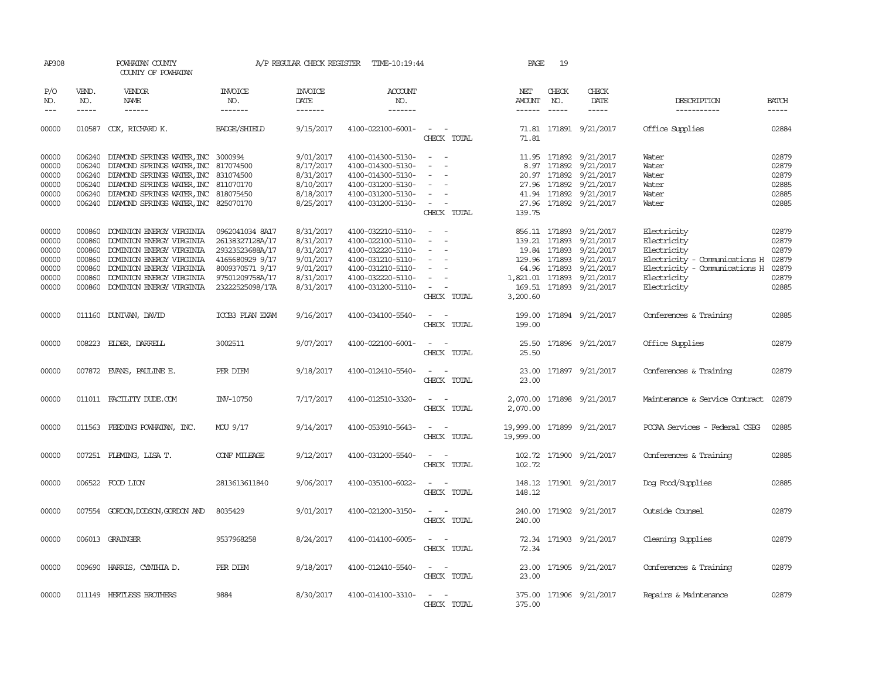| AP308                                                       |                             | POWHATAN COUNTY<br>COUNTY OF POWHATAN                                                                                                                                                                                                             |                                                                                                                                   | A/P REGULAR CHECK REGISTER                                                              | TIME-10:19:44                                                                                                                                   |                                                                                                                                                                | PAGE                                    | 19                     |                                                                                                                                                                                           |                                                                                                                                           |                                                             |
|-------------------------------------------------------------|-----------------------------|---------------------------------------------------------------------------------------------------------------------------------------------------------------------------------------------------------------------------------------------------|-----------------------------------------------------------------------------------------------------------------------------------|-----------------------------------------------------------------------------------------|-------------------------------------------------------------------------------------------------------------------------------------------------|----------------------------------------------------------------------------------------------------------------------------------------------------------------|-----------------------------------------|------------------------|-------------------------------------------------------------------------------------------------------------------------------------------------------------------------------------------|-------------------------------------------------------------------------------------------------------------------------------------------|-------------------------------------------------------------|
| P/O<br>NO.<br>$\frac{1}{2}$                                 | VEND.<br>NO.<br>$- - - - -$ | <b>VENDOR</b><br><b>NAME</b><br>$- - - - - -$                                                                                                                                                                                                     | <b>INVOICE</b><br>NO.<br>-------                                                                                                  | <b>INVOICE</b><br>DATE<br>-------                                                       | ACCOUNT<br>NO.<br>-------                                                                                                                       |                                                                                                                                                                | NET<br>AMOUNT NO.<br>$- - - - - -$      | CHECK<br>$\frac{1}{2}$ | CHECK<br>DATE<br>$- - - - -$                                                                                                                                                              | DESCRIPTION<br>-----------                                                                                                                | <b>BATCH</b><br>-----                                       |
| 00000                                                       |                             | 010587 COX, RICHARD K.                                                                                                                                                                                                                            | <b>BADGE/SHIELD</b>                                                                                                               | 9/15/2017                                                                               | 4100-022100-6001-                                                                                                                               | $\sim$ $ \sim$<br>CHECK TOTAL                                                                                                                                  | 71.81                                   |                        | 71.81 171891 9/21/2017                                                                                                                                                                    | Office Supplies                                                                                                                           | 02884                                                       |
| 00000<br>00000<br>00000<br>00000<br>00000                   |                             | 006240 DIAMOND SPRINGS WATER, INC 3000994<br>006240 DIAMOND SPRINGS WATER, INC 817074500<br>006240 DIAMOND SPRINGS WATER, INC 831074500<br>006240 DIAMOND SPRINGS WATER, INC 811070170<br>006240 DIAMOND SPRINGS WATER, INC 818075450             |                                                                                                                                   | 9/01/2017<br>8/17/2017<br>8/31/2017<br>8/10/2017<br>8/18/2017                           | 4100-014300-5130-<br>4100-014300-5130-<br>4100-014300-5130-<br>4100-031200-5130-<br>4100-031200-5130-                                           | $\sim$<br>$\sim$<br>$\sim$<br>$\sim$<br>$\sim$<br>$\sim$<br>$\sim$                                                                                             |                                         |                        | 11.95 171892 9/21/2017<br>8.97 171892 9/21/2017<br>20.97 171892 9/21/2017<br>27.96 171892 9/21/2017<br>41.94 171892 9/21/2017                                                             | Water<br>Water<br>Water<br>Water<br>Water                                                                                                 | 02879<br>02879<br>02879<br>02885<br>02885                   |
| 00000                                                       |                             | 006240 DIAMOND SPRINGS WATER, INC 825070170                                                                                                                                                                                                       |                                                                                                                                   | 8/25/2017                                                                               | 4100-031200-5130-                                                                                                                               | $\sim$<br>CHECK TOTAL                                                                                                                                          | 139.75                                  |                        | 27.96 171892 9/21/2017                                                                                                                                                                    | Water                                                                                                                                     | 02885                                                       |
| 00000<br>00000<br>00000<br>00000<br>00000<br>00000<br>00000 |                             | 000860 DOMINION ENERGY VIRGINIA<br>000860 DOMINION ENERGY VIRGINIA<br>000860 DOMINION ENERGY VIRGINIA<br>000860 DOMINION ENERGY VIRGINIA<br>000860 DOMINION ENERGY VIRGINIA<br>000860 DOMINION ENERGY VIRGINIA<br>000860 DOMINION ENERGY VIRGINIA | 0962041034 8A17<br>26138327128A/17<br>29323523688A/17<br>4165680929 9/17<br>8009370571 9/17<br>97501209758A/17<br>23222525098/17A | 8/31/2017<br>8/31/2017<br>8/31/2017<br>9/01/2017<br>9/01/2017<br>8/31/2017<br>8/31/2017 | 4100-032210-5110-<br>4100-022100-5110-<br>4100-032220-5110-<br>4100-031210-5110-<br>4100-031210-5110-<br>4100-032220-5110-<br>4100-031200-5110- | $\omega_{\rm{max}}$ and $\omega_{\rm{max}}$<br>$\sim$<br>$\sim$<br>$\overline{\phantom{a}}$<br>$\sim$<br>$\sim$<br>$\sim$<br>$\sim$ $ \sim$ $-$<br>CHECK TOTAL | 3,200.60                                |                        | 856.11 171893 9/21/2017<br>139.21 171893 9/21/2017<br>19.84 171893 9/21/2017<br>129.96 171893 9/21/2017<br>64.96 171893 9/21/2017<br>1,821.01 171893 9/21/2017<br>169.51 171893 9/21/2017 | Electricity<br>Electricity<br>Electricity<br>Electricity - Comunications H<br>Electricity - Comunications H<br>Electricity<br>Electricity | 02879<br>02879<br>02879<br>02879<br>02879<br>02879<br>02885 |
| 00000                                                       |                             | 011160 DUNIVAN, DAVID                                                                                                                                                                                                                             | ICCB3 PLAN EXAM                                                                                                                   | 9/16/2017                                                                               | 4100-034100-5540-                                                                                                                               | $\sim$ $ -$<br>CHECK TOTAL                                                                                                                                     | 199.00                                  |                        | 199.00 171894 9/21/2017                                                                                                                                                                   | Conferences & Training                                                                                                                    | 02885                                                       |
| 00000                                                       |                             | 008223 ELDER, DARRELL                                                                                                                                                                                                                             | 3002511                                                                                                                           | 9/07/2017                                                                               | 4100-022100-6001-                                                                                                                               | $\sim$<br>CHECK TOTAL                                                                                                                                          | 25.50<br>25.50                          |                        | 171896 9/21/2017                                                                                                                                                                          | Office Supplies                                                                                                                           | 02879                                                       |
| 00000                                                       |                             | 007872 EVANS, PAULINE E.                                                                                                                                                                                                                          | PER DIEM                                                                                                                          | 9/18/2017                                                                               | 4100-012410-5540-                                                                                                                               | $\frac{1}{2} \left( \frac{1}{2} \right) \left( \frac{1}{2} \right) = \frac{1}{2} \left( \frac{1}{2} \right)$<br>CHECK TOTAL                                    | 23.00<br>23.00                          |                        | 171897 9/21/2017                                                                                                                                                                          | Conferences & Training                                                                                                                    | 02879                                                       |
| 00000                                                       |                             | 011011 FACILITY DUDE.COM                                                                                                                                                                                                                          | INV-10750                                                                                                                         | 7/17/2017                                                                               | 4100-012510-3320-                                                                                                                               | CHECK TOTAL                                                                                                                                                    | 2,070.00                                |                        | 2,070.00 171898 9/21/2017                                                                                                                                                                 | Maintenance & Service Contract                                                                                                            | 02879                                                       |
| 00000                                                       |                             | 011563 FEEDING POWHATAN, INC.                                                                                                                                                                                                                     | MOU 9/17                                                                                                                          | 9/14/2017                                                                               | 4100-053910-5643-                                                                                                                               | $\frac{1}{2} \left( \frac{1}{2} \right) \left( \frac{1}{2} \right) = \frac{1}{2} \left( \frac{1}{2} \right)$<br>CHECK TOTAL                                    | 19,999.00 171899 9/21/2017<br>19,999.00 |                        |                                                                                                                                                                                           | PCCAA Services - Federal CSBG                                                                                                             | 02885                                                       |
| 00000                                                       |                             | 007251 FLEMING, LISA T.                                                                                                                                                                                                                           | CONF MILEAGE                                                                                                                      | 9/12/2017                                                                               | 4100-031200-5540-                                                                                                                               | $\frac{1}{2} \left( \frac{1}{2} \right) \left( \frac{1}{2} \right) = \frac{1}{2} \left( \frac{1}{2} \right)$<br>CHECK TOTAL                                    | 102.72                                  |                        | 102.72 171900 9/21/2017                                                                                                                                                                   | Conferences & Training                                                                                                                    | 02885                                                       |
| 00000                                                       |                             | 006522 FOOD LION                                                                                                                                                                                                                                  | 2813613611840                                                                                                                     | 9/06/2017                                                                               | 4100-035100-6022-                                                                                                                               | CHECK TOTAL                                                                                                                                                    | 148.12<br>148.12                        |                        | 171901 9/21/2017                                                                                                                                                                          | Dog Food/Supplies                                                                                                                         | 02885                                                       |
| 00000                                                       |                             | 007554 GORDON, DODSON, GORDON AND                                                                                                                                                                                                                 | 8035429                                                                                                                           | 9/01/2017                                                                               | 4100-021200-3150-                                                                                                                               | CHECK TOTAL                                                                                                                                                    | 240.00<br>240.00                        |                        | 171902 9/21/2017                                                                                                                                                                          | Outside Counsel                                                                                                                           | 02879                                                       |
| 00000                                                       |                             | 006013 GRAINGER                                                                                                                                                                                                                                   | 9537968258                                                                                                                        | 8/24/2017                                                                               | 4100-014100-6005-                                                                                                                               | CHECK TOTAL                                                                                                                                                    | 72.34                                   |                        | 72.34 171903 9/21/2017                                                                                                                                                                    | Cleaning Supplies                                                                                                                         | 02879                                                       |
| 00000                                                       |                             | 009690 HARRIS, CYNTHIA D.                                                                                                                                                                                                                         | PER DIEM                                                                                                                          | 9/18/2017                                                                               | 4100-012410-5540-                                                                                                                               | $\sim$ 100 $\sim$ 100 $\sim$<br>CHECK TOTAL                                                                                                                    | 23.00                                   |                        | 23.00 171905 9/21/2017                                                                                                                                                                    | Conferences & Training                                                                                                                    | 02879                                                       |
| 00000                                                       |                             | 011149 HERTLESS BROTHERS                                                                                                                                                                                                                          | 9884                                                                                                                              | 8/30/2017                                                                               | 4100-014100-3310-                                                                                                                               | $\sim$<br>$\sim$<br>CHECK TOTAL                                                                                                                                | 375.00                                  |                        | 375.00 171906 9/21/2017                                                                                                                                                                   | Repairs & Maintenance                                                                                                                     | 02879                                                       |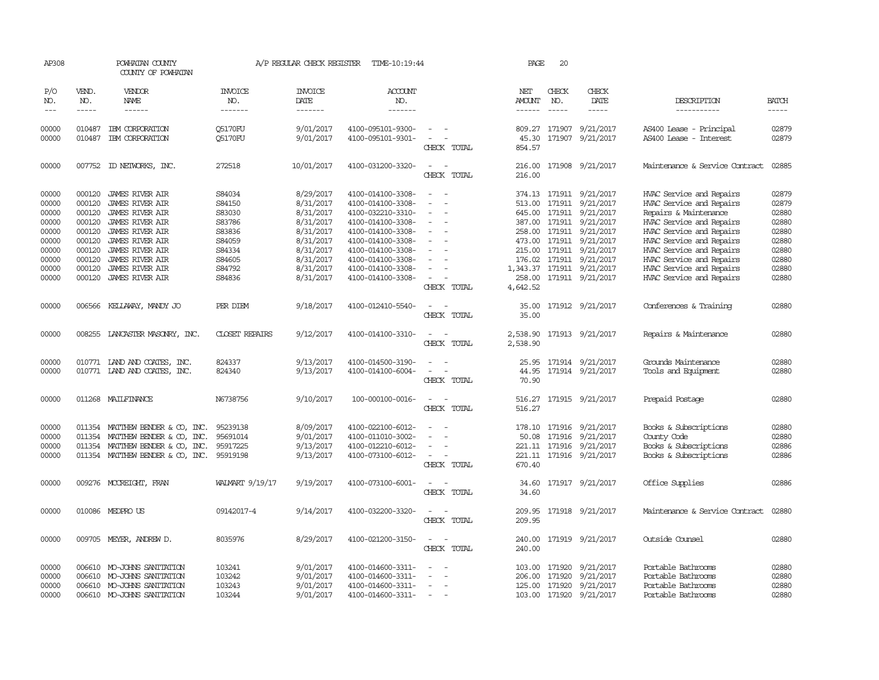| AP308                                                                                  |                                                                                                  | POWHATAN COUNTY<br>COUNTY OF POWHATAN                                                                                                                                                                                                              |                                                                                                  | A/P REGULAR CHECK REGISTER                                                                                                     | TIME-10:19:44                                                                                                                                                                                                  |                                                                 | PAGE                                                                           | 20                            |                                                                                                                                                                                                                             |                                                                                                                                                                                                                                                                                   |                                                                                        |
|----------------------------------------------------------------------------------------|--------------------------------------------------------------------------------------------------|----------------------------------------------------------------------------------------------------------------------------------------------------------------------------------------------------------------------------------------------------|--------------------------------------------------------------------------------------------------|--------------------------------------------------------------------------------------------------------------------------------|----------------------------------------------------------------------------------------------------------------------------------------------------------------------------------------------------------------|-----------------------------------------------------------------|--------------------------------------------------------------------------------|-------------------------------|-----------------------------------------------------------------------------------------------------------------------------------------------------------------------------------------------------------------------------|-----------------------------------------------------------------------------------------------------------------------------------------------------------------------------------------------------------------------------------------------------------------------------------|----------------------------------------------------------------------------------------|
| P/O<br>NO.<br>$---$                                                                    | VEND.<br>NO.<br>$- - - - -$                                                                      | VENDOR<br>NAME<br>------                                                                                                                                                                                                                           | <b>INVOICE</b><br>NO.<br>-------                                                                 | <b>INVOICE</b><br>DATE<br>-------                                                                                              | <b>ACCOUNT</b><br>NO.<br>-------                                                                                                                                                                               |                                                                 | NET<br><b>AMOUNT</b><br>$- - - - - -$                                          | CHECK<br>NO.<br>$\frac{1}{2}$ | CHECK<br>DATE<br>-----                                                                                                                                                                                                      | DESCRIPTION<br>-----------                                                                                                                                                                                                                                                        | <b>BATCH</b><br>-----                                                                  |
| 00000<br>00000                                                                         | 010487<br>010487                                                                                 | IBM CORPORATION<br>IBM CORPORATION                                                                                                                                                                                                                 | <b>O5170FU</b><br>Q5170FU                                                                        | 9/01/2017<br>9/01/2017                                                                                                         | 4100-095101-9300-<br>4100-095101-9301-                                                                                                                                                                         | $\overline{\phantom{a}}$<br>$\sim$<br>CHECK TOTAL               | 809.27<br>45.30<br>854.57                                                      |                               | 171907 9/21/2017<br>171907 9/21/2017                                                                                                                                                                                        | AS400 Lease - Principal<br>AS400 Lease - Interest                                                                                                                                                                                                                                 | 02879<br>02879                                                                         |
| 00000                                                                                  | 007752                                                                                           | ID NEIWORKS, INC.                                                                                                                                                                                                                                  | 272518                                                                                           | 10/01/2017                                                                                                                     | 4100-031200-3320-                                                                                                                                                                                              | CHECK TOTAL                                                     | 216.00<br>216.00                                                               |                               | 171908 9/21/2017                                                                                                                                                                                                            | Maintenance & Service Contract                                                                                                                                                                                                                                                    | 02885                                                                                  |
| 00000<br>00000<br>00000<br>00000<br>00000<br>00000<br>00000<br>00000<br>00000<br>00000 | 000120<br>000120<br>000120<br>000120<br>000120<br>000120<br>000120<br>000120<br>000120<br>000120 | <b>JAMES RIVER AIR</b><br><b>JAMES RIVER AIR</b><br><b>JAMES RIVER AIR</b><br><b>JAMES RIVER AIR</b><br><b>JAMES RIVER AIR</b><br><b>JAMES RIVER AIR</b><br>JAMES RIVER AIR<br>JAMES RIVER AIR<br><b>JAMES RIVER AIR</b><br><b>JAMES RIVER AIR</b> | S84034<br>S84150<br>S83030<br>S83786<br>S83836<br>S84059<br>S84334<br>S84605<br>S84792<br>S84836 | 8/29/2017<br>8/31/2017<br>8/31/2017<br>8/31/2017<br>8/31/2017<br>8/31/2017<br>8/31/2017<br>8/31/2017<br>8/31/2017<br>8/31/2017 | 4100-014100-3308-<br>4100-014100-3308-<br>4100-032210-3310-<br>4100-014100-3308-<br>4100-014100-3308-<br>4100-014100-3308-<br>4100-014100-3308-<br>4100-014100-3308-<br>4100-014100-3308-<br>4100-014100-3308- | $\equiv$<br>$\overline{\phantom{a}}$<br>$\equiv$<br>CHECK TOTAL | 374.13<br>513.00<br>645.00<br>258.00<br>473.00<br>176.02<br>258.00<br>4,642.52 |                               | 171911 9/21/2017<br>171911 9/21/2017<br>171911 9/21/2017<br>387.00 171911 9/21/2017<br>171911 9/21/2017<br>171911 9/21/2017<br>215.00 171911 9/21/2017<br>171911 9/21/2017<br>1,343.37 171911 9/21/2017<br>171911 9/21/2017 | HVAC Service and Repairs<br>HVAC Service and Repairs<br>Repairs & Maintenance<br>HVAC Service and Repairs<br>HVAC Service and Repairs<br>HVAC Service and Repairs<br>HVAC Service and Repairs<br>HVAC Service and Repairs<br>HVAC Service and Repairs<br>HVAC Service and Repairs | 02879<br>02879<br>02880<br>02880<br>02880<br>02880<br>02880<br>02880<br>02880<br>02880 |
| 00000                                                                                  | 006566                                                                                           | KELLAWAY, MANDY JO                                                                                                                                                                                                                                 | PER DIEM                                                                                         | 9/18/2017                                                                                                                      | 4100-012410-5540-                                                                                                                                                                                              | CHECK TOTAL                                                     | 35.00<br>35.00                                                                 |                               | 171912 9/21/2017                                                                                                                                                                                                            | Conferences & Training                                                                                                                                                                                                                                                            | 02880                                                                                  |
| 00000                                                                                  |                                                                                                  | 008255 LANCASTER MASONRY, INC.                                                                                                                                                                                                                     | <b>CLOSET REPAIRS</b>                                                                            | 9/12/2017                                                                                                                      | 4100-014100-3310-                                                                                                                                                                                              | CHECK TOTAL                                                     | 2,538.90                                                                       |                               | 2,538.90 171913 9/21/2017                                                                                                                                                                                                   | Repairs & Maintenance                                                                                                                                                                                                                                                             | 02880                                                                                  |
| 00000<br>00000                                                                         |                                                                                                  | 010771 LAND AND COATES, INC.<br>010771 LAND AND COATES, INC.                                                                                                                                                                                       | 824337<br>824340                                                                                 | 9/13/2017<br>9/13/2017                                                                                                         | 4100-014500-3190-<br>4100-014100-6004-                                                                                                                                                                         | $\overline{\phantom{a}}$<br>CHECK TOTAL                         | 25.95<br>44.95<br>70.90                                                        |                               | 171914 9/21/2017<br>171914 9/21/2017                                                                                                                                                                                        | Grounds Maintenance<br>Tools and Equipment                                                                                                                                                                                                                                        | 02880<br>02880                                                                         |
| 00000                                                                                  |                                                                                                  | 011268 MAILFINANCE                                                                                                                                                                                                                                 | N6738756                                                                                         | 9/10/2017                                                                                                                      | 100-000100-0016-                                                                                                                                                                                               | CHECK TOTAL                                                     | 516.27                                                                         |                               | 516.27 171915 9/21/2017                                                                                                                                                                                                     | Prepaid Postage                                                                                                                                                                                                                                                                   | 02880                                                                                  |
| 00000<br>00000<br>00000<br>00000                                                       | 011354<br>011354<br>011354                                                                       | MATTHEW BENDER & CO, INC.<br>MATTHEW BENDER & CO, INC.<br>MATTHEW BENDER & CO, INC.<br>011354 MATTHEW BENDER & CO, INC.                                                                                                                            | 95239138<br>95691014<br>95917225<br>95919198                                                     | 8/09/2017<br>9/01/2017<br>9/13/2017<br>9/13/2017                                                                               | 4100-022100-6012-<br>4100-011010-3002-<br>4100-012210-6012-<br>4100-073100-6012-                                                                                                                               | CHECK TOTAL                                                     | 50.08<br>670.40                                                                |                               | 178.10 171916 9/21/2017<br>171916 9/21/2017<br>221.11 171916 9/21/2017<br>221.11 171916 9/21/2017                                                                                                                           | Books & Subscriptions<br>County Code<br>Books & Subscriptions<br>Books & Subscriptions                                                                                                                                                                                            | 02880<br>02880<br>02886<br>02886                                                       |
| 00000                                                                                  |                                                                                                  | 009276 MCCREIGHT, FRAN                                                                                                                                                                                                                             | WALMART 9/19/17                                                                                  | 9/19/2017                                                                                                                      | 4100-073100-6001-                                                                                                                                                                                              | $\overline{a}$<br>CHECK TOTAL                                   | 34.60<br>34.60                                                                 |                               | 171917 9/21/2017                                                                                                                                                                                                            | Office Supplies                                                                                                                                                                                                                                                                   | 02886                                                                                  |
| 00000                                                                                  |                                                                                                  | 010086 MEDPROUS                                                                                                                                                                                                                                    | 09142017-4                                                                                       | 9/14/2017                                                                                                                      | 4100-032200-3320-                                                                                                                                                                                              | CHECK TOTAL                                                     | 209.95<br>209.95                                                               |                               | 171918 9/21/2017                                                                                                                                                                                                            | Maintenance & Service Contract                                                                                                                                                                                                                                                    | 02880                                                                                  |
| 00000                                                                                  |                                                                                                  | 009705 MEYER, ANDREW D.                                                                                                                                                                                                                            | 8035976                                                                                          | 8/29/2017                                                                                                                      | 4100-021200-3150-                                                                                                                                                                                              | $\sim$ 100 $\mu$<br>CHECK TOTAL                                 | 240.00<br>240.00                                                               |                               | 171919 9/21/2017                                                                                                                                                                                                            | Outside Counsel                                                                                                                                                                                                                                                                   | 02880                                                                                  |
| 00000<br>00000<br>00000<br>00000                                                       | 006610<br>006610                                                                                 | MO-JOHNS SANITATION<br>MO-JOHNS SANITATION<br>006610 MO-JOHNS SANITATION<br>006610 MO-JOHNS SANITATION                                                                                                                                             | 103241<br>103242<br>103243<br>103244                                                             | 9/01/2017<br>9/01/2017<br>9/01/2017<br>9/01/2017                                                                               | 4100-014600-3311-<br>4100-014600-3311-<br>4100-014600-3311-<br>4100-014600-3311-                                                                                                                               | $\overline{\phantom{a}}$                                        | 103.00<br>206.00<br>125.00                                                     | 171920<br>171920<br>171920    | 9/21/2017<br>9/21/2017<br>9/21/2017<br>103.00 171920 9/21/2017                                                                                                                                                              | Portable Bathrooms<br>Portable Bathrooms<br>Portable Bathrooms<br>Portable Bathrooms                                                                                                                                                                                              | 02880<br>02880<br>02880<br>02880                                                       |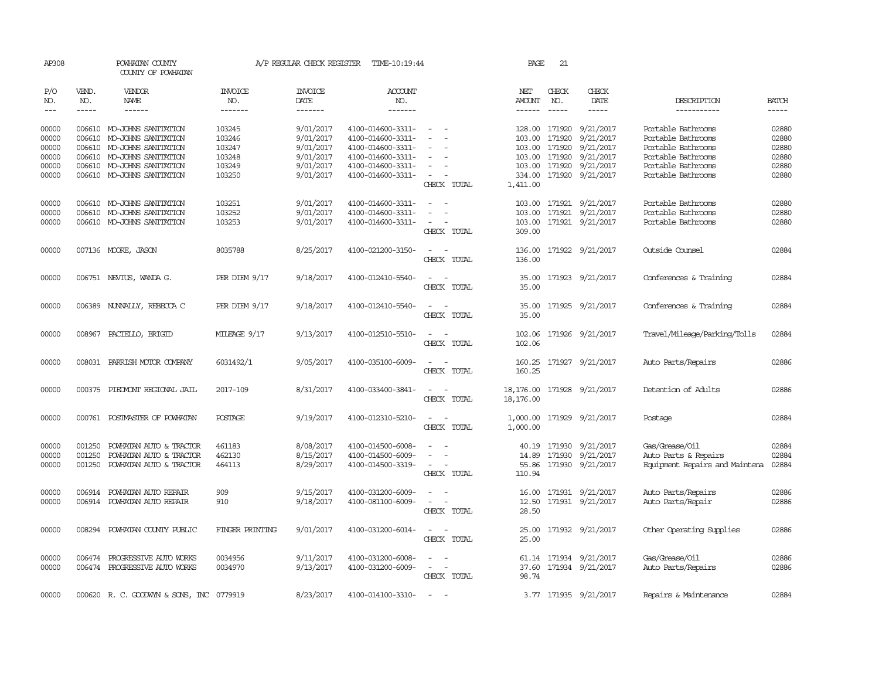| AP308          |              | POWHATAN COUNTY<br>COUNTY OF POWHATAN             |                       | A/P REGULAR CHECK REGISTER | TIME-10:19:44                          |                                                                                                                             | PAGE           | 21                      |                         |                                          |                |
|----------------|--------------|---------------------------------------------------|-----------------------|----------------------------|----------------------------------------|-----------------------------------------------------------------------------------------------------------------------------|----------------|-------------------------|-------------------------|------------------------------------------|----------------|
| P/O<br>NO.     | VEND.<br>NO. | VENDOR<br>NAME                                    | <b>INVOICE</b><br>NO. | <b>INVOICE</b><br>DATE     | ACCOUNT<br>NO.                         |                                                                                                                             | NET<br>AMOUNT  | CHECK<br>NO.            | CHECK<br>DATE           | DESCRIPTION                              | <b>BATCH</b>   |
| $\frac{1}{2}$  | $- - - - -$  | ------                                            | -------               | $- - - - - - -$            | -------                                |                                                                                                                             | ------         | $\frac{1}{2}$           | -----                   | -----------                              | $- - - - -$    |
| 00000<br>00000 | 006610       | 006610 MO-JOHNS SANITATION<br>MO-JOHNS SANITATION | 103245<br>103246      | 9/01/2017<br>9/01/2017     | 4100-014600-3311-<br>4100-014600-3311- | $\sim$<br>$\sim$<br>$\overline{\phantom{a}}$                                                                                | 103.00         | 128.00 171920<br>171920 | 9/21/2017<br>9/21/2017  | Portable Bathrooms<br>Portable Bathrooms | 02880<br>02880 |
| 00000          | 006610       | MO-JOHNS SANITATION                               | 103247                | 9/01/2017                  | 4100-014600-3311-                      |                                                                                                                             | 103.00         | 171920                  | 9/21/2017               | Portable Bathrooms                       | 02880          |
| 00000          |              | 006610 MO-JOHNS SANITATION                        | 103248                | 9/01/2017                  | 4100-014600-3311-                      | $\sim$<br>$\overline{\phantom{a}}$                                                                                          |                | 103.00 171920           | 9/21/2017               | Portable Bathrooms                       | 02880          |
| 00000          |              | 006610 MO-JOHNS SANITATION                        | 103249                | 9/01/2017                  | 4100-014600-3311-                      | $\overline{\phantom{a}}$                                                                                                    |                | 103.00 171920           | 9/21/2017               | Portable Bathrooms                       | 02880          |
| 00000          |              | 006610 MO-JOHNS SANITATION                        | 103250                | 9/01/2017                  | 4100-014600-3311-                      | $\overline{\phantom{a}}$                                                                                                    |                |                         | 334.00 171920 9/21/2017 | Portable Bathrooms                       | 02880          |
|                |              |                                                   |                       |                            |                                        | CHECK TOTAL                                                                                                                 | 1,411.00       |                         |                         |                                          |                |
| 00000          |              | 006610 MO-JOHNS SANITATION                        | 103251                | 9/01/2017                  | 4100-014600-3311-                      |                                                                                                                             | 103.00         |                         | 171921 9/21/2017        | Portable Bathrooms                       | 02880          |
| 00000          |              | 006610 MO-JOHNS SANITATION                        | 103252                | 9/01/2017                  | 4100-014600-3311-                      |                                                                                                                             | 103.00         |                         | 171921 9/21/2017        | Portable Bathrooms                       | 02880          |
| 00000          |              | 006610 MO-JOHNS SANITATION                        | 103253                | 9/01/2017                  | 4100-014600-3311-                      | $\sim$<br>CHECK TOTAL                                                                                                       | 309.00         |                         | 103.00 171921 9/21/2017 | Portable Bathrooms                       | 02880          |
| 00000          |              | 007136 MOORE, JASON                               | 8035788               | 8/25/2017                  | 4100-021200-3150-                      | $\sim$<br>- -                                                                                                               | 136.00         |                         | 171922 9/21/2017        | Outside Counsel                          | 02884          |
|                |              |                                                   |                       |                            |                                        | CHECK TOTAL                                                                                                                 | 136.00         |                         |                         |                                          |                |
| 00000          |              | 006751 NEVIUS, WANDA G.                           | PER DIEM 9/17         | 9/18/2017                  | 4100-012410-5540-                      | $\frac{1}{2} \left( \frac{1}{2} \right) \left( \frac{1}{2} \right) = \frac{1}{2} \left( \frac{1}{2} \right)$<br>CHECK TOTAL | 35.00<br>35.00 |                         | 171923 9/21/2017        | Conferences & Training                   | 02884          |
|                |              |                                                   |                       |                            |                                        |                                                                                                                             |                |                         |                         |                                          |                |
| 00000          |              | 006389 NUNNALLY, REBECCA C                        | PER DIEM 9/17         | 9/18/2017                  | 4100-012410-5540-                      | $\sim$                                                                                                                      |                |                         | 35.00 171925 9/21/2017  | Conferences & Training                   | 02884          |
|                |              |                                                   |                       |                            |                                        | CHECK TOTAL                                                                                                                 | 35.00          |                         |                         |                                          |                |
| 00000          |              | 008967 PACIELLO, BRIGID                           | MILEAGE 9/17          | 9/13/2017                  | 4100-012510-5510-                      |                                                                                                                             |                |                         | 102.06 171926 9/21/2017 | Travel/Mileage/Parking/Tolls             | 02884          |
|                |              |                                                   |                       |                            |                                        | CHECK TOTAL                                                                                                                 | 102.06         |                         |                         |                                          |                |
| 00000          | 008031       | PARRISH MOTOR COMPANY                             | 6031492/1             | 9/05/2017                  | 4100-035100-6009-                      |                                                                                                                             | 160.25         |                         | 171927 9/21/2017        | Auto Parts/Repairs                       | 02886          |
|                |              |                                                   |                       |                            |                                        | CHECK TOTAL                                                                                                                 | 160.25         |                         |                         |                                          |                |
| 00000          | 000375       | PIEDMONT REGIONAL JAIL                            | 2017-109              | 8/31/2017                  | 4100-033400-3841-                      | $\overline{\phantom{a}}$                                                                                                    | 18,176.00      |                         | 171928 9/21/2017        | Detention of Adults                      | 02886          |
|                |              |                                                   |                       |                            |                                        | CHECK TOTAL                                                                                                                 | 18,176.00      |                         |                         |                                          |                |
| 00000          |              | 000761 POSTMASTER OF POWHATAN                     | POSTAGE               | 9/19/2017                  | 4100-012310-5210-                      | $\overline{\phantom{a}}$<br>$\overline{\phantom{a}}$                                                                        | 1,000.00       |                         | 171929 9/21/2017        | Postage                                  | 02884          |
|                |              |                                                   |                       |                            |                                        | CHECK TOTAL                                                                                                                 | 1,000.00       |                         |                         |                                          |                |
| 00000          | 001250       | POWHATAN AUTO & TRACTOR                           | 461183                | 8/08/2017                  | 4100-014500-6008-                      | $\overline{\phantom{a}}$                                                                                                    |                |                         | 40.19 171930 9/21/2017  | Gas/Grease/Oil                           | 02884          |
| 00000          | 001250       | POWHATAN AUTO & TRACTOR                           | 462130                | 8/15/2017                  | 4100-014500-6009-                      |                                                                                                                             | 14.89          | 171930                  | 9/21/2017               | Auto Parts & Repairs                     | 02884          |
| 00000          | 001250       | POWHATAN AUTO & TRACTOR                           | 464113                | 8/29/2017                  | 4100-014500-3319-                      | $\overline{\phantom{a}}$                                                                                                    |                |                         | 55.86 171930 9/21/2017  | Equipment Repairs and Maintena           | 02884          |
|                |              |                                                   |                       |                            |                                        | CHECK TOTAL                                                                                                                 | 110.94         |                         |                         |                                          |                |
| 00000          | 006914       | POWHATAN AUTO REPAIR                              | 909                   | 9/15/2017                  | 4100-031200-6009-                      |                                                                                                                             | 16.00          |                         | 171931 9/21/2017        | Auto Parts/Repairs                       | 02886          |
| 00000          |              | 006914 POWHATAN AUTO REPAIR                       | 910                   | 9/18/2017                  | 4100-081100-6009-                      | $\sim 100$ km s $^{-1}$                                                                                                     |                |                         | 12.50 171931 9/21/2017  | Auto Parts/Repair                        | 02886          |
|                |              |                                                   |                       |                            |                                        | CHECK TOTAL                                                                                                                 | 28.50          |                         |                         |                                          |                |
| 00000          | 008294       | POWHATAN COUNTY PUBLIC                            | FINGER PRINTING       | 9/01/2017                  | 4100-031200-6014-                      | $\sim$<br>$\sim$                                                                                                            |                |                         | 25.00 171932 9/21/2017  | Other Operating Supplies                 | 02886          |
|                |              |                                                   |                       |                            |                                        | CHECK TOTAL                                                                                                                 | 25.00          |                         |                         |                                          |                |
| 00000          |              | 006474 PROGRESSIVE AUTO WORKS                     | 0034956               | 9/11/2017                  | 4100-031200-6008-                      |                                                                                                                             |                |                         | 61.14 171934 9/21/2017  | Gas/Grease/Oil                           | 02886          |
| 00000          |              | 006474 PROGRESSIVE AUTO WORKS                     | 0034970               | 9/13/2017                  | 4100-031200-6009-                      | $\sim$<br>$\sim$                                                                                                            |                |                         | 37.60 171934 9/21/2017  | Auto Parts/Repairs                       | 02886          |
|                |              |                                                   |                       |                            |                                        | CHECK TOTAL                                                                                                                 | 98.74          |                         |                         |                                          |                |
| 00000          |              | 000620 R. C. GOODWYN & SONS, INC 0779919          |                       | 8/23/2017                  | 4100-014100-3310-                      | $\sim$                                                                                                                      |                |                         | 3.77 171935 9/21/2017   | Repairs & Maintenance                    | 02884          |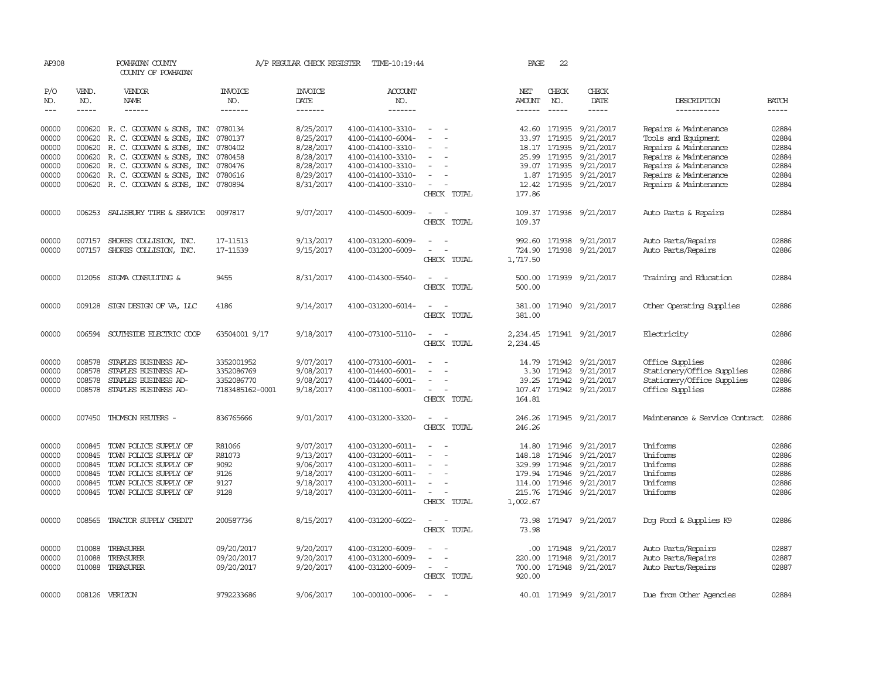| AP308      |               | POWHATAN COUNTY<br>COUNTY OF POWHATAN    |                       | A/P REGULAR CHECK REGISTER | TIME-10:19:44         |                                                      | PAGE           | 22            |                            |                                |              |
|------------|---------------|------------------------------------------|-----------------------|----------------------------|-----------------------|------------------------------------------------------|----------------|---------------|----------------------------|--------------------------------|--------------|
| P/O<br>NO. | VEND.<br>NO.  | <b>VENDOR</b><br>NAME                    | <b>INVOICE</b><br>NO. | <b>INVOICE</b><br>DATE     | <b>ACCOUNT</b><br>NO. |                                                      | NET<br>AMOUNT  | CHECK<br>NO.  | CHECK<br>DATE              | DESCRIPTION                    | <b>BATCH</b> |
| $---$      | $\frac{1}{2}$ | ------                                   | -------               | -------                    | -------               |                                                      | $- - - - - -$  | $- - - - -$   | -----                      | -----------                    | $- - - - -$  |
|            |               |                                          |                       |                            |                       |                                                      |                |               |                            |                                |              |
| 00000      |               | 000620 R. C. GOODWYN & SONS, INC         | 0780134               | 8/25/2017                  | 4100-014100-3310-     | $\sim$                                               |                | 42.60 171935  | 9/21/2017                  | Repairs & Maintenance          | 02884        |
| 00000      |               | 000620 R. C. GOODWYN & SONS, INC         | 0780137               | 8/25/2017                  | 4100-014100-6004-     |                                                      | 33.97          | 171935        | 9/21/2017                  | Tools and Equipment            | 02884        |
| 00000      |               | 000620 R. C. GOODWYN & SONS, INC         | 0780402               | 8/28/2017                  | 4100-014100-3310-     |                                                      |                | 18.17 171935  | 9/21/2017                  | Repairs & Maintenance          | 02884        |
| 00000      |               | 000620 R. C. GOODWYN & SONS, INC         | 0780458               | 8/28/2017                  | 4100-014100-3310-     | $\equiv$                                             |                | 25.99 171935  | 9/21/2017                  | Repairs & Maintenance          | 02884        |
| 00000      |               | 000620 R. C. GOODWYN & SONS, INC         | 0780476               | 8/28/2017                  | 4100-014100-3310-     |                                                      |                | 39.07 171935  | 9/21/2017                  | Repairs & Maintenance          | 02884        |
| 00000      |               | 000620 R. C. GOODWYN & SONS, INC         | 0780616               | 8/29/2017                  | 4100-014100-3310-     | $\sim$                                               |                | 1.87 171935   | 9/21/2017                  | Repairs & Maintenance          | 02884        |
| 00000      |               | 000620 R. C. GOODWYN & SONS, INC 0780894 |                       | 8/31/2017                  | 4100-014100-3310-     | $\sim$                                               |                |               | 12.42 171935 9/21/2017     | Repairs & Maintenance          | 02884        |
|            |               |                                          |                       |                            |                       | CHECK TOTAL                                          | 177.86         |               |                            |                                |              |
| 00000      |               | 006253 SALISBURY TIRE & SERVICE          | 0097817               | 9/07/2017                  | 4100-014500-6009-     | $\overline{\phantom{a}}$<br>$\sim$                   |                |               | 109.37 171936 9/21/2017    | Auto Parts & Repairs           | 02884        |
|            |               |                                          |                       |                            |                       | CHECK TOTAL                                          | 109.37         |               |                            |                                |              |
| 00000      | 007157        | SHORES COLLISION, INC.                   | 17-11513              | 9/13/2017                  | 4100-031200-6009-     |                                                      |                |               | 992.60 171938 9/21/2017    | Auto Parts/Repairs             | 02886        |
| 00000      |               | 007157 SHORES COLLISION, INC.            | 17-11539              | 9/15/2017                  | 4100-031200-6009-     | $\sim$<br>$\overline{\phantom{a}}$                   | 724.90         |               | 171938 9/21/2017           | Auto Parts/Repairs             | 02886        |
|            |               |                                          |                       |                            |                       | CHECK TOTAL                                          | 1,717.50       |               |                            |                                |              |
|            |               |                                          |                       |                            |                       |                                                      |                |               |                            |                                |              |
| 00000      |               | 012056 SIGMA CONSULTING &                | 9455                  | 8/31/2017                  | 4100-014300-5540-     |                                                      | 500.00         |               | 171939 9/21/2017           | Training and Education         | 02884        |
|            |               |                                          |                       |                            |                       | CHECK TOTAL                                          | 500.00         |               |                            |                                |              |
| 00000      | 009128        | SIGN DESIGN OF VA, LLC                   | 4186                  | 9/14/2017                  | 4100-031200-6014-     | $\overline{\phantom{a}}$                             |                |               | 381.00 171940 9/21/2017    | Other Operating Supplies       | 02886        |
|            |               |                                          |                       |                            |                       | CHECK TOTAL                                          | 381.00         |               |                            |                                |              |
|            |               |                                          |                       |                            |                       |                                                      |                |               |                            |                                |              |
| 00000      |               | 006594 SOUTHSIDE ELECTRIC COOP           | 63504001 9/17         | 9/18/2017                  | 4100-073100-5110-     | $\overline{\phantom{a}}$                             |                |               | 2, 234.45 171941 9/21/2017 | Electricity                    | 02886        |
|            |               |                                          |                       |                            |                       | CHECK TOTAL                                          | 2,234.45       |               |                            |                                |              |
| 00000      | 008578        | STAPLES BUSINESS AD-                     | 3352001952            | 9/07/2017                  | 4100-073100-6001-     |                                                      | 14.79          | 171942        | 9/21/2017                  | Office Supplies                | 02886        |
| 00000      | 008578        | STAPLES BUSINESS AD-                     | 3352086769            | 9/08/2017                  | 4100-014400-6001-     |                                                      |                | 3.30 171942   | 9/21/2017                  | Stationery/Office Supplies     | 02886        |
| 00000      | 008578        | STAPLES BUSINESS AD-                     | 3352086770            | 9/08/2017                  | 4100-014400-6001-     | $\overline{\phantom{a}}$                             |                | 39.25 171942  | 9/21/2017                  | Stationery/Office Supplies     | 02886        |
| 00000      | 008578        | STAPLES BUSINESS AD-                     | 7183485162-0001       | 9/18/2017                  | 4100-081100-6001-     | $\sim$                                               |                |               | 107.47 171942 9/21/2017    | Office Supplies                | 02886        |
|            |               |                                          |                       |                            |                       | CHECK TOTAL                                          | 164.81         |               |                            |                                |              |
| 00000      |               | 007450 THOMSON REUTERS -                 | 836765666             | 9/01/2017                  | 4100-031200-3320-     | $\sim$<br>$\overline{\phantom{a}}$                   |                |               | 246.26 171945 9/21/2017    | Maintenance & Service Contract | 02886        |
|            |               |                                          |                       |                            |                       | CHECK TOTAL                                          | 246.26         |               |                            |                                |              |
| 00000      | 000845        | TOWN POLICE SUPPLY OF                    | R81066                | 9/07/2017                  | 4100-031200-6011-     | $\overline{\phantom{a}}$<br>$\sim$                   |                | 14.80 171946  | 9/21/2017                  | Uniforms                       | 02886        |
| 00000      | 000845        | TOWN POLICE SUPPLY OF                    | R81073                | 9/13/2017                  | 4100-031200-6011-     | $\overline{\phantom{a}}$<br>$\sim$                   | 148.18         | 171946        | 9/21/2017                  | Uniforms                       | 02886        |
| 00000      | 000845        | TOWN POLICE SUPPLY OF                    | 9092                  | 9/06/2017                  | 4100-031200-6011-     | $\sim$                                               |                | 329.99 171946 | 9/21/2017                  | Uniforms                       | 02886        |
| 00000      | 000845        | TOWN POLICE SUPPLY OF                    | 9126                  | 9/18/2017                  | 4100-031200-6011-     | $\overline{\phantom{a}}$<br>$\overline{\phantom{a}}$ |                | 179.94 171946 | 9/21/2017                  | Uniforms                       | 02886        |
| 00000      | 000845        | TOWN POLICE SUPPLY OF                    | 9127                  | 9/18/2017                  | 4100-031200-6011-     | $\overline{\phantom{a}}$                             |                | 114.00 171946 | 9/21/2017                  | Uniforms                       | 02886        |
| 00000      | 000845        | TOWN POLICE SUPPLY OF                    | 9128                  | 9/18/2017                  | 4100-031200-6011-     | $\sim$                                               | 215.76         | 171946        | 9/21/2017                  | Uniforms                       | 02886        |
|            |               |                                          |                       |                            |                       | CHECK TOTAL                                          | 1,002.67       |               |                            |                                |              |
|            |               |                                          |                       |                            |                       |                                                      |                |               |                            |                                |              |
| 00000      | 008565        | TRACTOR SUPPLY CREDIT                    | 200587736             | 8/15/2017                  | 4100-031200-6022-     | $\sim$<br>CHECK TOTAL                                | 73.98<br>73.98 |               | 171947 9/21/2017           | Dog Food & Supplies K9         | 02886        |
|            |               |                                          |                       |                            |                       |                                                      |                |               |                            |                                |              |
| 00000      | 010088        | TREASURER                                | 09/20/2017            | 9/20/2017                  | 4100-031200-6009-     |                                                      |                | .00 171948    | 9/21/2017                  | Auto Parts/Repairs             | 02887        |
| 00000      | 010088        | TREASURER                                | 09/20/2017            | 9/20/2017                  | 4100-031200-6009-     |                                                      | 220.00         | 171948        | 9/21/2017                  | Auto Parts/Repairs             | 02887        |
| 00000      | 010088        | TREASURER                                | 09/20/2017            | 9/20/2017                  | 4100-031200-6009-     | $\sim$                                               |                |               | 700.00 171948 9/21/2017    | Auto Parts/Repairs             | 02887        |
|            |               |                                          |                       |                            |                       | CHECK TOTAL                                          | 920.00         |               |                            |                                |              |
| 00000      |               | 008126 VERIZON                           | 9792233686            | 9/06/2017                  | 100-000100-0006-      | $\equiv$<br>$\overline{\phantom{a}}$                 |                |               | 40.01 171949 9/21/2017     | Due from Other Agencies        | 02884        |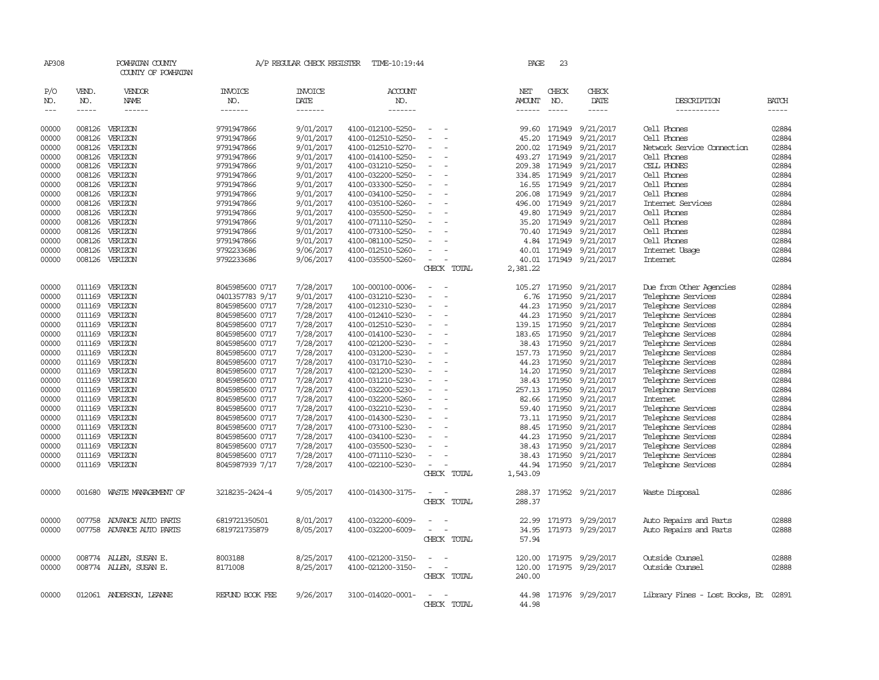| AP308          |                  | POWHATAN COUNTY<br>COUNTY OF POWHATAN |                                    | A/P REGULAR CHECK REGISTER | TIME-10:19:44                          |                          | PAGE                 | 23                     |                        |                                      |                |
|----------------|------------------|---------------------------------------|------------------------------------|----------------------------|----------------------------------------|--------------------------|----------------------|------------------------|------------------------|--------------------------------------|----------------|
| P/O<br>NO.     | VEND.<br>NO.     | VENDOR<br>NAME                        | INVOICE<br>NO.                     | <b>INVOICE</b><br>DATE     | <b>ACCOUNT</b><br>NO.                  |                          | NET<br><b>AMOUNT</b> | CHECK<br>NO.           | CHECK<br>DATE          | DESCRIPTION                          | <b>BATCH</b>   |
| $---$          | $\frac{1}{2}$    | $- - - - - -$                         | -------                            | --------                   | -------                                |                          | ------               | $\frac{1}{2}$          | $- - - - -$            | -----------                          | -----          |
| 00000          | 008126           | VERIZON                               | 9791947866                         | 9/01/2017                  | 4100-012100-5250-                      |                          | 99.60                | 171949                 | 9/21/2017              | Cell Phones                          | 02884          |
| 00000          | 008126           | VERIZON                               | 9791947866                         | 9/01/2017                  | 4100-012510-5250-                      | $\equiv$                 | 45.20                | 171949                 | 9/21/2017              | Cell Phones                          | 02884          |
| 00000          | 008126           | VERIZON                               | 9791947866                         | 9/01/2017                  | 4100-012510-5270-                      |                          | 200.02               | 171949                 | 9/21/2017              | Network Service Cornection           | 02884          |
| 00000          | 008126           | VERIZON                               | 9791947866                         | 9/01/2017                  | 4100-014100-5250-                      | $\sim$                   | 493.27               | 171949                 | 9/21/2017              | Cell Phones                          | 02884          |
| 00000          | 008126           | VERIZON                               | 9791947866                         | 9/01/2017                  | 4100-031210-5250-                      |                          |                      | 209.38 171949          | 9/21/2017              | CELL PHONES                          | 02884          |
| 00000          | 008126           | VERIZON                               | 9791947866                         | 9/01/2017                  | 4100-032200-5250-                      |                          | 334.85               | 171949                 | 9/21/2017              | Cell Phones                          | 02884          |
| 00000          | 008126           | VERIZON                               | 9791947866                         | 9/01/2017                  | 4100-033300-5250-                      |                          | 16.55                | 171949                 | 9/21/2017              | Cell Phones                          | 02884          |
| 00000          | 008126           | VERIZON                               | 9791947866                         | 9/01/2017                  | 4100-034100-5250-                      |                          | 206.08               | 171949                 | 9/21/2017              | Cell Phones                          | 02884          |
| 00000          | 008126           | VERIZON                               | 9791947866                         | 9/01/2017                  | 4100-035100-5260-                      |                          | 496.00               | 171949                 | 9/21/2017              | Internet Services                    | 02884          |
| 00000          | 008126           | VERIZON                               | 9791947866                         | 9/01/2017                  | 4100-035500-5250-                      |                          | 49.80                | 171949                 | 9/21/2017              | Cell Phones                          | 02884          |
| 00000          | 008126           | VERIZON                               | 9791947866                         | 9/01/2017                  | 4100-071110-5250-                      |                          | 35.20                | 171949                 | 9/21/2017              | Cell Phones                          | 02884          |
| 00000          | 008126           | VERIZON                               | 9791947866                         | 9/01/2017                  | 4100-073100-5250-                      |                          | 70.40                | 171949                 | 9/21/2017              | Cell Phones                          | 02884          |
| 00000          | 008126           | VERIZON                               | 9791947866                         | 9/01/2017                  | 4100-081100-5250-                      |                          | 4.84                 | 171949                 | 9/21/2017              | Cell Phones                          | 02884          |
| 00000          | 008126           | VERIZON<br>VERIZON                    | 9792233686                         | 9/06/2017                  | 4100-012510-5260-                      |                          | 40.01                | 171949                 | 9/21/2017              | Internet Usage<br>Internet           | 02884<br>02884 |
| 00000          | 008126           |                                       | 9792233686                         | 9/06/2017                  | 4100-035500-5260-                      | CHECK TOTAL              | 40.01<br>2,381.22    |                        | 171949 9/21/2017       |                                      |                |
|                |                  |                                       |                                    |                            |                                        |                          |                      |                        |                        |                                      |                |
| 00000          | 011169           | VERIZON                               | 8045985600 0717                    | 7/28/2017                  | 100-000100-0006-                       | ÷.                       | 105.27               | 171950                 | 9/21/2017              | Due from Other Agencies              | 02884          |
| 00000          | 011169           | VERIZON                               | 0401357783 9/17                    | 9/01/2017                  | 4100-031210-5230-                      | $\equiv$                 | 6.76                 | 171950                 | 9/21/2017              | Telephone Services                   | 02884          |
| 00000          | 011169           | VERIZON                               | 8045985600 0717                    | 7/28/2017                  | 4100-012310-5230-                      |                          | 44.23                | 171950                 | 9/21/2017              | Telephone Services                   | 02884          |
| 00000          | 011169           | VERIZON                               | 8045985600 0717                    | 7/28/2017                  | 4100-012410-5230-                      |                          | 44.23                |                        | 171950 9/21/2017       | Telephone Services                   | 02884          |
| 00000          | 011169           | VERIZON                               | 8045985600 0717                    | 7/28/2017                  | 4100-012510-5230-                      |                          | 139.15               | 171950                 | 9/21/2017              | Telephone Services                   | 02884          |
| 00000          | 011169           | VERIZON                               | 8045985600 0717                    | 7/28/2017                  | 4100-014100-5230-                      | $\equiv$                 | 183.65               | 171950                 | 9/21/2017              | Telephone Services                   | 02884          |
| 00000          | 011169           | VERIZON                               | 8045985600 0717                    | 7/28/2017                  | 4100-021200-5230-                      |                          | 38.43                | 171950                 | 9/21/2017              | Telephone Services                   | 02884          |
| 00000          | 011169           | VERIZON                               | 8045985600 0717                    | 7/28/2017                  | 4100-031200-5230-                      |                          | 157.73               | 171950                 | 9/21/2017              | Telephone Services                   | 02884          |
| 00000          | 011169           | VERIZON                               | 8045985600 0717                    | 7/28/2017                  | 4100-031710-5230-                      |                          | 44.23                | 171950                 | 9/21/2017              | Telephone Services                   | 02884          |
| 00000          | 011169           | VERIZON                               | 8045985600 0717                    | 7/28/2017                  | 4100-021200-5230-                      | $\overline{\phantom{a}}$ | 14.20                | 171950                 | 9/21/2017              | Telephone Services                   | 02884          |
| 00000          | 011169           | VERIZON                               | 8045985600 0717                    | 7/28/2017                  | 4100-031210-5230-                      |                          | 38.43                | 171950                 | 9/21/2017              | Telephone Services                   | 02884          |
| 00000          | 011169           | VERIZON                               | 8045985600 0717                    | 7/28/2017                  | 4100-032200-5230-                      |                          | 257.13               | 171950                 | 9/21/2017              | Telephone Services                   | 02884<br>02884 |
| 00000<br>00000 | 011169<br>011169 | VERIZON<br>VERIZON                    | 8045985600 0717<br>8045985600 0717 | 7/28/2017<br>7/28/2017     | 4100-032200-5260-<br>4100-032210-5230- | $\overline{\phantom{a}}$ | 82.66                | 171950<br>59.40 171950 | 9/21/2017<br>9/21/2017 | Internet<br>Telephone Services       | 02884          |
| 00000          | 011169           | VERIZON                               | 8045985600 0717                    | 7/28/2017                  | 4100-014300-5230-                      |                          |                      | 73.11 171950           | 9/21/2017              | Telephone Services                   | 02884          |
| 00000          | 011169           | VERIZON                               | 8045985600 0717                    | 7/28/2017                  | 4100-073100-5230-                      |                          | 88.45                | 171950                 | 9/21/2017              | Telephone Services                   | 02884          |
| 00000          | 011169           | VERIZON                               | 8045985600 0717                    | 7/28/2017                  | 4100-034100-5230-                      |                          | 44.23                | 171950                 | 9/21/2017              | Telephone Services                   | 02884          |
| 00000          | 011169           | VERIZON                               | 8045985600 0717                    | 7/28/2017                  | 4100-035500-5230-                      |                          | 38.43                | 171950                 | 9/21/2017              | Telephone Services                   | 02884          |
| 00000          | 011169           | VERIZON                               | 8045985600 0717                    | 7/28/2017                  | 4100-071110-5230-                      |                          | 38.43                | 171950                 | 9/21/2017              | Telephone Services                   | 02884          |
| 00000          | 011169           | VERIZON                               | 8045987939 7/17                    | 7/28/2017                  | 4100-022100-5230-                      | $\equiv$                 | 44.94                | 171950                 | 9/21/2017              | Telephone Services                   | 02884          |
|                |                  |                                       |                                    |                            |                                        | CHECK TOTAL              | 1,543.09             |                        |                        |                                      |                |
|                |                  |                                       |                                    |                            |                                        |                          |                      |                        |                        |                                      |                |
| 00000          | 001680           | WASTE MANAGEMENT OF                   | 3218235-2424-4                     | 9/05/2017                  | 4100-014300-3175-                      |                          | 288.37               |                        | 171952 9/21/2017       | Waste Disposal                       | 02886          |
|                |                  |                                       |                                    |                            |                                        | CHECK TOTAL              | 288.37               |                        |                        |                                      |                |
| 00000          | 007758           | ADVANCE AUTO PARTS                    | 6819721350501                      | 8/01/2017                  | 4100-032200-6009-                      |                          | 22.99                |                        | 171973 9/29/2017       | Auto Repairs and Parts               | 02888          |
| 00000          | 007758           | ADVANCE AUTO PARTS                    | 6819721735879                      | 8/05/2017                  | 4100-032200-6009-                      | $\equiv$                 | 34.95                |                        | 171973 9/29/2017       | Auto Repairs and Parts               | 02888          |
|                |                  |                                       |                                    |                            |                                        | CHECK TOTAL              | 57.94                |                        |                        |                                      |                |
|                |                  |                                       |                                    |                            |                                        |                          |                      |                        |                        |                                      |                |
| 00000          |                  | 008774 ALLEN, SUSAN E.                | 8003188                            | 8/25/2017                  | 4100-021200-3150-                      |                          | 120.00               |                        | 171975 9/29/2017       | Outside Counsel                      | 02888          |
| 00000          |                  | 008774 ALLEN, SUSAN E.                | 8171008                            | 8/25/2017                  | 4100-021200-3150-                      | $\overline{\phantom{a}}$ | 120.00               |                        | 171975 9/29/2017       | Outside Counsel                      | 02888          |
|                |                  |                                       |                                    |                            |                                        | CHECK TOTAL              | 240.00               |                        |                        |                                      |                |
|                |                  |                                       |                                    |                            |                                        |                          |                      |                        |                        |                                      |                |
| 00000          |                  | 012061 ANDERSON, LEANNE               | REFUND BOOK FEE                    | 9/26/2017                  | 3100-014020-0001-                      | $\overline{\phantom{a}}$ | 44.98                |                        | 171976 9/29/2017       | Library Fines - Lost Books, Et 02891 |                |
|                |                  |                                       |                                    |                            |                                        | CHECK TOTAL              | 44.98                |                        |                        |                                      |                |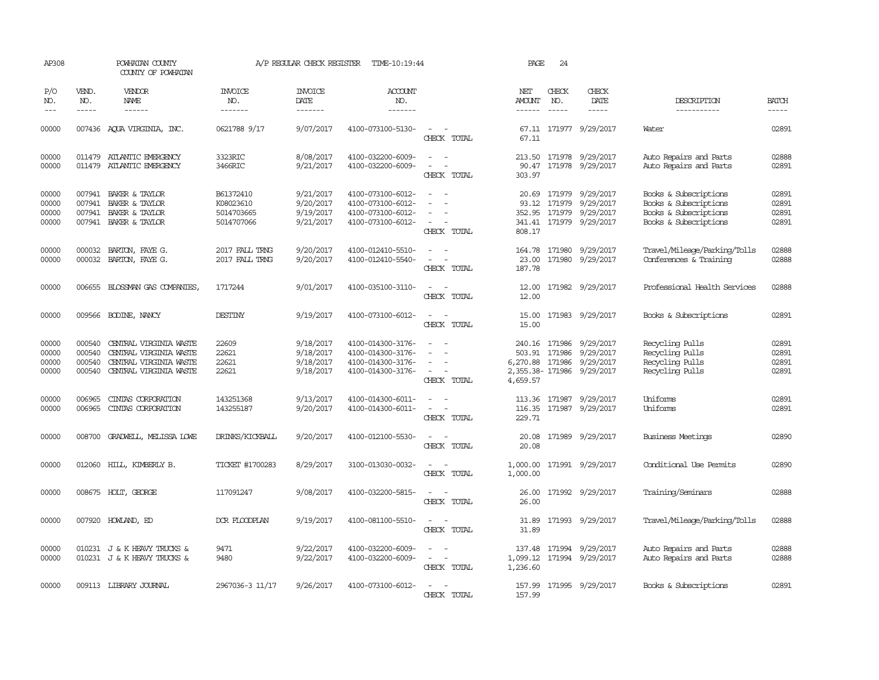| AP308                            |                                      | POWHATAN COUNTY<br>COUNTY OF POWHATAN                                                                |                                                    | A/P REGULAR CHECK REGISTER                       | TIME-10:19:44                                                                    |                                                                                                                                                                     | PAGE                                  | 24                          |                                                                              |                                                                                                  |                                  |
|----------------------------------|--------------------------------------|------------------------------------------------------------------------------------------------------|----------------------------------------------------|--------------------------------------------------|----------------------------------------------------------------------------------|---------------------------------------------------------------------------------------------------------------------------------------------------------------------|---------------------------------------|-----------------------------|------------------------------------------------------------------------------|--------------------------------------------------------------------------------------------------|----------------------------------|
| P/O<br>NO.<br>$\frac{1}{2}$      | VEND.<br>NO.<br>$- - - - -$          | <b>VENDOR</b><br>NAME<br>$- - - - - -$                                                               | <b>INVOICE</b><br>NO.<br>-------                   | <b>INVOICE</b><br>DATE<br>-------                | <b>ACCOUNT</b><br>NO.<br>-------                                                 |                                                                                                                                                                     | NET<br><b>AMOUNT</b><br>$- - - - - -$ | CHECK<br>NO.<br>$- - - - -$ | CHECK<br>DATE<br>-----                                                       | DESCRIPTION<br>-----------                                                                       | <b>BATCH</b><br>$- - - - -$      |
| 00000                            |                                      | 007436 AOUA VIRGINIA, INC.                                                                           | 0621788 9/17                                       | 9/07/2017                                        | 4100-073100-5130-                                                                | $\overline{\phantom{a}}$<br>CHECK TOTAL                                                                                                                             | 67.11                                 |                             | 67.11 171977 9/29/2017                                                       | Water                                                                                            | 02891                            |
| 00000<br>00000                   |                                      | 011479 ATLANTIC EMERGENCY<br>011479 ATLANTIC EMERGENCY                                               | 3323RIC<br>3466RIC                                 | 8/08/2017<br>9/21/2017                           | 4100-032200-6009-<br>4100-032200-6009-                                           | $\frac{1}{2} \left( \frac{1}{2} \right) \left( \frac{1}{2} \right) = \frac{1}{2} \left( \frac{1}{2} \right)$<br>$\equiv$<br>$\overline{\phantom{a}}$<br>CHECK TOTAL | 90.47<br>303.97                       |                             | 213.50 171978 9/29/2017<br>171978 9/29/2017                                  | Auto Repairs and Parts<br>Auto Repairs and Parts                                                 | 02888<br>02891                   |
| 00000<br>00000<br>00000<br>00000 | 007941<br>007941<br>007941           | BAKER & TAYLOR<br>BAKER & TAYLOR<br>BAKER & TAYLOR<br>007941 BAKER & TAYLOR                          | B61372410<br>K08023610<br>5014703665<br>5014707066 | 9/21/2017<br>9/20/2017<br>9/19/2017<br>9/21/2017 | 4100-073100-6012-<br>4100-073100-6012-<br>4100-073100-6012-<br>4100-073100-6012- | $\sim$<br>CHECK TOTAL                                                                                                                                               | 20.69<br>93.12<br>808.17              | 171979<br>171979            | 9/29/2017<br>9/29/2017<br>352.95 171979 9/29/2017<br>341.41 171979 9/29/2017 | Books & Subscriptions<br>Books & Subscriptions<br>Books & Subscriptions<br>Books & Subscriptions | 02891<br>02891<br>02891<br>02891 |
| 00000<br>00000                   | 000032                               | BARTON, FAYE G.<br>000032 BARTON, FAYE G.                                                            | 2017 FALL TRNG<br>2017 FALL TRNG                   | 9/20/2017<br>9/20/2017                           | 4100-012410-5510-<br>4100-012410-5540-                                           | $\equiv$<br>$\overline{\phantom{a}}$<br>CHECK TOTAL                                                                                                                 | 164.78<br>23.00<br>187.78             |                             | 171980 9/29/2017<br>171980 9/29/2017                                         | Travel/Mileage/Parking/Tolls<br>Conferences & Training                                           | 02888<br>02888                   |
| 00000                            |                                      | 006655 BLOSSMAN GAS COMPANIES                                                                        | 1717244                                            | 9/01/2017                                        | 4100-035100-3110-                                                                | CHECK TOTAL                                                                                                                                                         | 12.00                                 |                             | 12.00 171982 9/29/2017                                                       | Professional Health Services                                                                     | 02888                            |
| 00000                            |                                      | 009566 BODINE, NANCY                                                                                 | <b>DESTINY</b>                                     | 9/19/2017                                        | 4100-073100-6012-                                                                | $\sim$ $\sim$<br>CHECK TOTAL                                                                                                                                        | 15.00<br>15.00                        |                             | 171983 9/29/2017                                                             | Books & Subscriptions                                                                            | 02891                            |
| 00000<br>00000<br>00000<br>00000 | 000540<br>000540<br>000540<br>000540 | CENTRAL VIRGINIA WASTE<br>CENTRAL VIRGINIA WASTE<br>CENTRAL VIRGINIA WASTE<br>CENTRAL VIRGINIA WASTE | 22609<br>22621<br>22621<br>22621                   | 9/18/2017<br>9/18/2017<br>9/18/2017<br>9/18/2017 | 4100-014300-3176-<br>4100-014300-3176-<br>4100-014300-3176-<br>4100-014300-3176- | $\overline{\phantom{a}}$<br>CHECK TOTAL                                                                                                                             | 503.91<br>6,270.88 171986<br>4,659.57 | 240.16 171986<br>171986     | 9/29/2017<br>9/29/2017<br>9/29/2017<br>2,355.38-171986 9/29/2017             | Recycling Pulls<br>Recycling Pulls<br>Recycling Pulls<br>Recycling Pulls                         | 02891<br>02891<br>02891<br>02891 |
| 00000<br>00000                   | 006965<br>006965                     | CINIAS CORPORATION<br>CINIAS CORPORATION                                                             | 143251368<br>143255187                             | 9/13/2017<br>9/20/2017                           | 4100-014300-6011-<br>4100-014300-6011-                                           | CHECK TOTAL                                                                                                                                                         | 116.35<br>229.71                      |                             | 113.36 171987 9/29/2017<br>171987 9/29/2017                                  | Uniforms<br>Uniforms                                                                             | 02891<br>02891                   |
| 00000                            | 008700                               | GRADWELL, MELISSA LOWE                                                                               | DRINKS/KICKBALL                                    | 9/20/2017                                        | 4100-012100-5530-                                                                | CHECK TOTAL                                                                                                                                                         | 20.08<br>20.08                        |                             | 171989 9/29/2017                                                             | Business Meetings                                                                                | 02890                            |
| 00000                            | 012060                               | HILL, KIMBERLY B.                                                                                    | TICKET #1700283                                    | 8/29/2017                                        | 3100-013030-0032-                                                                | CHECK TOTAL                                                                                                                                                         | 1,000.00<br>1,000.00                  |                             | 171991 9/29/2017                                                             | Conditional Use Permits                                                                          | 02890                            |
| 00000                            |                                      | 008675 HOLT, GEORGE                                                                                  | 117091247                                          | 9/08/2017                                        | 4100-032200-5815-                                                                | CHECK TOTAL                                                                                                                                                         | 26.00<br>26.00                        |                             | 171992 9/29/2017                                                             | Training/Seminars                                                                                | 02888                            |
| 00000                            |                                      | 007920 HOWLAND, ED                                                                                   | DOR FLOODPLAN                                      | 9/19/2017                                        | 4100-081100-5510-                                                                | $\overline{\phantom{a}}$<br>CHECK TOTAL                                                                                                                             | 31.89<br>31.89                        |                             | 171993 9/29/2017                                                             | Travel/Mileage/Parking/Tolls                                                                     | 02888                            |
| 00000<br>00000                   |                                      | 010231 J & K HEAVY TRUCKS &<br>010231 J & K HEAVY TRUCKS &                                           | 9471<br>9480                                       | 9/22/2017<br>9/22/2017                           | 4100-032200-6009-<br>4100-032200-6009-                                           | $\equiv$<br>$\overline{a}$<br>CHECK TOTAL                                                                                                                           | 137.48<br>1,236.60                    |                             | 171994 9/29/2017<br>1,099.12 171994 9/29/2017                                | Auto Repairs and Parts<br>Auto Repairs and Parts                                                 | 02888<br>02888                   |
| 00000                            |                                      | 009113 LIBRARY JOURNAL                                                                               | 2967036-3 11/17                                    | 9/26/2017                                        | 4100-073100-6012-                                                                | $\sim$<br>CHECK TOTAL                                                                                                                                               | 157.99<br>157.99                      |                             | 171995 9/29/2017                                                             | Books & Subscriptions                                                                            | 02891                            |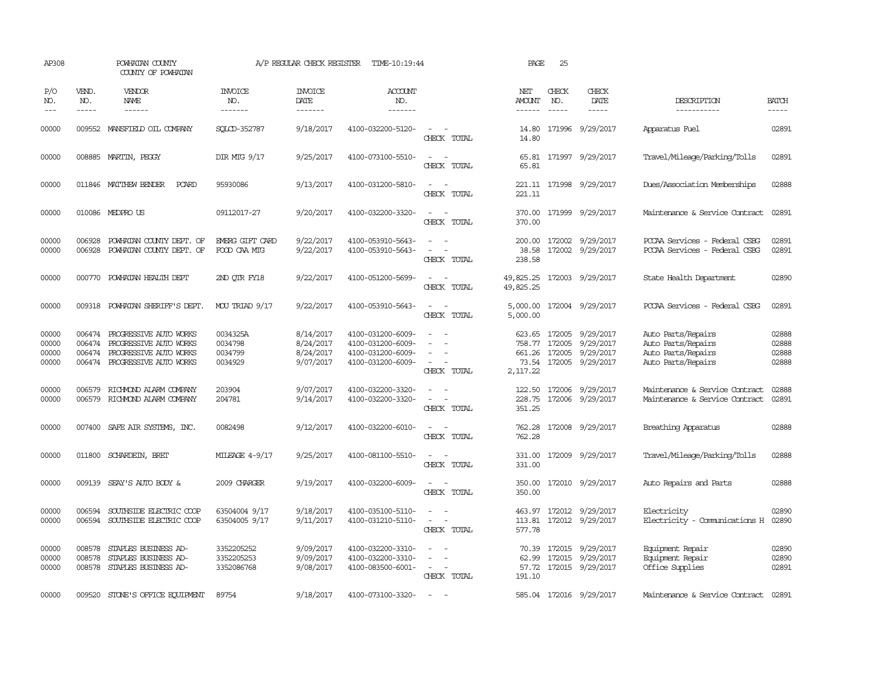| AP308                            |                                      | POWHATAN COUNTY<br>COUNTY OF POWHATAN                                                                |                                           | A/P REGULAR CHECK REGISTER                       | TIME-10:19:44                                                                    |                                                                               | PAGE                           | 25                          |                                                                                           |                                                                                      |                                  |
|----------------------------------|--------------------------------------|------------------------------------------------------------------------------------------------------|-------------------------------------------|--------------------------------------------------|----------------------------------------------------------------------------------|-------------------------------------------------------------------------------|--------------------------------|-----------------------------|-------------------------------------------------------------------------------------------|--------------------------------------------------------------------------------------|----------------------------------|
| P/O<br>NO.<br>$---$              | VEND.<br>NO.<br>$- - - - -$          | VENDOR<br>NAME<br>------                                                                             | <b>INVOICE</b><br>NO.<br>-------          | <b>INVOICE</b><br>DATE<br>-------                | <b>ACCOUNT</b><br>NO.<br>-------                                                 |                                                                               | NET<br><b>AMOUNT</b><br>------ | CHECK<br>NO.<br>$- - - - -$ | CHECK<br>DATE<br>$- - - - -$                                                              | DESCRIPTION<br>-----------                                                           | <b>BATCH</b><br>-----            |
| 00000                            |                                      | 009552 MANSFIELD OIL COMPANY                                                                         | SQLCD-352787                              | 9/18/2017                                        | 4100-032200-5120-                                                                | $\equiv$<br>CHECK TOTAL                                                       | 14.80<br>14.80                 |                             | 171996 9/29/2017                                                                          | Apparatus Fuel                                                                       | 02891                            |
| 00000                            |                                      | 008885 MARTIN, PEGGY                                                                                 | DIR MIG 9/17                              | 9/25/2017                                        | 4100-073100-5510-                                                                | $\sim$<br>$\sim$<br>CHECK TOTAL                                               | 65.81                          |                             | 65.81 171997 9/29/2017                                                                    | Travel/Mileage/Parking/Tolls                                                         | 02891                            |
| 00000                            |                                      | 011846 MATTHEW BENDER<br>PCARD                                                                       | 95930086                                  | 9/13/2017                                        | 4100-031200-5810-                                                                | CHECK TOTAL                                                                   | 221.11                         |                             | 221.11 171998 9/29/2017                                                                   | Dues/Association Memberships                                                         | 02888                            |
| 00000                            |                                      | 010086 MEDPRO US                                                                                     | 09112017-27                               | 9/20/2017                                        | 4100-032200-3320-                                                                | $\sim$ 10 $\sim$ 10 $\sim$<br>CHECK TOTAL                                     | 370.00<br>370.00               |                             | 171999 9/29/2017                                                                          | Maintenance & Service Contract                                                       | 02891                            |
| 00000<br>00000                   | 006928<br>006928                     | POWHATAN COUNTY DEPT. OF<br>POWHATAN COUNTY DEPT. OF                                                 | EMERG GIFT CARD<br>FOOD CAA MTG           | 9/22/2017<br>9/22/2017                           | 4100-053910-5643-<br>4100-053910-5643-                                           | CHECK TOTAL                                                                   | 200.00<br>38.58<br>238.58      |                             | 172002 9/29/2017<br>172002 9/29/2017                                                      | PCCAA Services - Federal CSBG<br>PCCAA Services - Federal CSBG                       | 02891<br>02891                   |
| 00000                            | 000770                               | POWHATAN HEALTH DEPT                                                                                 | 2ND QTR FY18                              | 9/22/2017                                        | 4100-051200-5699-                                                                | $\sim$ 10 $\,$<br>CHECK TOTAL                                                 | 49,825.25<br>49,825.25         |                             | 172003 9/29/2017                                                                          | State Health Department                                                              | 02890                            |
| 00000                            | 009318                               | POWHATAN SHERIFF'S DEPT.                                                                             | MOU TRIAD 9/17                            | 9/22/2017                                        | 4100-053910-5643-                                                                | CHECK TOTAL                                                                   | 5,000.00<br>5,000.00           |                             | 172004 9/29/2017                                                                          | PCCAA Services - Federal CSBG                                                        | 02891                            |
| 00000<br>00000<br>00000<br>00000 | 006474<br>006474<br>006474<br>006474 | PROGRESSIVE AUTO WORKS<br>PROGRESSIVE AUTO WORKS<br>PROGRESSIVE AUTO WORKS<br>PROGRESSIVE AUIO WORKS | 0034325A<br>0034798<br>0034799<br>0034929 | 8/14/2017<br>8/24/2017<br>8/24/2017<br>9/07/2017 | 4100-031200-6009-<br>4100-031200-6009-<br>4100-031200-6009-<br>4100-031200-6009- | CHECK TOTAL                                                                   | 758.77<br>2,117.22             | 172005                      | 623.65 172005 9/29/2017<br>9/29/2017<br>661.26 172005 9/29/2017<br>73.54 172005 9/29/2017 | Auto Parts/Repairs<br>Auto Parts/Repairs<br>Auto Parts/Repairs<br>Auto Parts/Repairs | 02888<br>02888<br>02888<br>02888 |
| 00000<br>00000                   | 006579                               | RICHMOND ALARM COMPANY<br>006579 RICHMOND ALARM COMPANY                                              | 203904<br>204781                          | 9/07/2017<br>9/14/2017                           | 4100-032200-3320-<br>4100-032200-3320-                                           | $\overline{\phantom{a}}$<br>$\sim$<br>$\overline{\phantom{a}}$<br>CHECK TOTAL | 122.50<br>351.25               |                             | 172006 9/29/2017<br>228.75 172006 9/29/2017                                               | Maintenance & Service Contract<br>Maintenance & Service Contract                     | 02888<br>02891                   |
| 00000                            |                                      | 007400 SAFE AIR SYSTEMS, INC.                                                                        | 0082498                                   | 9/12/2017                                        | 4100-032200-6010-                                                                | CHECK TOTAL                                                                   | 762.28<br>762.28               |                             | 172008 9/29/2017                                                                          | Breathing Apparatus                                                                  | 02888                            |
| 00000                            |                                      | 011800 SCHARDEIN, BRET                                                                               | MILEAGE 4-9/17                            | 9/25/2017                                        | 4100-081100-5510-                                                                | $\overline{\phantom{a}}$<br>$\sim$<br>CHECK TOTAL                             | 331.00<br>331.00               |                             | 172009 9/29/2017                                                                          | Travel/Mileage/Parking/Tolls                                                         | 02888                            |
| 00000                            |                                      | 009139 SEAY'S AUTO BODY &                                                                            | 2009 CHARGER                              | 9/19/2017                                        | 4100-032200-6009-                                                                | $\overline{\phantom{a}}$<br>- -<br>CHECK TOTAL                                | 350.00<br>350.00               |                             | 172010 9/29/2017                                                                          | Auto Repairs and Parts                                                               | 02888                            |
| 00000<br>00000                   | 006594<br>006594                     | SOUTHSIDE ELECTRIC COOP<br>SOUTHSIDE ELECTRIC COOP                                                   | 63504004 9/17<br>63504005 9/17            | 9/18/2017<br>9/11/2017                           | 4100-035100-5110-<br>4100-031210-5110-                                           | $\sim$<br>$\equiv$<br>$\overline{\phantom{a}}$<br>CHECK TOTAL                 | 463.97<br>113.81<br>577.78     |                             | 172012 9/29/2017<br>172012 9/29/2017                                                      | Electricity<br>Electricity - Comunications H                                         | 02890<br>02890                   |
| 00000<br>00000<br>00000          | 008578<br>008578<br>008578           | STAPLES BUSINESS AD-<br>STAPLES BUSINESS AD-<br>STAPLES BUSINESS AD-                                 | 3352205252<br>3352205253<br>3352086768    | 9/09/2017<br>9/09/2017<br>9/08/2017              | 4100-032200-3310-<br>4100-032200-3310-<br>4100-083500-6001-                      | $\sim$ 10 $\,$<br>CHECK TOTAL                                                 | 62.99<br>191.10                |                             | 70.39 172015 9/29/2017<br>172015 9/29/2017<br>57.72 172015 9/29/2017                      | Equipment Repair<br>Equipment Repair<br>Office Supplies                              | 02890<br>02890<br>02891          |
| 00000                            | 009520                               | STONE'S OFFICE EQUIPMENT                                                                             | 89754                                     | 9/18/2017                                        | 4100-073100-3320-                                                                | $\sim$                                                                        |                                |                             | 585.04 172016 9/29/2017                                                                   | Maintenance & Service Contract 02891                                                 |                                  |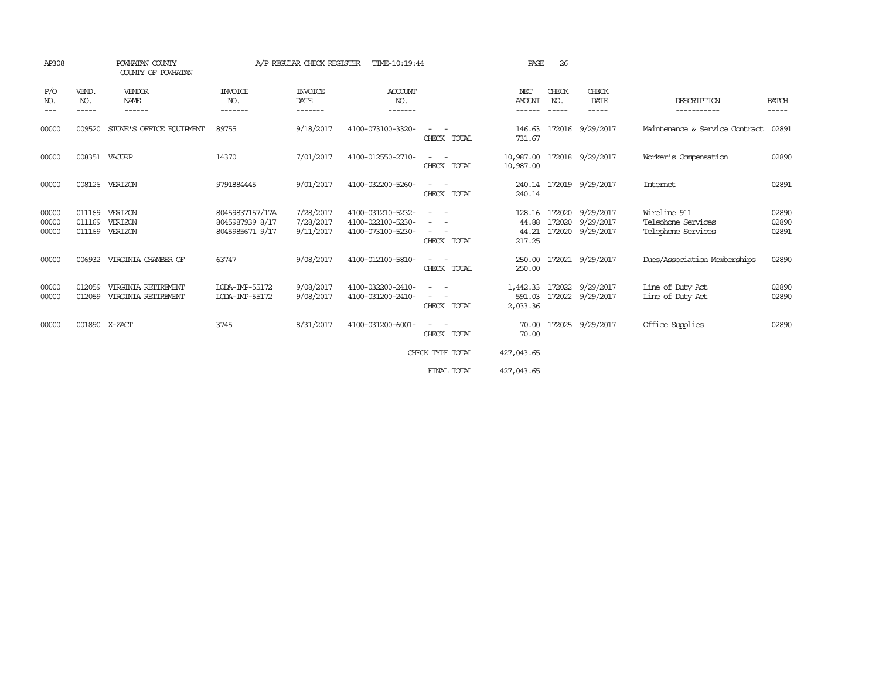| AP308                   |                             | POWHATAN COUNTY<br>COUNTY OF POWHATAN      |                                                       | A/P REGULAR CHECK REGISTER               | TIME-10:19:44                                               |                                         | PAGE                               | 26                          |                                            |                                                          |                         |
|-------------------------|-----------------------------|--------------------------------------------|-------------------------------------------------------|------------------------------------------|-------------------------------------------------------------|-----------------------------------------|------------------------------------|-----------------------------|--------------------------------------------|----------------------------------------------------------|-------------------------|
| P/O<br>NO.<br>---       | VEND.<br>NO.<br>$- - - - -$ | <b>VENDOR</b><br><b>NAME</b><br>------     | <b>INVOICE</b><br>NO.<br>-------                      | <b>INVOICE</b><br><b>DATE</b><br>------- | <b>ACCOUNT</b><br>NO.<br>-------                            |                                         | NET<br><b>AMOUNT</b><br>-------    | CHECK<br>NO.<br>$- - - - -$ | CHECK<br>DATE<br>-----                     | DESCRIPTION<br>-----------                               | <b>BATCH</b><br>-----   |
| 00000                   | 009520                      | STONE'S OFFICE EQUIPMENT                   | 89755                                                 | 9/18/2017                                | 4100-073100-3320-                                           | CHECK TOTAL                             | 146.63<br>731.67                   | 172016                      | 9/29/2017                                  | Maintenance & Service Contract                           | 02891                   |
| 00000                   | 008351                      | VACORP                                     | 14370                                                 | 7/01/2017                                | 4100-012550-2710-                                           | $\sim$<br>CHECK TOTAL                   | 10,987.00<br>10,987.00             |                             | 172018 9/29/2017                           | Worker's Compensation                                    | 02890                   |
| 00000                   | 008126                      | VERIZON                                    | 9791884445                                            | 9/01/2017                                | 4100-032200-5260-                                           | CHECK TOTAL                             | 240.14<br>240.14                   |                             | 172019 9/29/2017                           | Internet                                                 | 02891                   |
| 00000<br>00000<br>00000 | 011169<br>011169<br>011169  | VERIZON<br>VERIZON<br>VERIZON              | 80459837157/17A<br>8045987939 8/17<br>8045985671 9/17 | 7/28/2017<br>7/28/2017<br>9/11/2017      | 4100-031210-5232-<br>4100-022100-5230-<br>4100-073100-5230- | CHECK TOTAL                             | 128.16<br>44.88<br>44.21<br>217.25 | 172020<br>172020            | 172020 9/29/2017<br>9/29/2017<br>9/29/2017 | Wireline 911<br>Telephone Services<br>Telephone Services | 02890<br>02890<br>02891 |
| 00000                   | 006932                      | VIRGINIA CHAMBER OF                        | 63747                                                 | 9/08/2017                                | 4100-012100-5810-                                           | $\overline{\phantom{a}}$<br>CHECK TOTAL | 250.00<br>250.00                   |                             | 172021 9/29/2017                           | Dues/Association Memberships                             | 02890                   |
| 00000<br>00000          | 012059<br>012059            | VIRGINIA RETIREMENT<br>VIRGINIA RETIREMENT | LODA-IMP-55172<br>LODA-IMP-55172                      | 9/08/2017<br>9/08/2017                   | 4100-032200-2410-<br>4100-031200-2410-                      | CHECK TOTAL                             | 1,442.33<br>591.03<br>2,033.36     |                             | 172022 9/29/2017<br>172022 9/29/2017       | Line of Duty Act<br>Line of Duty Act                     | 02890<br>02890          |
| 00000                   | 001890 X-ZACT               |                                            | 3745                                                  | 8/31/2017                                | 4100-031200-6001-                                           | CHECK TOTAL                             | 70.00<br>70.00                     | 172025                      | 9/29/2017                                  | Office Supplies                                          | 02890                   |
|                         |                             |                                            |                                                       |                                          |                                                             | CHECK TYPE TOTAL                        | 427,043.65                         |                             |                                            |                                                          |                         |
|                         |                             |                                            |                                                       |                                          |                                                             | FINAL TOTAL                             | 427,043.65                         |                             |                                            |                                                          |                         |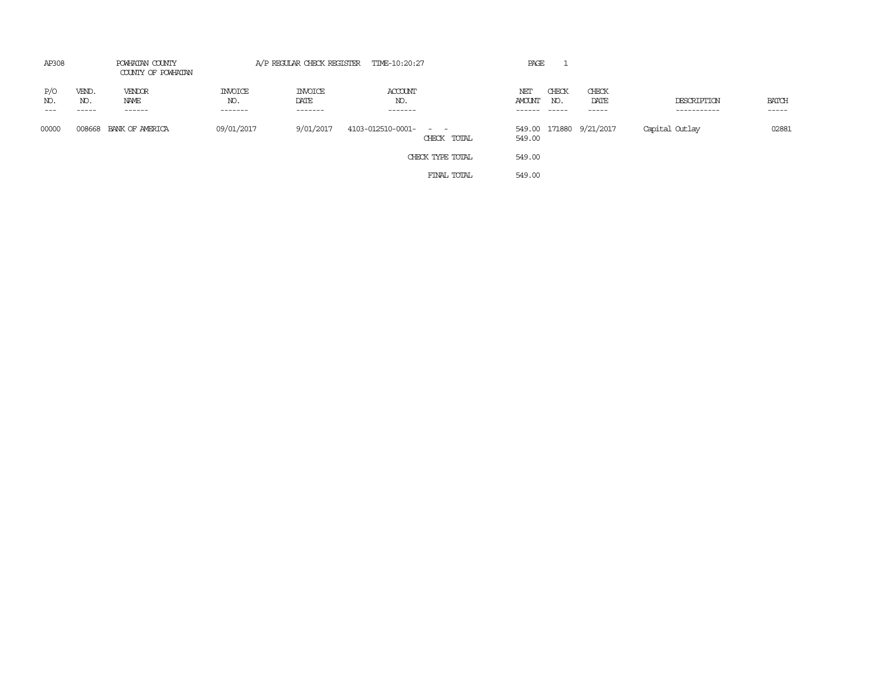| AP308               | POWHATAN COUNTY<br>COUNTY OF POWHATAN |                           |                                  |                                   | A/P REGULAR CHECK REGISTER TIME-10:20:27  |             | PAGE                    |                        |                         |                            |                             |
|---------------------|---------------------------------------|---------------------------|----------------------------------|-----------------------------------|-------------------------------------------|-------------|-------------------------|------------------------|-------------------------|----------------------------|-----------------------------|
| P/O<br>NO.<br>$---$ | VEND.<br>NO.<br>-----                 | VENDOR<br>NAME<br>------- | <b>INVOICE</b><br>NO.<br>------- | <b>INVOICE</b><br>DATE<br>------- | ACCOUNT<br>NO.<br>-------                 |             | NET<br>AMOUNT<br>------ | CHECK<br>NO.<br>------ | CHECK<br>DATE           | DESCRIPTION<br>----------- | <b>BATCH</b><br>$- - - - -$ |
| 00000               |                                       | 008668 BANK OF AMERICA    | 09/01/2017                       | 9/01/2017                         | 4103-012510-0001-<br>and the state of the | CHECK TOTAL | 549.00                  |                        | 549.00 171880 9/21/2017 | Capital Outlay             | 02881                       |
|                     |                                       |                           |                                  |                                   | CHECK TYPE TOTAL                          |             | 549.00                  |                        |                         |                            |                             |
|                     |                                       |                           |                                  |                                   |                                           | FINAL TOTAL | 549.00                  |                        |                         |                            |                             |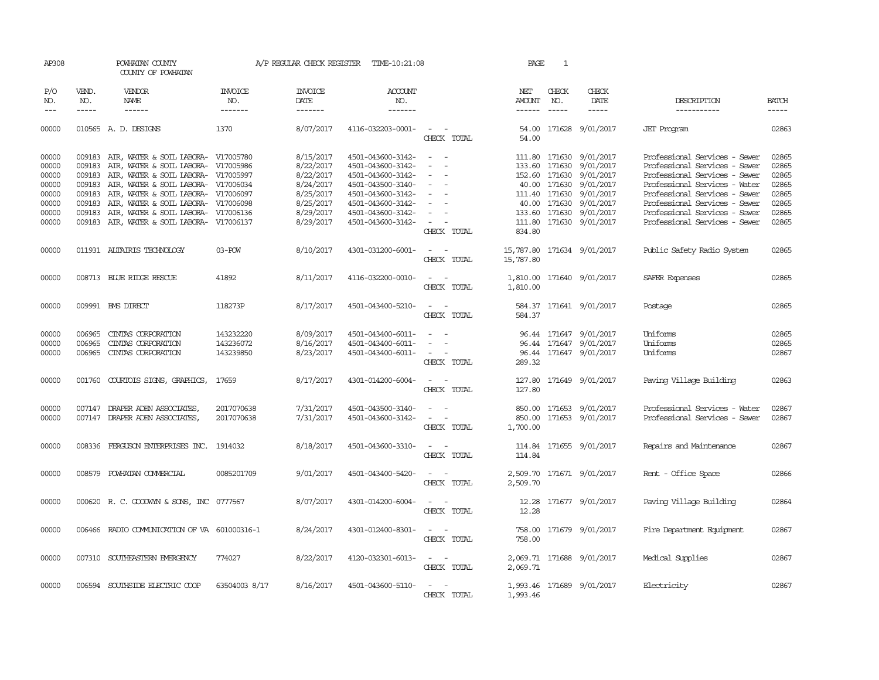| AP308               |              | POWHATAN COUNTY<br>COUNTY OF POWHATAN                                                                                                                                                                                                                                                                                                                                                                                                                   |                       |                        | A/P REGULAR CHECK REGISTER TIME-10:21:08 |                                  | PAGE          | 1                      |                            |                               |              |
|---------------------|--------------|---------------------------------------------------------------------------------------------------------------------------------------------------------------------------------------------------------------------------------------------------------------------------------------------------------------------------------------------------------------------------------------------------------------------------------------------------------|-----------------------|------------------------|------------------------------------------|----------------------------------|---------------|------------------------|----------------------------|-------------------------------|--------------|
| P/O<br>NO.          | VEND.<br>NO. | <b>VENDOR</b><br>NAME                                                                                                                                                                                                                                                                                                                                                                                                                                   | <b>INVOICE</b><br>NO. | <b>INVOICE</b><br>DATE | <b>ACCOUNT</b><br>NO.                    |                                  | NET<br>AMOUNT | CHECK<br>NO.           | CHECK<br>DATE              | DESCRIPTION                   | <b>BATCH</b> |
| $\qquad \qquad - -$ | $- - - - -$  | $\begin{tabular}{ccccc} \multicolumn{2}{c }{\multicolumn{2}{c }{\multicolumn{2}{c }{\multicolumn{2}{c}}{\hspace{-2.2cm}}}} \multicolumn{2}{c }{\multicolumn{2}{c }{\hspace{-2.2cm}}\hline} \multicolumn{2}{c }{\hspace{-2.2cm}}\hline \multicolumn{2}{c }{\hspace{-2.2cm}}\hline \multicolumn{2}{c }{\hspace{-2.2cm}}\hline \multicolumn{2}{c }{\hspace{-2.2cm}}\hline \multicolumn{2}{c }{\hspace{-2.2cm}}\hline \multicolumn{2}{c }{\hspace{-2.2cm}}$ | -------               |                        | -------                                  |                                  |               | $\cdots \cdots \cdots$ | -----                      | -----------                   | $- - - - -$  |
| 00000               |              | 010565 A. D. DESIGNS                                                                                                                                                                                                                                                                                                                                                                                                                                    | 1370                  | 8/07/2017              | 4116-032203-0001-                        | $\sim$ $  -$<br>CHECK TOTAL      | 54.00         |                        | 54.00 171628 9/01/2017     | <b>JET</b> Program            | 02863        |
| 00000               | 009183       | AIR, WATER & SOIL LABORA- V17005780                                                                                                                                                                                                                                                                                                                                                                                                                     |                       | 8/15/2017              | 4501-043600-3142-                        | $\sim$<br>$\sim$                 |               |                        | 111.80 171630 9/01/2017    | Professional Services - Sewer | 02865        |
| 00000               |              | 009183 AIR, WATER & SOIL LABORA- V17005986                                                                                                                                                                                                                                                                                                                                                                                                              |                       | 8/22/2017              | 4501-043600-3142-                        | $\sim$<br>$\sim$                 |               | 133.60 171630          | 9/01/2017                  | Professional Services - Sewer | 02865        |
| 00000               |              | 009183 AIR, WATER & SOIL LABORA- V17005997                                                                                                                                                                                                                                                                                                                                                                                                              |                       | 8/22/2017              | 4501-043600-3142-                        | $\overline{\phantom{a}}$         |               | 152.60 171630          | 9/01/2017                  | Professional Services - Sewer | 02865        |
| 00000               |              | 009183 AIR, WATER & SOIL LABORA- V17006034                                                                                                                                                                                                                                                                                                                                                                                                              |                       | 8/24/2017              | 4501-043500-3140-                        |                                  |               | 40.00 171630           | 9/01/2017                  | Professional Services - Water | 02865        |
| 00000               |              | 009183 AIR, WATER & SOIL LABORA- V17006097                                                                                                                                                                                                                                                                                                                                                                                                              |                       | 8/25/2017              | 4501-043600-3142-                        | $\sim$<br>$\sim$                 |               | 111.40 171630          | 9/01/2017                  | Professional Services - Sewer | 02865        |
| 00000               | 009183       | AIR, WATER & SOIL LABORA- V17006098                                                                                                                                                                                                                                                                                                                                                                                                                     |                       | 8/25/2017              | 4501-043600-3142-                        | $\sim$                           |               | 40.00 171630           | 9/01/2017                  | Professional Services - Sewer | 02865        |
| 00000               |              | 009183 AIR, WATER & SOIL LABORA- V17006136                                                                                                                                                                                                                                                                                                                                                                                                              |                       | 8/29/2017              | 4501-043600-3142-                        | $\sim$                           |               |                        | 133.60 171630 9/01/2017    | Professional Services - Sewer | 02865        |
| 00000               |              | 009183 AIR, WATER & SOIL LABORA- V17006137                                                                                                                                                                                                                                                                                                                                                                                                              |                       | 8/29/2017              | 4501-043600-3142-                        | $\sim$ $  -$<br>CHECK TOTAL      | 834.80        |                        | 111.80 171630 9/01/2017    | Professional Services - Sewer | 02865        |
| 00000               |              | 011931 ALTAIRIS TECHNOLOGY                                                                                                                                                                                                                                                                                                                                                                                                                              | 03-POW                | 8/10/2017              | 4301-031200-6001-                        | $\sim$ $ -$<br>CHECK TOTAL       | 15,787.80     |                        | 15,787.80 171634 9/01/2017 | Public Safety Radio System    | 02865        |
| 00000               |              | 008713 BLUE RIDGE RESCUE                                                                                                                                                                                                                                                                                                                                                                                                                                | 41892                 | 8/11/2017              | 4116-032200-0010-                        | $\sim$ $ -$<br>CHECK TOTAL       | 1,810.00      |                        | 1,810.00 171640 9/01/2017  | SAFER Expenses                | 02865        |
|                     |              |                                                                                                                                                                                                                                                                                                                                                                                                                                                         |                       |                        |                                          |                                  |               |                        |                            |                               |              |
| 00000               |              | 009991 BMS DIRECT                                                                                                                                                                                                                                                                                                                                                                                                                                       | 118273P               | 8/17/2017              | 4501-043400-5210-                        |                                  |               |                        | 584.37 171641 9/01/2017    | Postage                       | 02865        |
|                     |              |                                                                                                                                                                                                                                                                                                                                                                                                                                                         |                       |                        |                                          | CHECK TOTAL                      | 584.37        |                        |                            |                               |              |
| 00000               | 006965       | CINIAS CORPORATION                                                                                                                                                                                                                                                                                                                                                                                                                                      | 143232220             | 8/09/2017              | 4501-043400-6011-                        | $\sim$<br>$\sim$                 |               |                        | 96.44 171647 9/01/2017     | Uniforms                      | 02865        |
| 00000               | 006965       | CINIAS CORPORATION                                                                                                                                                                                                                                                                                                                                                                                                                                      | 143236072             | 8/16/2017              | 4501-043400-6011-                        | $\sim$                           |               |                        | 96.44 171647 9/01/2017     | Uniforms                      | 02865        |
| 00000               |              | 006965 CINIAS CORPORATION                                                                                                                                                                                                                                                                                                                                                                                                                               | 143239850             | 8/23/2017              | 4501-043400-6011-                        | $\sim$ $ -$                      |               |                        | 96.44 171647 9/01/2017     | Uniforms                      | 02867        |
|                     |              |                                                                                                                                                                                                                                                                                                                                                                                                                                                         |                       |                        |                                          | CHECK TOTAL                      | 289.32        |                        |                            |                               |              |
| 00000               |              | 001760 COURTOIS SIGNS, GRAPHICS,                                                                                                                                                                                                                                                                                                                                                                                                                        | 17659                 | 8/17/2017              | 4301-014200-6004-                        | $\sim$ 100 $\sim$<br>CHECK TOTAL | 127.80        |                        | 127.80 171649 9/01/2017    | Paving Village Building       | 02863        |
| 00000               | 007147       | DRAPER ADEN ASSOCIATES,                                                                                                                                                                                                                                                                                                                                                                                                                                 | 2017070638            | 7/31/2017              | 4501-043500-3140-                        | $\sim$<br>$\sim$                 |               |                        | 850.00 171653 9/01/2017    | Professional Services - Water | 02867        |
| 00000               |              | 007147 DRAPER ADEN ASSOCIATES,                                                                                                                                                                                                                                                                                                                                                                                                                          | 2017070638            | 7/31/2017              | 4501-043600-3142-                        | $\sim$ $ \sim$                   |               |                        | 850.00 171653 9/01/2017    | Professional Services - Sewer | 02867        |
|                     |              |                                                                                                                                                                                                                                                                                                                                                                                                                                                         |                       |                        |                                          | CHECK TOTAL                      | 1,700.00      |                        |                            |                               |              |
| 00000               |              | 008336 FERGUSON ENTERPRISES INC. 1914032                                                                                                                                                                                                                                                                                                                                                                                                                |                       | 8/18/2017              | 4501-043600-3310-                        | $\sim$ $ \sim$                   |               |                        | 114.84 171655 9/01/2017    | Repairs and Maintenance       | 02867        |
|                     |              |                                                                                                                                                                                                                                                                                                                                                                                                                                                         |                       |                        |                                          | CHECK TOTAL                      | 114.84        |                        |                            |                               |              |
| 00000               |              | 008579 POWHATAN COMMERCIAL                                                                                                                                                                                                                                                                                                                                                                                                                              | 0085201709            | 9/01/2017              | 4501-043400-5420-                        | $ -$                             |               |                        | 2,509.70 171671 9/01/2017  | Rent - Office Space           | 02866        |
|                     |              |                                                                                                                                                                                                                                                                                                                                                                                                                                                         |                       |                        |                                          | CHECK TOTAL                      | 2,509.70      |                        |                            |                               |              |
| 00000               |              | 000620 R. C. GOODWYN & SONS, INC 0777567                                                                                                                                                                                                                                                                                                                                                                                                                |                       | 8/07/2017              | 4301-014200-6004-                        |                                  | 12.28         |                        | 171677 9/01/2017           | Paving Village Building       | 02864        |
|                     |              |                                                                                                                                                                                                                                                                                                                                                                                                                                                         |                       |                        |                                          | CHECK TOTAL                      | 12.28         |                        |                            |                               |              |
| 00000               |              | 006466 RADIO COMMUNICATION OF VA 601000316-1                                                                                                                                                                                                                                                                                                                                                                                                            |                       | 8/24/2017              | 4301-012400-8301-                        | $\sim$ $ -$                      | 758.00        |                        | 171679 9/01/2017           | Fire Department Equipment     | 02867        |
|                     |              |                                                                                                                                                                                                                                                                                                                                                                                                                                                         |                       |                        |                                          | CHECK TOTAL                      | 758.00        |                        |                            |                               |              |
| 00000               |              | 007310 SOUTHEASTERN EMERGENCY                                                                                                                                                                                                                                                                                                                                                                                                                           | 774027                | 8/22/2017              | 4120-032301-6013-                        | $\sim$ $ -$                      |               |                        | 2,069.71 171688 9/01/2017  | Medical Supplies              | 02867        |
|                     |              |                                                                                                                                                                                                                                                                                                                                                                                                                                                         |                       |                        |                                          | CHECK TOTAL                      | 2,069.71      |                        |                            |                               |              |
|                     |              |                                                                                                                                                                                                                                                                                                                                                                                                                                                         |                       |                        |                                          |                                  |               |                        |                            |                               |              |
| 00000               |              | 006594 SOUTHSIDE ELECTRIC COOP                                                                                                                                                                                                                                                                                                                                                                                                                          | 63504003 8/17         | 8/16/2017              | 4501-043600-5110-                        | $\sim$ $  -$                     |               |                        | 1,993.46 171689 9/01/2017  | Electricity                   | 02867        |
|                     |              |                                                                                                                                                                                                                                                                                                                                                                                                                                                         |                       |                        |                                          | CHECK TOTAL                      | 1,993.46      |                        |                            |                               |              |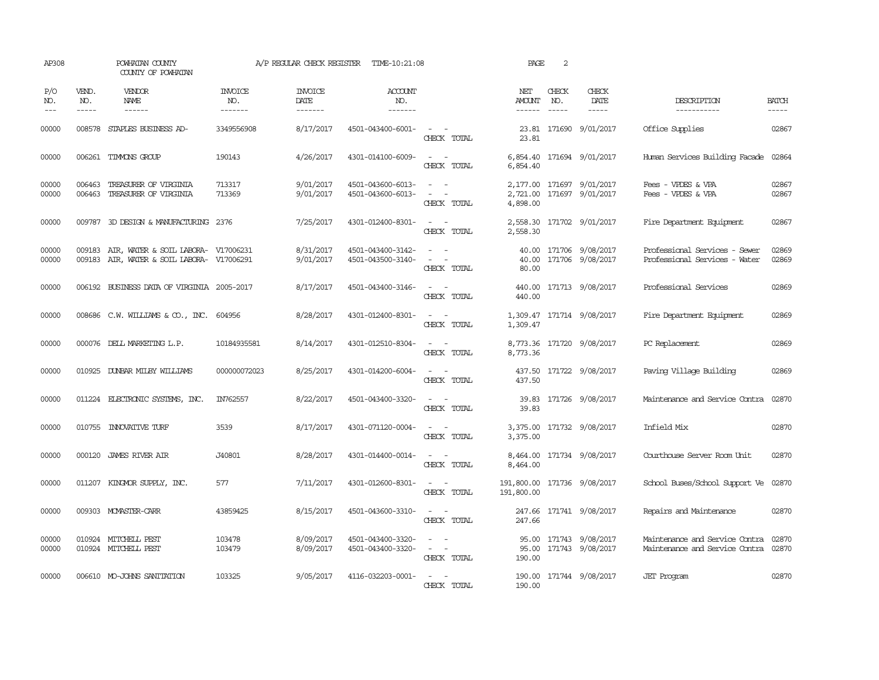| AP308                 |                               | POWHATAN COUNTY<br>COUNTY OF POWHATAN                                             |                           |                                   | A/P REGULAR CHECK REGISTER TIME-10:21:08 |                                                                                      | PAGE                                      | 2                             |                                                        |                                                                        |                             |
|-----------------------|-------------------------------|-----------------------------------------------------------------------------------|---------------------------|-----------------------------------|------------------------------------------|--------------------------------------------------------------------------------------|-------------------------------------------|-------------------------------|--------------------------------------------------------|------------------------------------------------------------------------|-----------------------------|
| P/O<br>NO.<br>$- - -$ | VEND.<br>NO.<br>$\frac{1}{2}$ | <b>VENDOR</b><br>NAME<br>$- - - - - -$                                            | INVOICE<br>NO.<br>------- | <b>INVOICE</b><br>DATE<br>------- | <b>ACCOUNT</b><br>NO.<br>-------         |                                                                                      | NET<br><b>AMOUNT</b><br>$- - - - - -$     | CHECK<br>NO.<br>$\frac{1}{2}$ | CHECK<br>DATE<br>$- - - - -$                           | DESCRIPTION<br>------------                                            | <b>BATCH</b><br>$- - - - -$ |
| 00000                 | 008578                        | STAPLES BUSINESS AD-                                                              | 3349556908                | 8/17/2017                         | 4501-043400-6001-                        | $\overline{\phantom{a}}$<br>CHECK TOTAL                                              | 23.81                                     |                               | 23.81 171690 9/01/2017                                 | Office Supplies                                                        | 02867                       |
| 00000                 |                               | 006261 TIMMONS GROUP                                                              | 190143                    | 4/26/2017                         | 4301-014100-6009-                        | $\sim$<br>$\sim$<br>CHECK TOTAL                                                      | 6,854.40                                  |                               | 6,854.40 171694 9/01/2017                              | Human Services Building Facade 02864                                   |                             |
| 00000<br>00000        | 006463                        | TREASURER OF VIRGINIA<br>006463 TREASURER OF VIRGINIA                             | 713317<br>713369          | 9/01/2017<br>9/01/2017            | 4501-043600-6013-<br>4501-043600-6013-   | $\sim$ $ -$<br>$\sim$ $ -$<br>CHECK TOTAL                                            | 4,898.00                                  |                               | 2,177.00 171697 9/01/2017<br>2,721.00 171697 9/01/2017 | Fees - VPDES & VPA<br>Fees - VPDES & VPA                               | 02867<br>02867              |
| 00000                 |                               | 009787 3D DESIGN & MANUFACTURING 2376                                             |                           | 7/25/2017                         | 4301-012400-8301-                        | $\sim$<br>CHECK TOTAL                                                                | 2,558.30                                  |                               | 2,558.30 171702 9/01/2017                              | Fire Department Equipment                                              | 02867                       |
| 00000<br>00000        | 009183                        | AIR, WATER & SOIL LABORA- V17006231<br>009183 AIR, WATER & SOIL LABORA- V17006291 |                           | 8/31/2017<br>9/01/2017            | 4501-043400-3142-<br>4501-043500-3140-   | $\sim$<br>$\sim$<br>$\overline{\phantom{a}}$<br>CHECK TOTAL                          | 40.00<br>80.00                            |                               | 171706 9/08/2017<br>40.00 171706 9/08/2017             | Professional Services - Sewer<br>Professional Services - Water         | 02869<br>02869              |
| 00000                 |                               | 006192 BUSINESS DATA OF VIRGINIA 2005-2017                                        |                           | 8/17/2017                         | 4501-043400-3146-                        | $\sim$ $ \sim$<br>CHECK TOTAL                                                        | 440.00                                    |                               | 440.00 171713 9/08/2017                                | Professional Services                                                  | 02869                       |
| 00000                 |                               | 008686 C.W. WILLIAMS & CO., INC. 604956                                           |                           | 8/28/2017                         | 4301-012400-8301-                        | $\sim$<br>CHECK TOTAL                                                                | 1,309.47                                  |                               | 1,309.47 171714 9/08/2017                              | Fire Department Equipment                                              | 02869                       |
| 00000                 |                               | 000076 DELL MARKETING L.P.                                                        | 10184935581               | 8/14/2017                         | 4301-012510-8304-                        | CHECK TOTAL                                                                          | 8,773.36                                  |                               | 8,773.36 171720 9/08/2017                              | PC Replacement                                                         | 02869                       |
| 00000                 |                               | 010925 DUNBAR MILBY WILLIAMS                                                      | 000000072023              | 8/25/2017                         | 4301-014200-6004-                        | $\sim$ $ \sim$<br>CHECK TOTAL                                                        | 437.50<br>437.50                          |                               | 171722 9/08/2017                                       | Paving Village Building                                                | 02869                       |
| 00000                 |                               | 011224 ELECTRONIC SYSTEMS, INC.                                                   | IN762557                  | 8/22/2017                         | 4501-043400-3320-                        | CHECK TOTAL                                                                          | 39.83<br>39.83                            |                               | 171726 9/08/2017                                       | Maintenance and Service Contra                                         | 02870                       |
| 00000                 |                               | 010755 INNOVATIVE TURF                                                            | 3539                      | 8/17/2017                         | 4301-071120-0004-                        | $\overline{\phantom{a}}$<br>CHECK TOTAL                                              | 3,375.00                                  |                               | 3,375.00 171732 9/08/2017                              | Infield Mix                                                            | 02870                       |
| 00000                 |                               | 000120 JAMES RIVER AIR                                                            | J40801                    | 8/28/2017                         | 4301-014400-0014-                        | $\sim$ $-$<br>CHECK TOTAL                                                            | 8,464.00                                  |                               | 8,464.00 171734 9/08/2017                              | Courthouse Server Room Unit                                            | 02870                       |
| 00000                 |                               | 011207 KINGMOR SUPPLY, INC.                                                       | 577                       | 7/11/2017                         | 4301-012600-8301-                        | $\omega_{\rm{max}}$ and $\omega_{\rm{max}}$<br>CHECK TOTAL                           | 191,800.00 171736 9/08/2017<br>191,800.00 |                               |                                                        | School Buses/School Support Ve                                         | 02870                       |
| 00000                 |                               | 009303 MOMASTER-CARR                                                              | 43859425                  | 8/15/2017                         | 4501-043600-3310-                        | $\sim$ $ -$<br>CHECK TOTAL                                                           | 247.66                                    |                               | 247.66 171741 9/08/2017                                | Repairs and Maintenance                                                | 02870                       |
| 00000<br>00000        |                               | 010924 MITCHELL PEST<br>010924 MITCHELL PEST                                      | 103478<br>103479          | 8/09/2017<br>8/09/2017            | 4501-043400-3320-<br>4501-043400-3320-   | $\sim$ $\sim$<br>$\overline{\phantom{a}}$<br>$\overline{\phantom{a}}$<br>CHECK TOTAL | 190.00                                    |                               | 95.00 171743 9/08/2017<br>95.00 171743 9/08/2017       | Maintenance and Service Contra<br>Maintenance and Service Contra 02870 | 02870                       |
| 00000                 |                               | 006610 MO-JOHNS SANITATION                                                        | 103325                    | 9/05/2017                         | 4116-032203-0001-                        | $\sim$ $  -$<br>CHECK TOTAL                                                          | 190.00                                    |                               | 190.00 171744 9/08/2017                                | <b>JET</b> Program                                                     | 02870                       |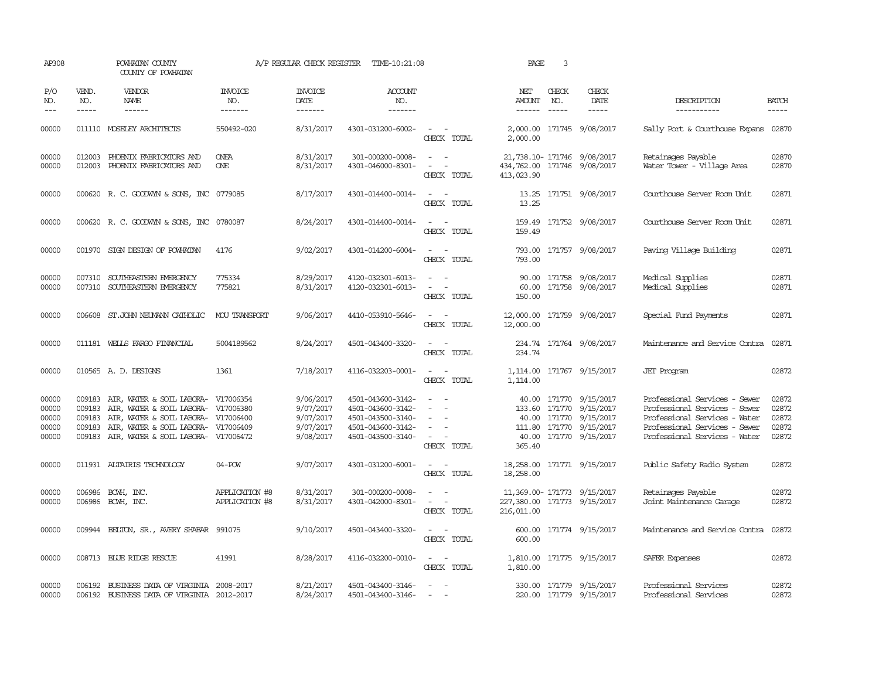| AP308                                     |                               | POWHATAN COUNTY<br>COUNTY OF POWHATAN                                                                                                                                                                                |                                  | A/P REGULAR CHECK REGISTER                                    | TIME-10:21:08                                                                                         |                                                                                                | PAGE                                                                    | 3                             |                                                                                                                                                                                                                                                                                    |                                                                                                                                                                   |                                           |
|-------------------------------------------|-------------------------------|----------------------------------------------------------------------------------------------------------------------------------------------------------------------------------------------------------------------|----------------------------------|---------------------------------------------------------------|-------------------------------------------------------------------------------------------------------|------------------------------------------------------------------------------------------------|-------------------------------------------------------------------------|-------------------------------|------------------------------------------------------------------------------------------------------------------------------------------------------------------------------------------------------------------------------------------------------------------------------------|-------------------------------------------------------------------------------------------------------------------------------------------------------------------|-------------------------------------------|
| P/O<br>NO.<br>$\frac{1}{2}$               | VEND.<br>NO.<br>$\frac{1}{2}$ | VENDOR<br><b>NAME</b><br>$- - - - - -$                                                                                                                                                                               | INVOICE<br>NO.<br>-------        | <b>INVOICE</b><br><b>DATE</b>                                 | <b>ACCOUNT</b><br>NO.<br>$- - - - - - -$                                                              |                                                                                                | NET<br>AMOUNT<br>$- - - - - -$                                          | CHECK<br>NO.<br>$\frac{1}{2}$ | CHECK<br>DATE<br>$\begin{tabular}{ccccc} \multicolumn{2}{c }{\multicolumn{2}{c }{\multicolumn{2}{c }{\multicolumn{2}{c}}}{\multicolumn{2}{c }{\multicolumn{2}{c}}}{\multicolumn{2}{c }{\multicolumn{2}{c}}}{\multicolumn{2}{c }{\multicolumn{2}{c}}}{\end{tabular}} \end{tabular}$ | DESCRIPTION<br>-----------                                                                                                                                        | <b>BATCH</b><br>$- - - - -$               |
| 00000                                     |                               | 011110 MOSELEY ARCHITECTS                                                                                                                                                                                            | 550492-020                       | 8/31/2017                                                     | 4301-031200-6002-                                                                                     | $\sim$ $ -$<br>CHECK TOTAL                                                                     | 2,000.00                                                                |                               | 2,000.00 171745 9/08/2017                                                                                                                                                                                                                                                          | Sally Port & Courthouse Expans 02870                                                                                                                              |                                           |
| 00000<br>00000                            | 012003                        | 012003 PHOENIX FABRICATORS AND<br>PHOENIX FABRICATORS AND                                                                                                                                                            | <b>ONEA</b><br><b>ONE</b>        | 8/31/2017<br>8/31/2017                                        | 301-000200-0008-<br>4301-046000-8301-                                                                 | $\sim$ $  -$<br>$\omega_{\rm{max}}$ and $\omega_{\rm{max}}$<br>CHECK TOTAL                     | 434,762.00 171746 9/08/2017<br>413,023.90                               |                               | 21,738.10-171746 9/08/2017                                                                                                                                                                                                                                                         | Retainages Payable<br>Water Tower - Village Area                                                                                                                  | 02870<br>02870                            |
| 00000                                     |                               | 000620 R. C. GOODWYN & SONS, INC 0779085                                                                                                                                                                             |                                  | 8/17/2017                                                     | 4301-014400-0014-                                                                                     | $\sim$ 100 $\sim$<br>CHECK TOTAL                                                               | 13.25                                                                   |                               | 13.25 171751 9/08/2017                                                                                                                                                                                                                                                             | Courthouse Server Room Unit                                                                                                                                       | 02871                                     |
| 00000                                     |                               | 000620 R. C. GOODWYN & SONS, INC 0780087                                                                                                                                                                             |                                  | 8/24/2017                                                     | 4301-014400-0014-                                                                                     | CHECK TOTAL                                                                                    | 159.49                                                                  |                               | 159.49 171752 9/08/2017                                                                                                                                                                                                                                                            | Courthouse Server Room Unit                                                                                                                                       | 02871                                     |
| 00000                                     |                               | 001970 SIGN DESIGN OF POWHATAN                                                                                                                                                                                       | 4176                             | 9/02/2017                                                     | 4301-014200-6004-                                                                                     | $\sim$ 100 $\sim$<br>CHECK TOTAL                                                               | 793.00                                                                  |                               | 793.00 171757 9/08/2017                                                                                                                                                                                                                                                            | Paving Village Building                                                                                                                                           | 02871                                     |
| 00000<br>00000                            | 007310                        | SOUTHEASTERN EMERGENCY<br>007310 SOUTHEASTERN EMERGENCY                                                                                                                                                              | 775334<br>775821                 | 8/29/2017<br>8/31/2017                                        | 4120-032301-6013-<br>4120-032301-6013-                                                                | $\sim$ $ \sim$<br>$\omega_{\rm{max}}$<br>CHECK TOTAL                                           | 60.00<br>150.00                                                         |                               | 90.00 171758 9/08/2017<br>171758 9/08/2017                                                                                                                                                                                                                                         | Medical Supplies<br>Medical Supplies                                                                                                                              | 02871<br>02871                            |
| 00000                                     |                               | 006608 ST.JOHN NEUMANN CATHOLIC                                                                                                                                                                                      | <b>MOU TRANSPORT</b>             | 9/06/2017                                                     | 4410-053910-5646-                                                                                     | $\omega_{\rm{max}}$ and $\omega_{\rm{max}}$<br>CHECK TOTAL                                     | 12,000.00                                                               |                               | 12,000.00 171759 9/08/2017                                                                                                                                                                                                                                                         | Special Fund Payments                                                                                                                                             | 02871                                     |
| 00000                                     |                               | 011181 WELLS FARGO FINANCIAL                                                                                                                                                                                         | 5004189562                       | 8/24/2017                                                     | 4501-043400-3320-                                                                                     | $\sim$ $ \sim$<br>CHECK TOTAL                                                                  | 234.74                                                                  |                               | 234.74 171764 9/08/2017                                                                                                                                                                                                                                                            | Maintenance and Service Contra                                                                                                                                    | 02871                                     |
| 00000                                     |                               | 010565 A.D. DESIGNS                                                                                                                                                                                                  | 1361                             | 7/18/2017                                                     | 4116-032203-0001-                                                                                     | CHECK TOTAL                                                                                    | 1,114.00                                                                |                               | 1,114.00 171767 9/15/2017                                                                                                                                                                                                                                                          | <b>JET</b> Program                                                                                                                                                | 02872                                     |
| 00000<br>00000<br>00000<br>00000<br>00000 | 009183<br>009183              | 009183 AIR, WATER & SOIL LABORA- V17006354<br>AIR, WATER & SOIL LABORA- V17006380<br>AIR, WATER & SOIL LABORA- V17006400<br>009183 AIR, WATER & SOIL LABORA- V17006409<br>009183 AIR, WATER & SOIL LABORA- V17006472 |                                  | 9/06/2017<br>9/07/2017<br>9/07/2017<br>9/07/2017<br>9/08/2017 | 4501-043600-3142-<br>4501-043600-3142-<br>4501-043500-3140-<br>4501-043600-3142-<br>4501-043500-3140- | $\sim$<br>$\sim$<br>$\overline{\phantom{a}}$<br>$\sim$<br>$\sim$<br>$\sim$ $ -$<br>CHECK TOTAL | 365.40                                                                  |                               | 40.00 171770 9/15/2017<br>133.60 171770 9/15/2017<br>40.00 171770 9/15/2017<br>111.80 171770 9/15/2017<br>40.00 171770 9/15/2017                                                                                                                                                   | Professional Services - Sewer<br>Professional Services - Sewer<br>Professional Services - Water<br>Professional Services - Sewer<br>Professional Services - Water | 02872<br>02872<br>02872<br>02872<br>02872 |
| 00000                                     |                               | 011931 ALTAIRIS TECHNOLOGY                                                                                                                                                                                           | $04 - POW$                       | 9/07/2017                                                     | 4301-031200-6001-                                                                                     | $\sim$ $ \sim$<br>CHECK TOTAL                                                                  | 18,258.00                                                               |                               | 18,258.00 171771 9/15/2017                                                                                                                                                                                                                                                         | Public Safety Radio System                                                                                                                                        | 02872                                     |
| 00000<br>00000                            |                               | 006986 BCWH, INC.<br>006986 BCWH, INC.                                                                                                                                                                               | APPLICATION #8<br>APPLICATION #8 | 8/31/2017<br>8/31/2017                                        | 301-000200-0008-<br>4301-042000-8301-                                                                 | $\overline{\phantom{a}}$<br>$\sim$ $ -$<br>CHECK TOTAL                                         | 11,369.00-171773 9/15/2017<br>227,380.00 171773 9/15/2017<br>216,011.00 |                               |                                                                                                                                                                                                                                                                                    | Retainages Payable<br>Joint Maintenance Garage                                                                                                                    | 02872<br>02872                            |
| 00000                                     |                               | 009944 BELTON, SR., AVERY SHABAR 991075                                                                                                                                                                              |                                  | 9/10/2017                                                     | 4501-043400-3320-                                                                                     | $\mathcal{L}_{\text{max}}$ , and<br>CHECK TOTAL                                                | 600.00                                                                  |                               | 600.00 171774 9/15/2017                                                                                                                                                                                                                                                            | Maintenance and Service Contra                                                                                                                                    | 02872                                     |
| 00000                                     |                               | 008713 BLUE RIDGE RESCUE                                                                                                                                                                                             | 41991                            | 8/28/2017                                                     | 4116-032200-0010-                                                                                     | $\sim$ $ -$<br>CHECK TOTAL                                                                     | 1,810.00                                                                |                               | 1,810.00 171775 9/15/2017                                                                                                                                                                                                                                                          | SAFER Expenses                                                                                                                                                    | 02872                                     |
| 00000<br>00000                            | 006192                        | 006192 BUSINESS DATA OF VIRGINIA 2008-2017<br>BUSINESS DATA OF VIRGINIA 2012-2017                                                                                                                                    |                                  | 8/21/2017<br>8/24/2017                                        | 4501-043400-3146-<br>4501-043400-3146-                                                                | $\sim$ $ -$<br>$\sim$                                                                          |                                                                         |                               | 330.00 171779 9/15/2017<br>220.00 171779 9/15/2017                                                                                                                                                                                                                                 | Professional Services<br>Professional Services                                                                                                                    | 02872<br>02872                            |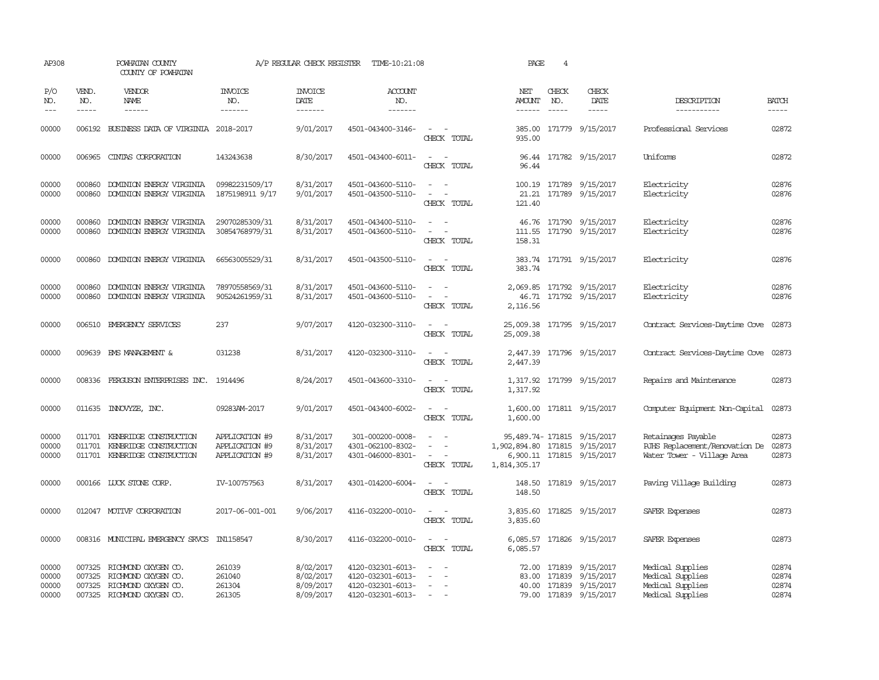| AP308                            |                       | POWHATAN COUNTY<br>COUNTY OF POWHATAN                                                                  |                                                    | A/P REGULAR CHECK REGISTER                       | TIME-10:21:08                                                                    |                                                                                                                                                                      | PAGE                                                                        | 4            |                                                                                                |                                                                                    |                                  |
|----------------------------------|-----------------------|--------------------------------------------------------------------------------------------------------|----------------------------------------------------|--------------------------------------------------|----------------------------------------------------------------------------------|----------------------------------------------------------------------------------------------------------------------------------------------------------------------|-----------------------------------------------------------------------------|--------------|------------------------------------------------------------------------------------------------|------------------------------------------------------------------------------------|----------------------------------|
| P/O<br>NO.<br>$---$              | VEND.<br>NO.<br>----- | <b>VENDOR</b><br>NAME<br>$- - - - - -$                                                                 | <b>INVOICE</b><br>NO.<br>-------                   | <b>INVOICE</b><br>DATE<br>-------                | <b>ACCOUNT</b><br>NO.<br>-------                                                 |                                                                                                                                                                      | NET<br>AMOUNT<br>------                                                     | CHECK<br>NO. | CHECK<br>DATE                                                                                  | DESCRIPTION<br>-----------                                                         | <b>BATCH</b><br>-----            |
| 00000                            |                       | 006192 BUSINESS DATA OF VIRGINIA 2018-2017                                                             |                                                    | 9/01/2017                                        | 4501-043400-3146-                                                                | $\sim$ $\sim$<br>CHECK TOTAL                                                                                                                                         | 935.00                                                                      |              | 385.00 171779 9/15/2017                                                                        | Professional Services                                                              | 02872                            |
| 00000                            |                       | 006965 CINTAS CORPORATION                                                                              | 143243638                                          | 8/30/2017                                        | 4501-043400-6011-                                                                | $ -$<br>CHECK TOTAL                                                                                                                                                  | 96.44                                                                       |              | 96.44 171782 9/15/2017                                                                         | Uniforms                                                                           | 02872                            |
| 00000<br>00000                   | 000860<br>000860      | DOMINION ENERGY VIRGINIA<br>DOMINION ENERGY VIRGINIA                                                   | 09982231509/17<br>1875198911 9/17                  | 8/31/2017<br>9/01/2017                           | 4501-043600-5110-<br>4501-043500-5110-                                           | $\sim$<br>$\sim$<br>$\sim$<br>CHECK TOTAL                                                                                                                            | 21.21<br>121.40                                                             |              | 100.19 171789 9/15/2017<br>171789 9/15/2017                                                    | Electricity<br>Electricity                                                         | 02876<br>02876                   |
| 00000<br>00000                   | 000860<br>000860      | DOMINION ENERGY VIRGINIA<br>DOMINION ENERGY VIRGINIA                                                   | 29070285309/31<br>30854768979/31                   | 8/31/2017<br>8/31/2017                           | 4501-043400-5110-<br>4501-043600-5110-                                           | $\frac{1}{2} \left( \frac{1}{2} \right) \left( \frac{1}{2} \right) \left( \frac{1}{2} \right) \left( \frac{1}{2} \right)$<br>$\overline{\phantom{a}}$<br>CHECK TOTAL | 111.55<br>158.31                                                            |              | 46.76 171790 9/15/2017<br>171790 9/15/2017                                                     | Electricity<br>Electricity                                                         | 02876<br>02876                   |
| 00000                            | 000860                | DOMINION ENERGY VIRGINIA                                                                               | 66563005529/31                                     | 8/31/2017                                        | 4501-043500-5110-                                                                | $\sim$ $ \sim$<br>CHECK TOTAL                                                                                                                                        | 383.74                                                                      |              | 383.74 171791 9/15/2017                                                                        | Electricity                                                                        | 02876                            |
| 00000<br>00000                   | 000860<br>000860      | DOMINION ENERGY VIRGINIA<br>DOMINION ENERGY VIRGINIA                                                   | 78970558569/31<br>90524261959/31                   | 8/31/2017<br>8/31/2017                           | 4501-043600-5110-<br>4501-043600-5110-                                           | $\omega_{\rm{max}}$ and $\omega_{\rm{max}}$<br>$\sim$ $ \sim$<br>CHECK TOTAL                                                                                         | 2,116.56                                                                    |              | 2,069.85 171792 9/15/2017<br>46.71 171792 9/15/2017                                            | Electricity<br>Electricity                                                         | 02876<br>02876                   |
| 00000                            |                       | 006510 EMERGENCY SERVICES                                                                              | 237                                                | 9/07/2017                                        | 4120-032300-3110-                                                                | $\sim$ $\sim$<br>CHECK TOTAL                                                                                                                                         | 25,009.38 171795 9/15/2017<br>25,009.38                                     |              |                                                                                                | Contract Services-Daytime Cove 02873                                               |                                  |
| 00000                            |                       | 009639 EMS MANAGEMENT &                                                                                | 031238                                             | 8/31/2017                                        | 4120-032300-3110-                                                                | $\sim$ $ \sim$<br>CHECK TOTAL                                                                                                                                        | 2,447.39                                                                    |              | 2,447.39 171796 9/15/2017                                                                      | Contract Services-Daytime Cove 02873                                               |                                  |
| 00000                            |                       | 008336 FERGUSON ENTERPRISES INC. 1914496                                                               |                                                    | 8/24/2017                                        | 4501-043600-3310-                                                                | $\frac{1}{2} \left( \frac{1}{2} \right) \left( \frac{1}{2} \right) = \frac{1}{2} \left( \frac{1}{2} \right)$<br>CHECK TOTAL                                          | 1,317.92                                                                    |              | 1,317.92 171799 9/15/2017                                                                      | Repairs and Maintenance                                                            | 02873                            |
| 00000                            |                       | 011635 INNOVYZE, INC.                                                                                  | 09283AM-2017                                       | 9/01/2017                                        | 4501-043400-6002-                                                                | $\sim$ 10 $\sim$ 10 $\sim$<br>CHECK TOTAL                                                                                                                            | 1,600.00                                                                    |              | 1,600.00 171811 9/15/2017                                                                      | Computer Equipment Non-Capital 02873                                               |                                  |
| 00000<br>00000<br>00000          | 011701                | KENBRIDGE CONSTRUCTION<br>011701 KENBRIDGE CONSTRUCTION<br>011701 KENBRIDGE CONSTRUCTION               | APPLICATION #9<br>APPLICATION #9<br>APPLICATION #9 | 8/31/2017<br>8/31/2017<br>8/31/2017              | 301-000200-0008-<br>4301-062100-8302-<br>4301-046000-8301-                       | $\sim$ $ -$<br>$ -$<br>CHECK TOTAL                                                                                                                                   | 95,489.74-171815 9/15/2017<br>1,902,894.80 171815 9/15/2017<br>1,814,305.17 |              | 6,900.11 171815 9/15/2017                                                                      | Retainages Payable<br>RJHS Replacement/Renovation De<br>Water Tower - Village Area | 02873<br>02873<br>02873          |
| 00000                            |                       | 000166 LUCK STONE CORP.                                                                                | IV-100757563                                       | 8/31/2017                                        | 4301-014200-6004-                                                                | $\sim$ $ \sim$<br>CHECK TOTAL                                                                                                                                        | 148.50                                                                      |              | 148.50 171819 9/15/2017                                                                        | Paving Village Building                                                            | 02873                            |
| 00000                            |                       | 012047 MOTIVF CORPORATION                                                                              | 2017-06-001-001                                    | 9/06/2017                                        | 4116-032200-0010-                                                                | $\sim$ $ \sim$<br>CHECK TOTAL                                                                                                                                        | 3,835.60                                                                    |              | 3,835.60 171825 9/15/2017                                                                      | SAFER Expenses                                                                     | 02873                            |
| 00000                            |                       | 008316 MUNICIPAL EMERGENCY SRVCS IN1158547                                                             |                                                    | 8/30/2017                                        | 4116-032200-0010-                                                                | $\sim$ $\sim$<br>CHECK TOTAL                                                                                                                                         | 6,085.57                                                                    |              | 6,085.57 171826 9/15/2017                                                                      | SAFER Expenses                                                                     | 02873                            |
| 00000<br>00000<br>00000<br>00000 | 007325<br>007325      | RICHMOND OXYGEN CO.<br>RICHMOND OXYGEN CO.<br>007325 RICHMOND OXYGEN CO.<br>007325 RICHMOND OXYGEN CO. | 261039<br>261040<br>261304<br>261305               | 8/02/2017<br>8/02/2017<br>8/09/2017<br>8/09/2017 | 4120-032301-6013-<br>4120-032301-6013-<br>4120-032301-6013-<br>4120-032301-6013- | $\overline{\phantom{a}}$<br>$\overline{\phantom{a}}$<br>$\sim$                                                                                                       | 83.00                                                                       |              | 72.00 171839 9/15/2017<br>171839 9/15/2017<br>40.00 171839 9/15/2017<br>79.00 171839 9/15/2017 | Medical Supplies<br>Medical Supplies<br>Medical Supplies<br>Medical Supplies       | 02874<br>02874<br>02874<br>02874 |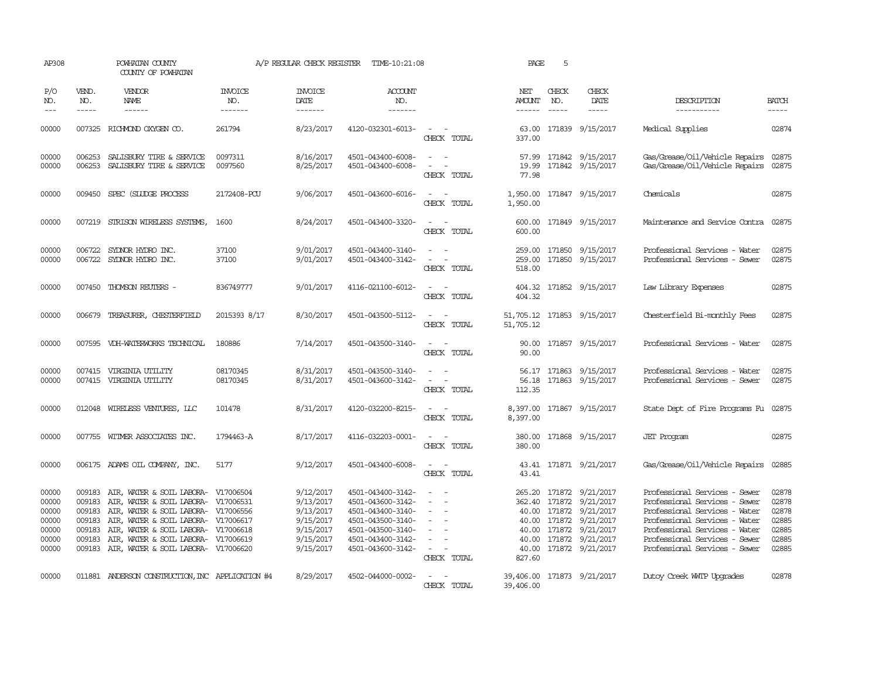| AP308                                                       |                                      | POWHATAN COUNTY<br>COUNTY OF POWHATAN                                                                                                                                                                                                                                                              |                           | A/P REGULAR CHECK REGISTER                                                              | TIME-10:21:08                                                                                                                                   |                                                                                                                                                         | PAGE                           | 5                             |                                                                                                                                                                                      |                                                                                                                                                                                                                                     |                                                             |
|-------------------------------------------------------------|--------------------------------------|----------------------------------------------------------------------------------------------------------------------------------------------------------------------------------------------------------------------------------------------------------------------------------------------------|---------------------------|-----------------------------------------------------------------------------------------|-------------------------------------------------------------------------------------------------------------------------------------------------|---------------------------------------------------------------------------------------------------------------------------------------------------------|--------------------------------|-------------------------------|--------------------------------------------------------------------------------------------------------------------------------------------------------------------------------------|-------------------------------------------------------------------------------------------------------------------------------------------------------------------------------------------------------------------------------------|-------------------------------------------------------------|
| P/O<br>NO.<br>$---$                                         | VEND.<br>NO.<br>$- - - - -$          | <b>VENDOR</b><br>NAME<br>$- - - - - -$                                                                                                                                                                                                                                                             | INVOICE<br>NO.<br>------- | <b>INVOICE</b><br>DATE<br>-------                                                       | <b>ACCOUNT</b><br>NO.<br>$- - - - - - -$                                                                                                        |                                                                                                                                                         | NET<br>AMOUNT<br>$- - - - - -$ | CHECK<br>NO.<br>$\frac{1}{2}$ | CHECK<br>DATE<br>$- - - - -$                                                                                                                                                         | DESCRIPTION<br>-----------                                                                                                                                                                                                          | <b>BATCH</b><br>-----                                       |
| 00000                                                       |                                      | 007325 RICHMOND OXYGEN CO.                                                                                                                                                                                                                                                                         | 261794                    | 8/23/2017                                                                               | 4120-032301-6013-                                                                                                                               | $\sim$ $ \sim$<br>CHECK TOTAL                                                                                                                           | 337.00                         |                               | 63.00 171839 9/15/2017                                                                                                                                                               | Medical Supplies                                                                                                                                                                                                                    | 02874                                                       |
| 00000<br>00000                                              | 006253<br>006253                     | SALISBURY TIRE & SERVICE<br>SALISBURY TIRE & SERVICE                                                                                                                                                                                                                                               | 0097311<br>0097560        | 8/16/2017<br>8/25/2017                                                                  | 4501-043400-6008-<br>4501-043400-6008-                                                                                                          | $\sim$ $ -$<br>$\sim$ $ -$<br>CHECK TOTAL                                                                                                               | 77.98                          |                               | 57.99 171842 9/15/2017<br>19.99 171842 9/15/2017                                                                                                                                     | Gas/Grease/Oil/Vehicle Repairs 02875<br>Gas/Grease/Oil/Vehicle Repairs 02875                                                                                                                                                        |                                                             |
| 00000                                                       |                                      | 009450 SPEC (SLUDGE PROCESS                                                                                                                                                                                                                                                                        | 2172408-PCU               | 9/06/2017                                                                               | 4501-043600-6016-                                                                                                                               | $\sim$ $  -$<br>CHECK TOTAL                                                                                                                             | 1,950.00                       |                               | 1,950.00 171847 9/15/2017                                                                                                                                                            | Chemicals                                                                                                                                                                                                                           | 02875                                                       |
| 00000                                                       |                                      | 007219 STRISON WIRELESS SYSTEMS,                                                                                                                                                                                                                                                                   | 1600                      | 8/24/2017                                                                               | 4501-043400-3320-                                                                                                                               | $\sim$<br>$\sim$<br>CHECK TOTAL                                                                                                                         | 600.00<br>600.00               |                               | 171849 9/15/2017                                                                                                                                                                     | Maintenance and Service Contra 02875                                                                                                                                                                                                |                                                             |
| 00000<br>00000                                              | 006722                               | SYLNOR HYDRO INC.<br>006722 SYLNOR HYDRO INC.                                                                                                                                                                                                                                                      | 37100<br>37100            | 9/01/2017<br>9/01/2017                                                                  | 4501-043400-3140-<br>4501-043400-3142-                                                                                                          | $\frac{1}{2} \left( \frac{1}{2} \right) \left( \frac{1}{2} \right) = \frac{1}{2} \left( \frac{1}{2} \right)$<br>$\sim$ $ \sim$<br>CHECK TOTAL           | 518.00                         |                               | 259.00 171850 9/15/2017<br>259.00 171850 9/15/2017                                                                                                                                   | Professional Services - Water<br>Professional Services - Sewer                                                                                                                                                                      | 02875<br>02875                                              |
| 00000                                                       |                                      | 007450 THOMSON REUTERS -                                                                                                                                                                                                                                                                           | 836749777                 | 9/01/2017                                                                               | 4116-021100-6012-                                                                                                                               | $\sim$ $\sim$<br>CHECK TOTAL                                                                                                                            | 404.32                         |                               | 404.32 171852 9/15/2017                                                                                                                                                              | Law Library Expenses                                                                                                                                                                                                                | 02875                                                       |
| 00000                                                       |                                      | 006679 TREASURER, CHESTERFIELD                                                                                                                                                                                                                                                                     | 2015393 8/17              | 8/30/2017                                                                               | 4501-043500-5112-                                                                                                                               | CHECK TOTAL                                                                                                                                             | 51,705.12                      |                               | 51,705.12 171853 9/15/2017                                                                                                                                                           | Chesterfield Bi-monthly Fees                                                                                                                                                                                                        | 02875                                                       |
| 00000                                                       |                                      | 007595 VDH-WATERWORKS TECHNICAL                                                                                                                                                                                                                                                                    | 180886                    | 7/14/2017                                                                               | 4501-043500-3140-                                                                                                                               | $\sim$ $ \sim$<br>CHECK TOTAL                                                                                                                           | 90.00                          |                               | 90.00 171857 9/15/2017                                                                                                                                                               | Professional Services - Water                                                                                                                                                                                                       | 02875                                                       |
| 00000<br>00000                                              |                                      | 007415 VIRGINIA UTILITY<br>007415 VIRGINIA UTILITY                                                                                                                                                                                                                                                 | 08170345<br>08170345      | 8/31/2017<br>8/31/2017                                                                  | 4501-043500-3140-<br>4501-043600-3142-                                                                                                          | $\omega_{\rm{max}}$ and $\omega_{\rm{max}}$<br>$\omega_{\rm{max}}$ , $\omega_{\rm{max}}$<br>CHECK TOTAL                                                 | 112.35                         |                               | 56.17 171863 9/15/2017<br>56.18 171863 9/15/2017                                                                                                                                     | Professional Services - Water<br>Professional Services - Sewer                                                                                                                                                                      | 02875<br>02875                                              |
| 00000                                                       |                                      | 012048 WIRELESS VENTURES, LLC                                                                                                                                                                                                                                                                      | 101478                    | 8/31/2017                                                                               | 4120-032200-8215-                                                                                                                               | $\sim$ $  -$<br>CHECK TOTAL                                                                                                                             | 8,397.00                       |                               | 8,397.00 171867 9/15/2017                                                                                                                                                            | State Dept of Fire Programs Fu 02875                                                                                                                                                                                                |                                                             |
| 00000                                                       |                                      | 007755 WITMER ASSOCIATES INC.                                                                                                                                                                                                                                                                      | 1794463-A                 | 8/17/2017                                                                               | 4116-032203-0001-                                                                                                                               | $\sim$<br>CHECK TOTAL                                                                                                                                   | 380.00                         |                               | 380.00 171868 9/15/2017                                                                                                                                                              | <b>JET</b> Program                                                                                                                                                                                                                  | 02875                                                       |
| 00000                                                       |                                      | 006175 ADAMS OIL COMPANY, INC.                                                                                                                                                                                                                                                                     | 5177                      | 9/12/2017                                                                               | 4501-043400-6008-                                                                                                                               | $\sim$ $  -$<br>CHECK TOTAL                                                                                                                             | 43.41                          |                               | 43.41 171871 9/21/2017                                                                                                                                                               | Gas/Grease/Oil/Vehicle Repairs                                                                                                                                                                                                      | 02885                                                       |
| 00000<br>00000<br>00000<br>00000<br>00000<br>00000<br>00000 | 009183<br>009183<br>009183<br>009183 | 009183 AIR, WATER & SOIL LABORA- V17006504<br>009183 AIR, WATER & SOIL LABORA- V17006531<br>AIR, WATER & SOIL LABORA- V17006556<br>AIR, WATER & SOIL LABORA- V17006617<br>AIR, WATER & SOIL LABORA- V17006618<br>AIR, WATER & SOIL LABORA- V17006619<br>009183 AIR, WATER & SOIL LABORA- V17006620 |                           | 9/12/2017<br>9/13/2017<br>9/13/2017<br>9/15/2017<br>9/15/2017<br>9/15/2017<br>9/15/2017 | 4501-043400-3142-<br>4501-043600-3142-<br>4501-043400-3140-<br>4501-043500-3140-<br>4501-043500-3140-<br>4501-043400-3142-<br>4501-043600-3142- | $\sim$ $ \sim$<br>$\overline{\phantom{a}}$<br>$\overline{\phantom{a}}$<br>$\sim$<br>$\sim$<br>$\sim$ $ \sim$<br>$\overline{\phantom{a}}$<br>CHECK TOTAL | 827.60                         |                               | 265.20 171872 9/21/2017<br>362.40 171872 9/21/2017<br>40.00 171872 9/21/2017<br>40.00 171872 9/21/2017<br>40.00 171872 9/21/2017<br>40.00 171872 9/21/2017<br>40.00 171872 9/21/2017 | Professional Services - Sewer<br>Professional Services - Sewer<br>Professional Services - Water<br>Professional Services - Water<br>Professional Services - Water<br>Professional Services - Sewer<br>Professional Services - Sewer | 02878<br>02878<br>02878<br>02885<br>02885<br>02885<br>02885 |
| 00000                                                       |                                      | 011881 ANDERSON CONSTRUCTION, INC APPLICATION #4                                                                                                                                                                                                                                                   |                           | 8/29/2017                                                                               | 4502-044000-0002-                                                                                                                               | <b><i><u>Participate</u></i></b><br>CHECK TOTAL                                                                                                         | 39,406.00                      |                               | 39,406.00 171873 9/21/2017                                                                                                                                                           | Dutoy Creek WITP Upgrades                                                                                                                                                                                                           | 02878                                                       |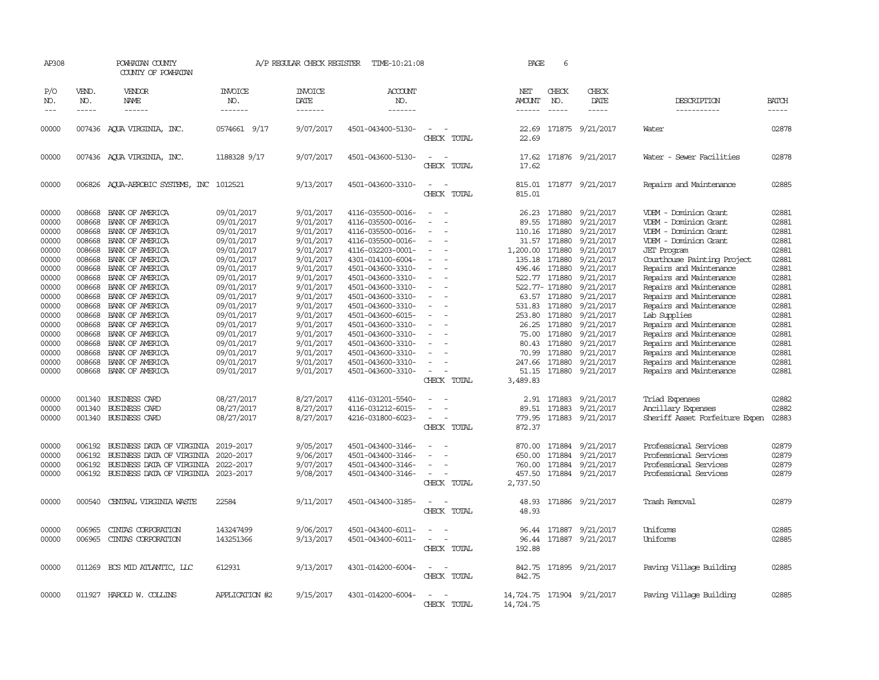| AP308                            |                                      | POWHATAN COUNTY<br>COUNTY OF POWHATAN                                                                            |                                                      | A/P REGULAR CHECK REGISTER                       | TIME-10:21:08                                                                    |                                         | PAGE                                             | 6                                    |                                                                |                                                                                                          |                                  |
|----------------------------------|--------------------------------------|------------------------------------------------------------------------------------------------------------------|------------------------------------------------------|--------------------------------------------------|----------------------------------------------------------------------------------|-----------------------------------------|--------------------------------------------------|--------------------------------------|----------------------------------------------------------------|----------------------------------------------------------------------------------------------------------|----------------------------------|
| P/O<br>NO.                       | VEND.<br>NO.                         | VENDOR<br>NAME                                                                                                   | INVOICE<br>NO.                                       | <b>INVOICE</b><br>DATE                           | <b>ACCOUNT</b><br>NO.                                                            |                                         | NET<br><b>AMOUNT</b>                             | CHECK<br>NO.                         | <b>CHECK</b><br>DATE                                           | DESCRIPTION                                                                                              | <b>BATCH</b>                     |
| $\frac{1}{2}$                    | $- - - - -$                          | ------                                                                                                           | -------                                              | -------                                          | -------                                                                          |                                         | ------                                           | $\frac{1}{2}$                        | -----                                                          | -----------                                                                                              | -----                            |
| 00000                            |                                      | 007436 AQUA VIRGINIA, INC.                                                                                       | 0574661 9/17                                         | 9/07/2017                                        | 4501-043400-5130-                                                                | CHECK TOTAL                             | 22.69                                            |                                      | 22.69 171875 9/21/2017                                         | Water                                                                                                    | 02878                            |
| 00000                            |                                      | 007436 AQUA VIRGINIA, INC.                                                                                       | 1188328 9/17                                         | 9/07/2017                                        | 4501-043600-5130-                                                                | $\equiv$<br>CHECK TOTAL                 | 17.62<br>17.62                                   |                                      | 171876 9/21/2017                                               | Water - Sewer Facilities                                                                                 | 02878                            |
| 00000                            |                                      | 006826 AQUA-AEROBIC SYSTEMS, INC 1012521                                                                         |                                                      | 9/13/2017                                        | 4501-043600-3310-                                                                | $\equiv$<br>CHECK TOTAL                 | 815.01                                           |                                      | 815.01 171877 9/21/2017                                        | Repairs and Maintenance                                                                                  | 02885                            |
| 00000<br>00000<br>00000<br>00000 | 008668<br>008668<br>008668<br>008668 | BANK OF AMERICA<br>BANK OF AMERICA<br>BANK OF AMERICA<br>BANK OF AMERICA                                         | 09/01/2017<br>09/01/2017<br>09/01/2017<br>09/01/2017 | 9/01/2017<br>9/01/2017<br>9/01/2017<br>9/01/2017 | 4116-035500-0016-<br>4116-035500-0016-<br>4116-035500-0016-<br>4116-035500-0016- | $\sim$                                  | 26.23<br>89.55<br>110.16<br>31.57                | 171880<br>171880<br>171880<br>171880 | 9/21/2017<br>9/21/2017<br>9/21/2017<br>9/21/2017               | VDEM - Dominion Grant<br>VDEM - Dominion Grant<br>VDEM - Dominion Grant<br>VDEM - Dominion Grant         | 02881<br>02881<br>02881<br>02881 |
| 00000<br>00000<br>00000<br>00000 | 008668<br>008668<br>008668<br>008668 | BANK OF AMERICA<br>BANK OF AMERICA<br>BANK OF AMERICA<br>BANK OF AMERICA                                         | 09/01/2017<br>09/01/2017<br>09/01/2017<br>09/01/2017 | 9/01/2017<br>9/01/2017<br>9/01/2017<br>9/01/2017 | 4116-032203-0001-<br>4301-014100-6004-<br>4501-043600-3310-<br>4501-043600-3310- | $\sim$                                  | 1,200.00<br>135.18<br>496.46<br>522.77 171880    | 171880<br>171880<br>171880           | 9/21/2017<br>9/21/2017<br>9/21/2017<br>9/21/2017               | <b>JET</b> Program<br>Courthouse Painting Project<br>Repairs and Maintenance<br>Repairs and Maintenance  | 02881<br>02881<br>02881<br>02881 |
| 00000<br>00000<br>00000          | 008668<br>008668<br>008668           | BANK OF AMERICA<br>BANK OF AMERICA<br>BANK OF AMERICA                                                            | 09/01/2017<br>09/01/2017<br>09/01/2017               | 9/01/2017<br>9/01/2017<br>9/01/2017              | 4501-043600-3310-<br>4501-043600-3310-<br>4501-043600-3310-                      |                                         | 522.77- 171880<br>531.83 171880                  | 63.57 171880                         | 9/21/2017<br>9/21/2017<br>9/21/2017                            | Repairs and Maintenance<br>Repairs and Maintenance<br>Repairs and Maintenance                            | 02881<br>02881<br>02881          |
| 00000<br>00000<br>00000          | 008668<br>008668<br>008668           | BANK OF AMERICA<br>BANK OF AMERICA<br>BANK OF AMERICA                                                            | 09/01/2017<br>09/01/2017<br>09/01/2017               | 9/01/2017<br>9/01/2017<br>9/01/2017              | 4501-043600-6015-<br>4501-043600-3310-<br>4501-043600-3310-                      |                                         | 253.80<br>26.25<br>75.00                         | 171880<br>171880<br>171880           | 9/21/2017<br>9/21/2017<br>9/21/2017                            | Lab Supplies<br>Repairs and Maintenance<br>Repairs and Maintenance                                       | 02881<br>02881<br>02881          |
| 00000<br>00000<br>00000<br>00000 | 008668<br>008668<br>008668<br>008668 | BANK OF AMERICA<br>BANK OF AMERICA<br>BANK OF AMERICA<br>BANK OF AMERICA                                         | 09/01/2017<br>09/01/2017<br>09/01/2017<br>09/01/2017 | 9/01/2017<br>9/01/2017<br>9/01/2017<br>9/01/2017 | 4501-043600-3310-<br>4501-043600-3310-<br>4501-043600-3310-<br>4501-043600-3310- |                                         | 80.43<br>70.99<br>247.66<br>51.15                | 171880<br>171880<br>171880           | 9/21/2017<br>9/21/2017<br>9/21/2017<br>171880 9/21/2017        | Repairs and Maintenance<br>Repairs and Maintenance<br>Repairs and Maintenance<br>Repairs and Maintenance | 02881<br>02881<br>02881<br>02881 |
|                                  |                                      |                                                                                                                  |                                                      |                                                  |                                                                                  | CHECK TOTAL                             | 3,489.83                                         |                                      |                                                                |                                                                                                          |                                  |
| 00000<br>00000<br>00000          | 001340<br>001340                     | <b>BUSINESS CARD</b><br><b>BUSINESS CARD</b><br>001340 BUSINESS CARD                                             | 08/27/2017<br>08/27/2017<br>08/27/2017               | 8/27/2017<br>8/27/2017<br>8/27/2017              | 4116-031201-5540-<br>4116-031212-6015-<br>4216-031800-6023-                      | $\equiv$<br>CHECK TOTAL                 | 2.91<br>89.51<br>779.95<br>872.37                | 171883<br>171883                     | 9/21/2017<br>9/21/2017<br>171883 9/21/2017                     | Triad Expenses<br>Ancillary Expenses<br>Sheriff Asset Forfeiture Expen                                   | 02882<br>02882<br>02883          |
| 00000<br>00000<br>00000<br>00000 | 006192<br>006192<br>006192<br>006192 | BUSINESS DATA OF VIRGINIA<br>BUSINESS DATA OF VIRGINIA<br>BUSINESS DATA OF VIRGINIA<br>BUSINESS DATA OF VIRGINIA | 2019-2017<br>2020-2017<br>2022-2017<br>2023-2017     | 9/05/2017<br>9/06/2017<br>9/07/2017<br>9/08/2017 | 4501-043400-3146-<br>4501-043400-3146-<br>4501-043400-3146-<br>4501-043400-3146- | $\sim$<br>$\equiv$<br>CHECK TOTAL       | 870.00<br>650.00<br>760.00<br>457.50<br>2,737.50 | 171884<br>171884                     | 9/21/2017<br>9/21/2017<br>171884 9/21/2017<br>171884 9/21/2017 | Professional Services<br>Professional Services<br>Professional Services<br>Professional Services         | 02879<br>02879<br>02879<br>02879 |
| 00000                            | 000540                               | CENTRAL VIRGINIA WASTE                                                                                           | 22584                                                | 9/11/2017                                        | 4501-043400-3185-                                                                | $\overline{\phantom{a}}$<br>CHECK TOTAL | 48.93<br>48.93                                   |                                      | 171886 9/21/2017                                               | Trash Removal                                                                                            | 02879                            |
| 00000<br>00000                   | 006965<br>006965                     | CINIAS CORPORATION<br>CINIAS CORPORATION                                                                         | 143247499<br>143251366                               | 9/06/2017<br>9/13/2017                           | 4501-043400-6011-<br>4501-043400-6011-                                           | $\overline{\phantom{a}}$<br>CHECK TOTAL | 96.44<br>96.44<br>192.88                         |                                      | 171887 9/21/2017<br>171887 9/21/2017                           | Uniforms<br>Uniforms                                                                                     | 02885<br>02885                   |
| 00000                            |                                      | 011269 ECS MID ATLANTIC, LLC                                                                                     | 612931                                               | 9/13/2017                                        | 4301-014200-6004-                                                                | $\overline{\phantom{0}}$<br>CHECK TOTAL | 842.75<br>842.75                                 |                                      | 171895 9/21/2017                                               | Paving Village Building                                                                                  | 02885                            |
| 00000                            |                                      | 011927 HAROLD W. COLLINS                                                                                         | APPLICATION #2                                       | 9/15/2017                                        | 4301-014200-6004-                                                                | CHECK TOTAL                             | 14,724.75<br>14,724.75                           |                                      | 171904 9/21/2017                                               | Paving Village Building                                                                                  | 02885                            |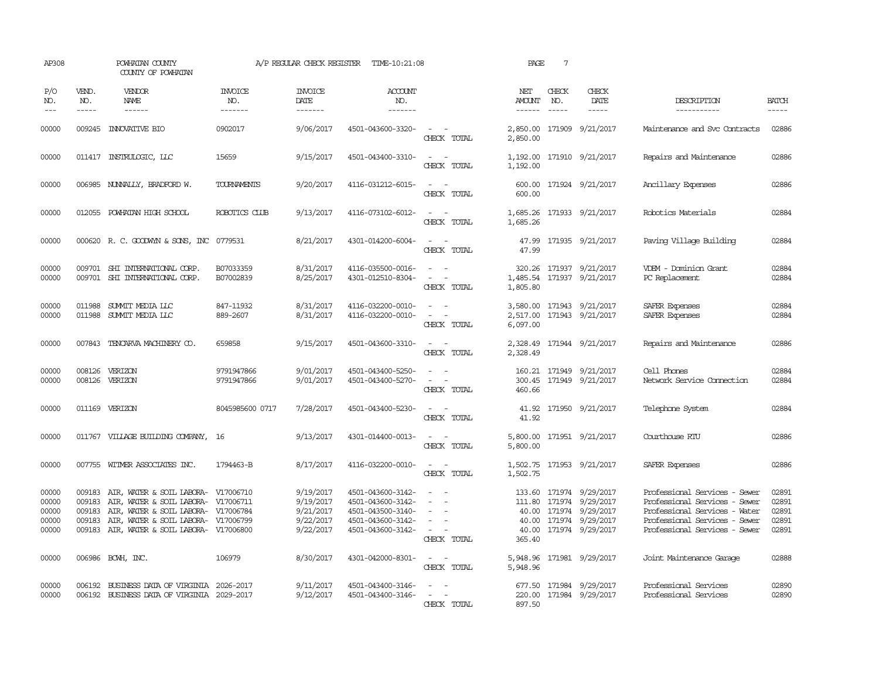| AP308                                     |                                                | POWHATAN COUNTY<br>COUNTY OF POWHATAN                                                                                                                                                           |                           | A/P REGULAR CHECK REGISTER                                    | TIME-10:21:08                                                                                         |                                                                                                                                                     | PAGE                           | $7\phantom{.0}$               |                                                                                                                            |                                                                                                                                                                   |                                           |
|-------------------------------------------|------------------------------------------------|-------------------------------------------------------------------------------------------------------------------------------------------------------------------------------------------------|---------------------------|---------------------------------------------------------------|-------------------------------------------------------------------------------------------------------|-----------------------------------------------------------------------------------------------------------------------------------------------------|--------------------------------|-------------------------------|----------------------------------------------------------------------------------------------------------------------------|-------------------------------------------------------------------------------------------------------------------------------------------------------------------|-------------------------------------------|
| P/O<br>NO.<br>$\frac{1}{2}$               | VEND.<br>NO.<br>$- - - - -$                    | VENDOR<br>NAME<br>$- - - - - -$                                                                                                                                                                 | INVOICE<br>NO.<br>------- | <b>INVOICE</b><br>DATE<br>-------                             | <b>ACCOUNT</b><br>NO.<br>-------                                                                      |                                                                                                                                                     | NET<br>AMOUNT<br>$- - - - - -$ | CHECK<br>NO.<br>$\frac{1}{2}$ | CHECK<br>DATE<br>$- - - - -$                                                                                               | DESCRIPTION<br>-----------                                                                                                                                        | <b>BATCH</b><br>$- - - - -$               |
| 00000                                     |                                                | 009245 INNOVATIVE BIO                                                                                                                                                                           | 0902017                   | 9/06/2017                                                     | 4501-043600-3320-                                                                                     | $\sim$ $ \sim$<br>CHECK TOTAL                                                                                                                       | 2,850.00                       |                               | 2,850.00 171909 9/21/2017                                                                                                  | Maintenance and Svc Contracts                                                                                                                                     | 02886                                     |
| 00000                                     |                                                | 011417 INSTRULOGIC, LLC                                                                                                                                                                         | 15659                     | 9/15/2017                                                     | 4501-043400-3310-                                                                                     | $\sim$ $ \sim$<br>CHECK TOTAL                                                                                                                       | 1,192.00                       |                               | 1,192.00 171910 9/21/2017                                                                                                  | Repairs and Maintenance                                                                                                                                           | 02886                                     |
| 00000                                     |                                                | 006985 NUNNALLY, BRADFORD W.                                                                                                                                                                    | TOURNAMENTS               | 9/20/2017                                                     | 4116-031212-6015-                                                                                     | $\sim$ $ \sim$<br>CHECK TOTAL                                                                                                                       | 600.00                         |                               | 600.00 171924 9/21/2017                                                                                                    | Ancillary Expenses                                                                                                                                                | 02886                                     |
| 00000                                     | 012055                                         | POWHATAN HIGH SCHOOL                                                                                                                                                                            | ROBOTICS CLUB             | 9/13/2017                                                     | 4116-073102-6012-                                                                                     | $\sim$<br>$\sim$<br>CHECK TOTAL                                                                                                                     | 1,685.26<br>1,685.26           |                               | 171933 9/21/2017                                                                                                           | Robotics Materials                                                                                                                                                | 02884                                     |
| 00000                                     |                                                | 000620 R. C. GOODWYN & SONS, INC 0779531                                                                                                                                                        |                           | 8/21/2017                                                     | 4301-014200-6004-                                                                                     | $\sim$ $\sim$<br>CHECK TOTAL                                                                                                                        | 47.99<br>47.99                 |                               | 171935 9/21/2017                                                                                                           | Paving Village Building                                                                                                                                           | 02884                                     |
| 00000<br>00000                            |                                                | 009701 SHI INTERNATIONAL CORP.<br>009701 SHI INTERNATIONAL CORP.                                                                                                                                | B07033359<br>B07002839    | 8/31/2017<br>8/25/2017                                        | 4116-035500-0016-<br>4301-012510-8304-                                                                | $\omega_{\rm{max}}$ and $\omega_{\rm{max}}$<br>$\omega_{\rm{max}}$ and $\omega_{\rm{max}}$<br>CHECK TOTAL                                           | 1,805.80                       |                               | 320.26 171937 9/21/2017<br>1,485.54 171937 9/21/2017                                                                       | VDEM - Dominion Grant<br>PC Replacement                                                                                                                           | 02884<br>02884                            |
| 00000<br>00000                            |                                                | 011988 SUMMIT MEDIA LLC<br>011988 SUMIT MEDIA LLC                                                                                                                                               | 847-11932<br>889-2607     | 8/31/2017<br>8/31/2017                                        | 4116-032200-0010-<br>4116-032200-0010-                                                                | $\omega_{\rm{max}}$ and $\omega_{\rm{max}}$<br>$\sim$ $ -$<br>CHECK TOTAL                                                                           | 2,517.00<br>6,097.00           |                               | 3,580.00 171943 9/21/2017<br>171943 9/21/2017                                                                              | SAFER Expenses<br>SAFER Expenses                                                                                                                                  | 02884<br>02884                            |
| 00000                                     |                                                | 007843 TENCARVA MACHINERY CO.                                                                                                                                                                   | 659858                    | 9/15/2017                                                     | 4501-043600-3310-                                                                                     | $\sim$ $ \sim$<br>CHECK TOTAL                                                                                                                       | 2,328.49                       |                               | 2,328.49 171944 9/21/2017                                                                                                  | Repairs and Maintenance                                                                                                                                           | 02886                                     |
| 00000<br>00000                            | 008126<br>008126                               | VERIZON<br>VERIZON                                                                                                                                                                              | 9791947866<br>9791947866  | 9/01/2017<br>9/01/2017                                        | 4501-043400-5250-<br>4501-043400-5270-                                                                | $\frac{1}{2} \left( \frac{1}{2} \right) \left( \frac{1}{2} \right) = \frac{1}{2} \left( \frac{1}{2} \right)$<br>$\sim$<br>$\sim$ $-$<br>CHECK TOTAL | 460.66                         |                               | 160.21 171949 9/21/2017<br>300.45 171949 9/21/2017                                                                         | Cell Phones<br>Network Service Connection                                                                                                                         | 02884<br>02884                            |
| 00000                                     |                                                | 011169 VERIZON                                                                                                                                                                                  | 8045985600 0717           | 7/28/2017                                                     | 4501-043400-5230-                                                                                     | $\sim$ $\sim$<br>CHECK TOTAL                                                                                                                        | 41.92                          |                               | 41.92 171950 9/21/2017                                                                                                     | Telephone System                                                                                                                                                  | 02884                                     |
| 00000                                     |                                                | 011767 VILLAGE BUILDING COMPANY, 16                                                                                                                                                             |                           | 9/13/2017                                                     | 4301-014400-0013-                                                                                     | $\omega_{\rm{max}}$ and $\omega_{\rm{max}}$<br>CHECK TOTAL                                                                                          | 5,800.00                       |                               | 5,800.00 171951 9/21/2017                                                                                                  | Courthouse RTU                                                                                                                                                    | 02886                                     |
| 00000                                     |                                                | 007755 WITMER ASSOCIATES INC.                                                                                                                                                                   | 1794463-B                 | 8/17/2017                                                     | 4116-032200-0010-                                                                                     | $\sim$ $ \sim$<br>CHECK TOTAL                                                                                                                       | 1,502.75                       |                               | 1,502.75 171953 9/21/2017                                                                                                  | SAFER Expenses                                                                                                                                                    | 02886                                     |
| 00000<br>00000<br>00000<br>00000<br>00000 | 009183<br>009183<br>009183<br>009183<br>009183 | AIR, WATER & SOIL LABORA- V17006710<br>AIR, WATER & SOIL LABORA- V17006711<br>AIR, WATER & SOIL LABORA- V17006784<br>AIR, WATER & SOIL LABORA- V17006799<br>AIR, WATER & SOIL LABORA- V17006800 |                           | 9/19/2017<br>9/19/2017<br>9/21/2017<br>9/22/2017<br>9/22/2017 | 4501-043600-3142-<br>4501-043600-3142-<br>4501-043500-3140-<br>4501-043600-3142-<br>4501-043600-3142- | $\sim$<br>$\overline{\phantom{a}}$<br>$\sim$<br>$\sim$<br>CHECK TOTAL                                                                               | 40.00<br>365.40                |                               | 133.60 171974 9/29/2017<br>111.80 171974 9/29/2017<br>40.00 171974 9/29/2017<br>40.00 171974 9/29/2017<br>171974 9/29/2017 | Professional Services - Sewer<br>Professional Services - Sewer<br>Professional Services - Water<br>Professional Services - Sewer<br>Professional Services - Sewer | 02891<br>02891<br>02891<br>02891<br>02891 |
| 00000                                     |                                                | 006986 BCWH, INC.                                                                                                                                                                               | 106979                    | 8/30/2017                                                     | 4301-042000-8301-                                                                                     | $\sim$ $ \sim$<br>CHECK TOTAL                                                                                                                       | 5,948.96                       |                               | 5,948.96 171981 9/29/2017                                                                                                  | Joint Maintenance Garage                                                                                                                                          | 02888                                     |
| 00000<br>00000                            |                                                | 006192 BUSINESS DATA OF VIRGINIA 2026-2017<br>006192 BUSINESS DATA OF VIRGINIA 2029-2017                                                                                                        |                           | 9/11/2017<br>9/12/2017                                        | 4501-043400-3146-<br>4501-043400-3146-                                                                | $\omega_{\rm{max}}$ and $\omega_{\rm{max}}$<br>$\mathcal{L} = \{1, \ldots, n\}$<br>CHECK TOTAL                                                      | 897.50                         |                               | 677.50 171984 9/29/2017<br>220.00 171984 9/29/2017                                                                         | Professional Services<br>Professional Services                                                                                                                    | 02890<br>02890                            |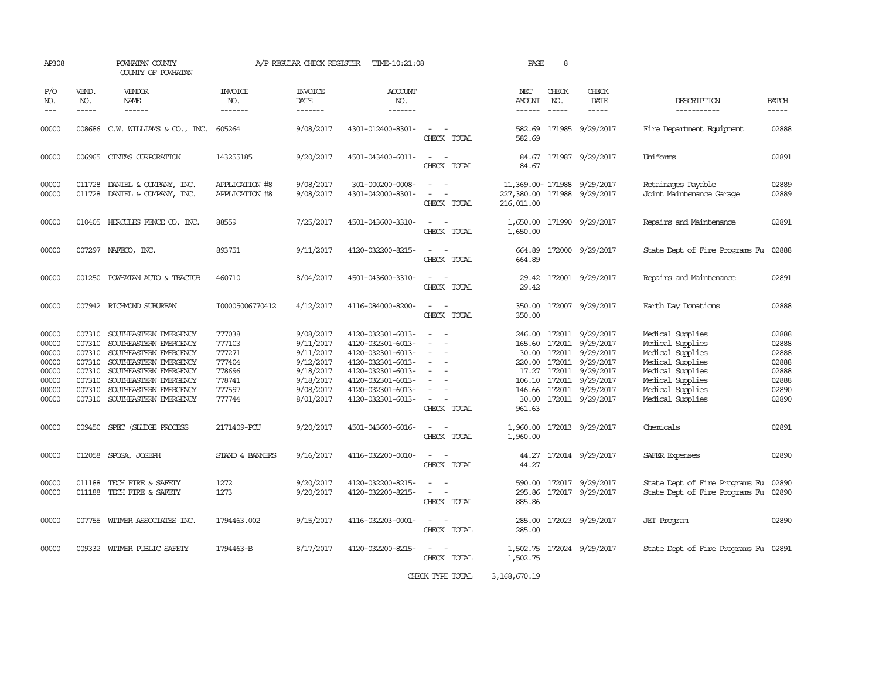| AP308                                                                |                                                                    | POWHATAN COUNTY<br>COUNTY OF POWHATAN                                                                                                                                                                               |                                                                              | A/P REGULAR CHECK REGISTER                                                                           | TIME-10:21:08                                                                                                                                                        |                                                                                                                                   | PAGE                                                                    | 8                             |                                                                                                                                                                                                     |                                                                                                                                                              |                                                                      |
|----------------------------------------------------------------------|--------------------------------------------------------------------|---------------------------------------------------------------------------------------------------------------------------------------------------------------------------------------------------------------------|------------------------------------------------------------------------------|------------------------------------------------------------------------------------------------------|----------------------------------------------------------------------------------------------------------------------------------------------------------------------|-----------------------------------------------------------------------------------------------------------------------------------|-------------------------------------------------------------------------|-------------------------------|-----------------------------------------------------------------------------------------------------------------------------------------------------------------------------------------------------|--------------------------------------------------------------------------------------------------------------------------------------------------------------|----------------------------------------------------------------------|
| P/O<br>NO.<br>$- - -$                                                | VEND.<br>NO.<br>$- - - - -$                                        | VENDOR<br>NAME<br>------                                                                                                                                                                                            | <b>INVOICE</b><br>NO.<br>-------                                             | <b>INVOICE</b><br>DATE<br>-------                                                                    | ACCOUNT<br>NO.<br>-------                                                                                                                                            |                                                                                                                                   | NET<br>AMOUNT<br>------                                                 | CHECK<br>NO.<br>$\frac{1}{2}$ | CHECK<br>DATE<br>$- - - - -$                                                                                                                                                                        | DESCRIPTION<br>-----------                                                                                                                                   | <b>BATCH</b><br>$\qquad \qquad - - - -$                              |
| 00000                                                                |                                                                    | 008686 C.W. WILLIAMS & CO., INC.                                                                                                                                                                                    | 605264                                                                       | 9/08/2017                                                                                            | 4301-012400-8301-                                                                                                                                                    | $\sim$<br>CHECK TOTAL                                                                                                             | 582.69                                                                  |                               | 582.69 171985 9/29/2017                                                                                                                                                                             | Fire Department Equipment                                                                                                                                    | 02888                                                                |
| 00000                                                                |                                                                    | 006965 CINTAS CORPORATION                                                                                                                                                                                           | 143255185                                                                    | 9/20/2017                                                                                            | 4501-043400-6011-                                                                                                                                                    | $\sim$<br>CHECK TOTAL                                                                                                             | 84.67                                                                   |                               | 84.67 171987 9/29/2017                                                                                                                                                                              | Uniforms                                                                                                                                                     | 02891                                                                |
| 00000<br>00000                                                       | 011728<br>011728                                                   | DANIEL & COMPANY, INC.<br>DANIEL & COMPANY, INC.                                                                                                                                                                    | APPLICATION #8<br><b>APPLICATION #8</b>                                      | 9/08/2017<br>9/08/2017                                                                               | 301-000200-0008-<br>4301-042000-8301-                                                                                                                                | $\overline{\phantom{a}}$<br>$\sim$<br>CHECK TOTAL                                                                                 | 11,369.00-171988 9/29/2017<br>227,380.00 171988 9/29/2017<br>216,011.00 |                               |                                                                                                                                                                                                     | Retainages Payable<br>Joint Maintenance Garage                                                                                                               | 02889<br>02889                                                       |
| 00000                                                                |                                                                    | 010405 HERCULES FENCE CO. INC.                                                                                                                                                                                      | 88559                                                                        | 7/25/2017                                                                                            | 4501-043600-3310-                                                                                                                                                    | $\sim$<br>$\overline{\phantom{a}}$<br>CHECK TOTAL                                                                                 | 1,650.00                                                                |                               | 1,650.00 171990 9/29/2017                                                                                                                                                                           | Repairs and Maintenance                                                                                                                                      | 02891                                                                |
| 00000                                                                |                                                                    | 007297 NAFECO, INC.                                                                                                                                                                                                 | 893751                                                                       | 9/11/2017                                                                                            | 4120-032200-8215-                                                                                                                                                    | CHECK TOTAL                                                                                                                       | 664.89<br>664.89                                                        |                               | 172000 9/29/2017                                                                                                                                                                                    | State Dept of Fire Programs Fu                                                                                                                               | 02888                                                                |
| 00000                                                                |                                                                    | 001250 POWHATAN AUTO & TRACTOR                                                                                                                                                                                      | 460710                                                                       | 8/04/2017                                                                                            | 4501-043600-3310-                                                                                                                                                    | $\sim$ 10 $\,$<br>CHECK TOTAL                                                                                                     | 29.42<br>29.42                                                          |                               | 172001 9/29/2017                                                                                                                                                                                    | Repairs and Maintenance                                                                                                                                      | 02891                                                                |
| 00000                                                                |                                                                    | 007942 RICHMOND SUBURBAN                                                                                                                                                                                            | I00005006770412                                                              | 4/12/2017                                                                                            | 4116-084000-8200-                                                                                                                                                    | CHECK TOTAL                                                                                                                       | 350.00                                                                  |                               | 350.00 172007 9/29/2017                                                                                                                                                                             | Earth Day Donations                                                                                                                                          | 02888                                                                |
| 00000<br>00000<br>00000<br>00000<br>00000<br>00000<br>00000<br>00000 | 007310<br>007310<br>007310<br>007310<br>007310<br>007310<br>007310 | SOUTHEASTERN EMERGENCY<br>SOUTHEASTERN EMERGENCY<br>SOUTHEASTERN EMERGENCY<br>SOUTHEASTERN EMERGENCY<br>SOUTHEASTERN EMERGENCY<br>SOUTHEASTERN EMERGENCY<br>SOUTHEASTERN EMERGENCY<br>007310 SOUTHEASTERN EMERGENCY | 777038<br>777103<br>777271<br>777404<br>778696<br>778741<br>777597<br>777744 | 9/08/2017<br>9/11/2017<br>9/11/2017<br>9/12/2017<br>9/18/2017<br>9/18/2017<br>9/08/2017<br>8/01/2017 | 4120-032301-6013-<br>4120-032301-6013-<br>4120-032301-6013-<br>4120-032301-6013-<br>4120-032301-6013-<br>4120-032301-6013-<br>4120-032301-6013-<br>4120-032301-6013- | $\overline{\phantom{a}}$<br>$\equiv$<br>$\equiv$<br>$\overline{\phantom{a}}$<br>$\overline{\phantom{a}}$<br>$\sim$<br>CHECK TOTAL | 246.00<br>165.60<br>961.63                                              |                               | 172011 9/29/2017<br>172011 9/29/2017<br>30.00 172011 9/29/2017<br>220.00 172011 9/29/2017<br>17.27 172011 9/29/2017<br>106.10 172011 9/29/2017<br>146.66 172011 9/29/2017<br>30.00 172011 9/29/2017 | Medical Supplies<br>Medical Supplies<br>Medical Supplies<br>Medical Supplies<br>Medical Supplies<br>Medical Supplies<br>Medical Supplies<br>Medical Supplies | 02888<br>02888<br>02888<br>02888<br>02888<br>02888<br>02890<br>02890 |
| 00000                                                                | 009450                                                             | SPEC (SILIDGE PROCESS                                                                                                                                                                                               | 2171409-PCU                                                                  | 9/20/2017                                                                                            | 4501-043600-6016-                                                                                                                                                    | $\sim$ $ -$<br>CHECK TOTAL                                                                                                        | 1,960.00<br>1,960.00                                                    |                               | 172013 9/29/2017                                                                                                                                                                                    | Chemicals                                                                                                                                                    | 02891                                                                |
| 00000                                                                |                                                                    | 012058 SPOSA, JOSEPH                                                                                                                                                                                                | STAND 4 BANNERS                                                              | 9/16/2017                                                                                            | 4116-032200-0010-                                                                                                                                                    | $\sim$<br>CHECK TOTAL                                                                                                             | 44.27<br>44.27                                                          |                               | 172014 9/29/2017                                                                                                                                                                                    | SAFER Expenses                                                                                                                                               | 02890                                                                |
| 00000<br>00000                                                       | 011188<br>011188                                                   | TECH FIRE & SAFETY<br>TECH FIRE & SAFETY                                                                                                                                                                            | 1272<br>1273                                                                 | 9/20/2017<br>9/20/2017                                                                               | 4120-032200-8215-<br>4120-032200-8215-                                                                                                                               | $\overline{\phantom{a}}$<br>$\equiv$<br>CHECK TOTAL                                                                               | 590.00<br>295.86<br>885.86                                              |                               | 172017 9/29/2017<br>172017 9/29/2017                                                                                                                                                                | State Dept of Fire Programs Fu<br>State Dept of Fire Programs Fu                                                                                             | 02890<br>02890                                                       |
| 00000                                                                |                                                                    | 007755 WITMER ASSOCIATES INC.                                                                                                                                                                                       | 1794463.002                                                                  | 9/15/2017                                                                                            | 4116-032203-0001-                                                                                                                                                    | CHECK TOTAL                                                                                                                       | 285.00                                                                  |                               | 285.00 172023 9/29/2017                                                                                                                                                                             | <b>JET</b> Program                                                                                                                                           | 02890                                                                |
| 00000                                                                |                                                                    | 009332 WITMER PUBLIC SAFETY                                                                                                                                                                                         | 1794463-B                                                                    | 8/17/2017                                                                                            | 4120-032200-8215-                                                                                                                                                    | CHECK TOTAL                                                                                                                       | 1,502.75                                                                |                               | 1,502.75 172024 9/29/2017                                                                                                                                                                           | State Dept of Fire Programs Fu 02891                                                                                                                         |                                                                      |

CHECK TYPE TOTAL 3,168,670.19